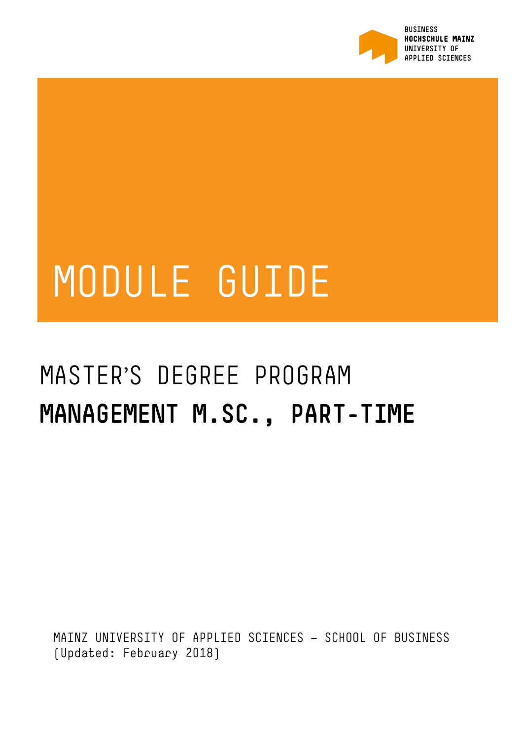

# MODULE GUIDE

## MASTER'S DEGREE PROGRAM **MANAGEMENT M.SC., PART-TIME**

MAINZ UNIVERSITY OF APPLIED SCIENCES — SCHOOL OF BUSINESS (Updated: February 2018)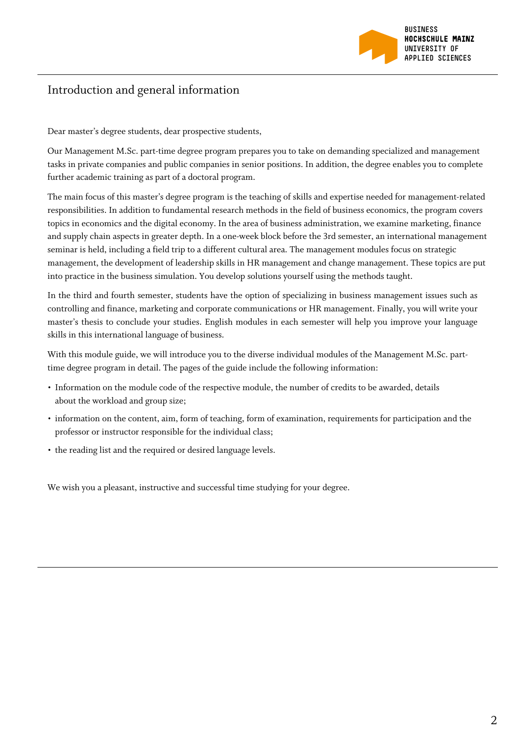

#### Introduction and general information

Dear master's degree students, dear prospective students,

Our Management M.Sc. part-time degree program prepares you to take on demanding specialized and management tasks in private companies and public companies in senior positions. In addition, the degree enables you to complete further academic training as part of a doctoral program.

The main focus of this master's degree program is the teaching of skills and expertise needed for management-related responsibilities. In addition to fundamental research methods in the field of business economics, the program covers topics in economics and the digital economy. In the area of business administration, we examine marketing, finance and supply chain aspects in greater depth. In a one-week block before the 3rd semester, an international management seminar is held, including a field trip to a different cultural area. The management modules focus on strategic management, the development of leadership skills in HR management and change management. These topics are put into practice in the business simulation. You develop solutions yourself using the methods taught.

In the third and fourth semester, students have the option of specializing in business management issues such as controlling and finance, marketing and corporate communications or HR management. Finally, you will write your master's thesis to conclude your studies. English modules in each semester will help you improve your language skills in this international language of business.

With this module guide, we will introduce you to the diverse individual modules of the Management M.Sc. parttime degree program in detail. The pages of the guide include the following information:

- Information on the module code of the respective module, the number of credits to be awarded, details about the workload and group size;
- information on the content, aim, form of teaching, form of examination, requirements for participation and the professor or instructor responsible for the individual class;
- the reading list and the required or desired language levels.

We wish you a pleasant, instructive and successful time studying for your degree.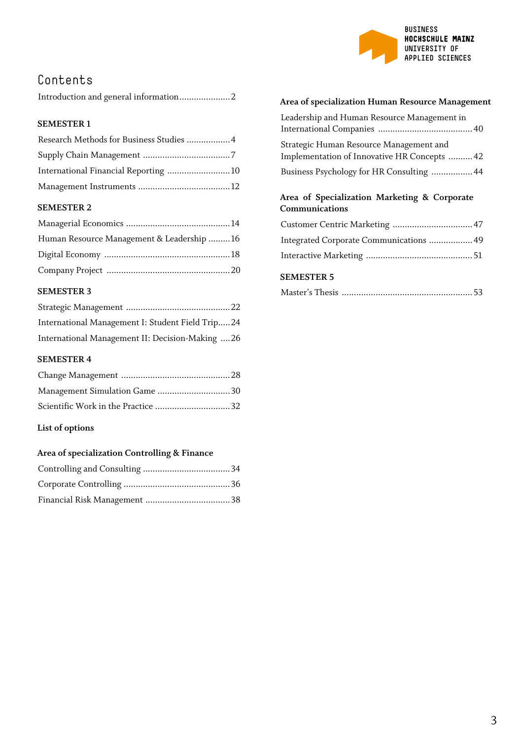

## Contents

|--|--|--|--|

#### **SEMESTER 1**

| Research Methods for Business Studies  4 |  |
|------------------------------------------|--|
|                                          |  |
| International Financial Reporting 10     |  |
|                                          |  |

#### **SEMESTER 2**

| Human Resource Management & Leadership 16 |  |
|-------------------------------------------|--|
|                                           |  |
|                                           |  |

#### **SEMESTER 3**

| International Management I: Student Field Trip24 |  |
|--------------------------------------------------|--|
| International Management II: Decision-Making 26  |  |

#### **SEMESTER 4**

| Scientific Work in the Practice 32 |  |
|------------------------------------|--|

#### **List of options**

#### **Area of specialization Controlling & Finance**

#### **Area of specialization Human Resource Management**

| Leadership and Human Resource Management in                                               |  |
|-------------------------------------------------------------------------------------------|--|
| Strategic Human Resource Management and                                                   |  |
| Implementation of Innovative HR Concepts  42<br>Business Psychology for HR Consulting  44 |  |

#### **Area of Specialization Marketing & Corporate Communications**

| Integrated Corporate Communications  49 |  |
|-----------------------------------------|--|
|                                         |  |

#### **SEMESTER 5**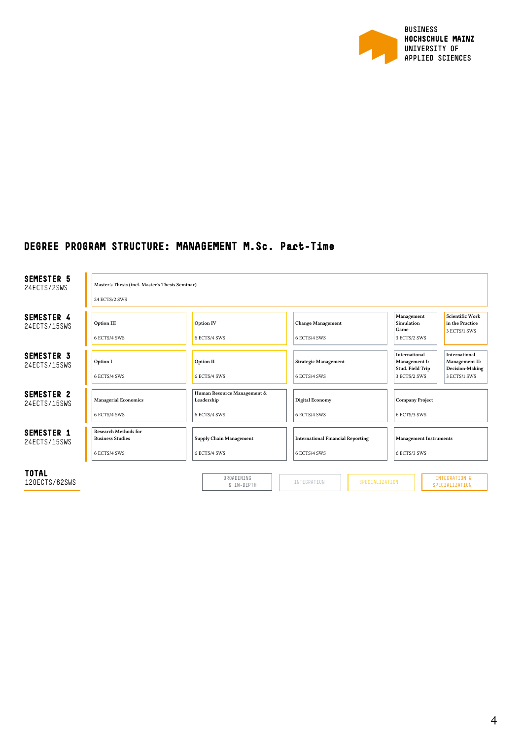

#### **DEGREE PROGRAM STRUCTURE: MANAGEMENT M.Sc. Part-Time**

| <b>SEMESTER 5</b><br>24ECTS/2SWS  | Master's Thesis (incl. Master's Thesis Seminar)<br>24 ECTS/2 SWS       |                                                           |                                                          |                                                                                                                                          |
|-----------------------------------|------------------------------------------------------------------------|-----------------------------------------------------------|----------------------------------------------------------|------------------------------------------------------------------------------------------------------------------------------------------|
| SEMESTER 4<br>24ECTS/15SWS        | Option III<br>6 ECTS/4 SWS                                             | Option IV<br>6 ECTS/4 SWS                                 | <b>Change Management</b><br>6 ECTS/4 SWS                 | <b>Scientific Work</b><br>Management<br>Simulation<br>in the Practice<br>Game<br>3 ECTS/1 SWS<br>3 ECTS/2 SWS                            |
| <b>SEMESTER 3</b><br>24ECTS/15SWS | Option I<br>6 ECTS/4 SWS                                               | Option II<br>6 ECTS/4 SWS                                 | <b>Strategic Management</b><br>6 ECTS/4 SWS              | International<br>International<br>Management II:<br>Management I:<br>Decision-Making<br>Stud. Field Trip<br>3 ECTS/2 SWS<br>3 ECTS/1 SWS |
| SEMESTER 2<br>24ECTS/15SWS        | <b>Managerial Economics</b><br>6 ECTS/4 SWS                            | Human Resource Management &<br>Leadership<br>6 ECTS/4 SWS | <b>Digital Economy</b><br>6 ECTS/4 SWS                   | <b>Company Project</b><br>6 ECTS/3 SWS                                                                                                   |
| <b>SEMESTER 1</b><br>24ECTS/15SWS | <b>Research Methods for</b><br><b>Business Studies</b><br>6 ECTS/4 SWS | <b>Supply Chain Management</b><br>6 ECTS/4 SWS            | <b>International Financial Reporting</b><br>6 ECTS/4 SWS | <b>Management Instruments</b><br>6 ECTS/3 SWS                                                                                            |
| <b>TOTAL</b><br>120ECTS/62SWS     |                                                                        | <b>BROADENTNG</b><br>& IN-DEPTH                           | INTEGRATION<br>SPECIALIZATION                            | INTEGRATION &<br>SPECIALIZATION                                                                                                          |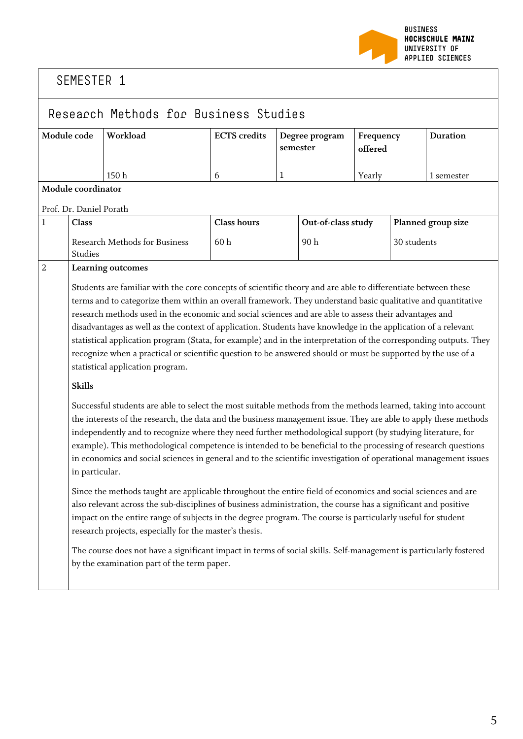

## Research Methods for Business Studies

| Module code | Workload | <b>ECTS</b> credits | Degree program<br>semester | Frequency         | <b>Duration</b> |
|-------------|----------|---------------------|----------------------------|-------------------|-----------------|
|             | 150 h    |                     |                            | offered<br>Yearly | l semester      |
|             |          |                     |                            |                   |                 |

#### **Module coordinator**

#### Prof. Dr. Daniel Porath

| Class                                    | <b>Class hours</b> | Out-of-class study | <b>Planned group size</b> |
|------------------------------------------|--------------------|--------------------|---------------------------|
| Research Methods for Business<br>Studies | 60 h               | 90 h               | 30 students               |

#### 2 **Learning outcomes**

Students are familiar with the core concepts of scientific theory and are able to differentiate between these terms and to categorize them within an overall framework. They understand basic qualitative and quantitative research methods used in the economic and social sciences and are able to assess their advantages and disadvantages as well as the context of application. Students have knowledge in the application of a relevant statistical application program (Stata, for example) and in the interpretation of the corresponding outputs. They recognize when a practical or scientific question to be answered should or must be supported by the use of a statistical application program.

#### **Skills**

Successful students are able to select the most suitable methods from the methods learned, taking into account the interests of the research, the data and the business management issue. They are able to apply these methods independently and to recognize where they need further methodological support (by studying literature, for example). This methodological competence is intended to be beneficial to the processing of research questions in economics and social sciences in general and to the scientific investigation of operational management issues in particular.

Since the methods taught are applicable throughout the entire field of economics and social sciences and are also relevant across the sub-disciplines of business administration, the course has a significant and positive impact on the entire range of subjects in the degree program. The course is particularly useful for student research projects, especially for the master's thesis.

The course does not have a significant impact in terms of social skills. Self-management is particularly fostered by the examination part of the term paper.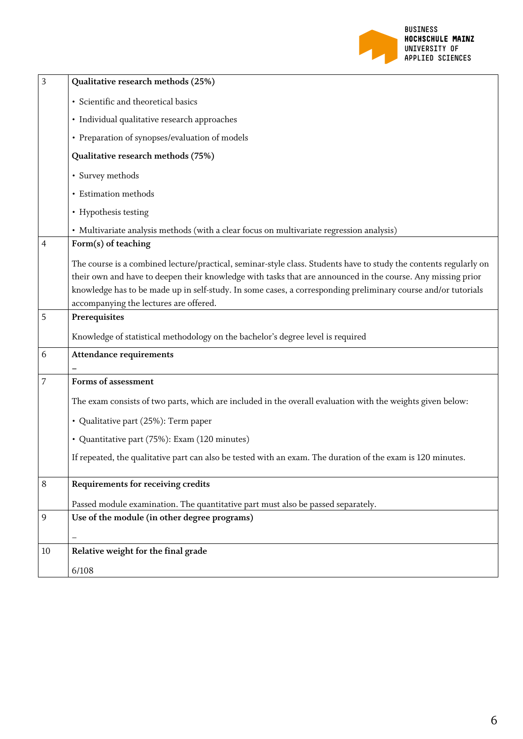

| 3              | Qualitative research methods (25%)                                                                                                                                                                                                                                                                                                                |
|----------------|---------------------------------------------------------------------------------------------------------------------------------------------------------------------------------------------------------------------------------------------------------------------------------------------------------------------------------------------------|
|                | · Scientific and theoretical basics                                                                                                                                                                                                                                                                                                               |
|                | · Individual qualitative research approaches                                                                                                                                                                                                                                                                                                      |
|                | • Preparation of synopses/evaluation of models                                                                                                                                                                                                                                                                                                    |
|                | Qualitative research methods (75%)                                                                                                                                                                                                                                                                                                                |
|                | • Survey methods                                                                                                                                                                                                                                                                                                                                  |
|                | • Estimation methods                                                                                                                                                                                                                                                                                                                              |
|                | • Hypothesis testing                                                                                                                                                                                                                                                                                                                              |
|                | • Multivariate analysis methods (with a clear focus on multivariate regression analysis)                                                                                                                                                                                                                                                          |
| $\overline{4}$ | Form(s) of teaching                                                                                                                                                                                                                                                                                                                               |
|                | The course is a combined lecture/practical, seminar-style class. Students have to study the contents regularly on<br>their own and have to deepen their knowledge with tasks that are announced in the course. Any missing prior<br>knowledge has to be made up in self-study. In some cases, a corresponding preliminary course and/or tutorials |
|                | accompanying the lectures are offered.                                                                                                                                                                                                                                                                                                            |
| 5              | Prerequisites                                                                                                                                                                                                                                                                                                                                     |
|                | Knowledge of statistical methodology on the bachelor's degree level is required                                                                                                                                                                                                                                                                   |
| 6              | <b>Attendance requirements</b>                                                                                                                                                                                                                                                                                                                    |
| 7              | Forms of assessment                                                                                                                                                                                                                                                                                                                               |
|                |                                                                                                                                                                                                                                                                                                                                                   |
|                | The exam consists of two parts, which are included in the overall evaluation with the weights given below:                                                                                                                                                                                                                                        |
|                | • Qualitative part (25%): Term paper                                                                                                                                                                                                                                                                                                              |
|                | • Quantitative part (75%): Exam (120 minutes)                                                                                                                                                                                                                                                                                                     |
|                | If repeated, the qualitative part can also be tested with an exam. The duration of the exam is 120 minutes.                                                                                                                                                                                                                                       |
| 8              | Requirements for receiving credits                                                                                                                                                                                                                                                                                                                |
|                | Passed module examination. The quantitative part must also be passed separately.                                                                                                                                                                                                                                                                  |
| 9              | Use of the module (in other degree programs)                                                                                                                                                                                                                                                                                                      |
|                |                                                                                                                                                                                                                                                                                                                                                   |
| 10             | Relative weight for the final grade                                                                                                                                                                                                                                                                                                               |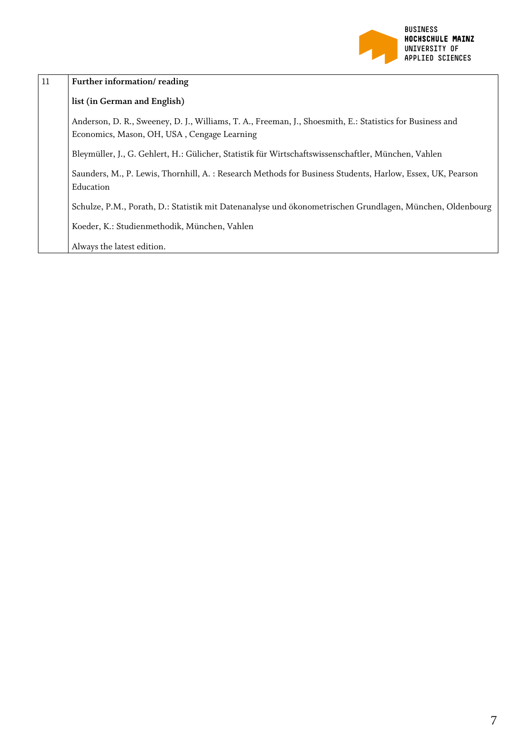

| 11 | Further information/reading                                                                                                                              |
|----|----------------------------------------------------------------------------------------------------------------------------------------------------------|
|    | list (in German and English)                                                                                                                             |
|    | Anderson, D. R., Sweeney, D. J., Williams, T. A., Freeman, J., Shoesmith, E.: Statistics for Business and<br>Economics, Mason, OH, USA, Cengage Learning |
|    | Bleymüller, J., G. Gehlert, H.: Gülicher, Statistik für Wirtschaftswissenschaftler, München, Vahlen                                                      |
|    | Saunders, M., P. Lewis, Thornhill, A. : Research Methods for Business Students, Harlow, Essex, UK, Pearson<br>Education                                  |
|    | Schulze, P.M., Porath, D.: Statistik mit Datenanalyse und ökonometrischen Grundlagen, München, Oldenbourg                                                |
|    | Koeder, K.: Studienmethodik, München, Vahlen                                                                                                             |
|    | Always the latest edition.                                                                                                                               |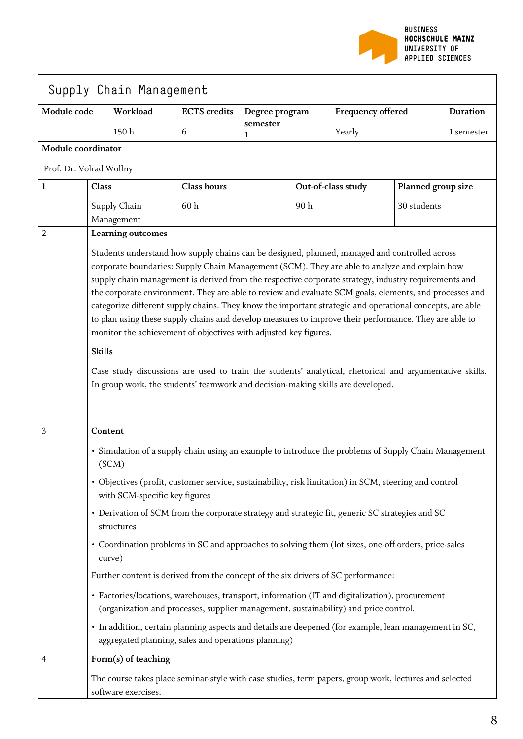

| Module code             |                                                                                                                                                                                                                                                                                                                                                                                                                                                                                                                                                                                                                                                                                                                        | Workload                      | <b>ECTS</b> credits                                                                                                                                                                    | Degree program |     | Frequency offered  |                    | <b>Duration</b> |
|-------------------------|------------------------------------------------------------------------------------------------------------------------------------------------------------------------------------------------------------------------------------------------------------------------------------------------------------------------------------------------------------------------------------------------------------------------------------------------------------------------------------------------------------------------------------------------------------------------------------------------------------------------------------------------------------------------------------------------------------------------|-------------------------------|----------------------------------------------------------------------------------------------------------------------------------------------------------------------------------------|----------------|-----|--------------------|--------------------|-----------------|
|                         |                                                                                                                                                                                                                                                                                                                                                                                                                                                                                                                                                                                                                                                                                                                        | 150h                          | 6                                                                                                                                                                                      | semester<br>1  |     | Yearly             |                    | 1 semester      |
| Module coordinator      |                                                                                                                                                                                                                                                                                                                                                                                                                                                                                                                                                                                                                                                                                                                        |                               |                                                                                                                                                                                        |                |     |                    |                    |                 |
| Prof. Dr. Volrad Wollny |                                                                                                                                                                                                                                                                                                                                                                                                                                                                                                                                                                                                                                                                                                                        |                               |                                                                                                                                                                                        |                |     |                    |                    |                 |
| 1                       | Class                                                                                                                                                                                                                                                                                                                                                                                                                                                                                                                                                                                                                                                                                                                  |                               | <b>Class hours</b>                                                                                                                                                                     |                |     | Out-of-class study | Planned group size |                 |
|                         | Supply Chain<br>Management                                                                                                                                                                                                                                                                                                                                                                                                                                                                                                                                                                                                                                                                                             |                               | 60h                                                                                                                                                                                    |                | 90h |                    | 30 students        |                 |
| 2                       | Learning outcomes                                                                                                                                                                                                                                                                                                                                                                                                                                                                                                                                                                                                                                                                                                      |                               |                                                                                                                                                                                        |                |     |                    |                    |                 |
|                         | supply chain management is derived from the respective corporate strategy, industry requirements and<br>the corporate environment. They are able to review and evaluate SCM goals, elements, and processes and<br>categorize different supply chains. They know the important strategic and operational concepts, are able<br>to plan using these supply chains and develop measures to improve their performance. They are able to<br>monitor the achievement of objectives with adjusted key figures.<br><b>Skills</b><br>Case study discussions are used to train the students' analytical, rhetorical and argumentative skills.<br>In group work, the students' teamwork and decision-making skills are developed. |                               |                                                                                                                                                                                        |                |     |                    |                    |                 |
| 3                       | Content<br>(SCM)                                                                                                                                                                                                                                                                                                                                                                                                                                                                                                                                                                                                                                                                                                       |                               | • Simulation of a supply chain using an example to introduce the problems of Supply Chain Management                                                                                   |                |     |                    |                    |                 |
|                         |                                                                                                                                                                                                                                                                                                                                                                                                                                                                                                                                                                                                                                                                                                                        | with SCM-specific key figures | • Objectives (profit, customer service, sustainability, risk limitation) in SCM, steering and control                                                                                  |                |     |                    |                    |                 |
|                         | structures                                                                                                                                                                                                                                                                                                                                                                                                                                                                                                                                                                                                                                                                                                             |                               | • Derivation of SCM from the corporate strategy and strategic fit, generic SC strategies and SC                                                                                        |                |     |                    |                    |                 |
|                         | curve)                                                                                                                                                                                                                                                                                                                                                                                                                                                                                                                                                                                                                                                                                                                 |                               | • Coordination problems in SC and approaches to solving them (lot sizes, one-off orders, price-sales                                                                                   |                |     |                    |                    |                 |
|                         |                                                                                                                                                                                                                                                                                                                                                                                                                                                                                                                                                                                                                                                                                                                        |                               | Further content is derived from the concept of the six drivers of SC performance:                                                                                                      |                |     |                    |                    |                 |
|                         |                                                                                                                                                                                                                                                                                                                                                                                                                                                                                                                                                                                                                                                                                                                        |                               | • Factories/locations, warehouses, transport, information (IT and digitalization), procurement<br>(organization and processes, supplier management, sustainability) and price control. |                |     |                    |                    |                 |
|                         |                                                                                                                                                                                                                                                                                                                                                                                                                                                                                                                                                                                                                                                                                                                        |                               | · In addition, certain planning aspects and details are deepened (for example, lean management in SC,<br>aggregated planning, sales and operations planning)                           |                |     |                    |                    |                 |
| 4                       |                                                                                                                                                                                                                                                                                                                                                                                                                                                                                                                                                                                                                                                                                                                        | Form(s) of teaching           |                                                                                                                                                                                        |                |     |                    |                    |                 |
|                         |                                                                                                                                                                                                                                                                                                                                                                                                                                                                                                                                                                                                                                                                                                                        | software exercises.           | The course takes place seminar-style with case studies, term papers, group work, lectures and selected                                                                                 |                |     |                    |                    |                 |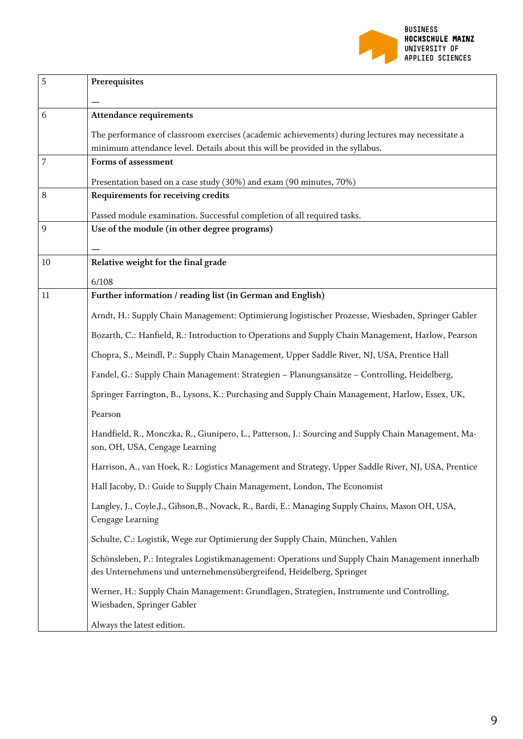

| 5  | Prerequisites                                                                                                                                                           |
|----|-------------------------------------------------------------------------------------------------------------------------------------------------------------------------|
|    |                                                                                                                                                                         |
| 6  | <b>Attendance requirements</b>                                                                                                                                          |
|    | The performance of classroom exercises (academic achievements) during lectures may necessitate a                                                                        |
|    | minimum attendance level. Details about this will be provided in the syllabus.                                                                                          |
| 7  | Forms of assessment                                                                                                                                                     |
|    | Presentation based on a case study (30%) and exam (90 minutes, 70%)                                                                                                     |
| 8  | Requirements for receiving credits                                                                                                                                      |
|    | Passed module examination. Successful completion of all required tasks.                                                                                                 |
| 9  | Use of the module (in other degree programs)                                                                                                                            |
|    |                                                                                                                                                                         |
| 10 | Relative weight for the final grade                                                                                                                                     |
|    | 6/108                                                                                                                                                                   |
| 11 | Further information / reading list (in German and English)                                                                                                              |
|    | Arndt, H.: Supply Chain Management: Optimierung logistischer Prozesse, Wiesbaden, Springer Gabler                                                                       |
|    | Bozarth, C.: Hanfield, R.: Introduction to Operations and Supply Chain Management, Harlow, Pearson                                                                      |
|    | Chopra, S., Meindl, P.: Supply Chain Management, Upper Saddle River, NJ, USA, Prentice Hall                                                                             |
|    | Fandel, G.: Supply Chain Management: Strategien - Planungsansätze - Controlling, Heidelberg,                                                                            |
|    | Springer Farrington, B., Lysons, K.: Purchasing and Supply Chain Management, Harlow, Essex, UK,                                                                         |
|    | Pearson                                                                                                                                                                 |
|    | Handfield, R., Monczka, R., Giunipero, L., Patterson, J.: Sourcing and Supply Chain Management, Ma-<br>son, OH, USA, Cengage Learning                                   |
|    | Harrison, A., van Hoek, R.: Logistics Management and Strategy, Upper Saddle River, NJ, USA, Prentice                                                                    |
|    | Hall Jacoby, D.: Guide to Supply Chain Management, London, The Economist                                                                                                |
|    | Langley, J., Coyle, J., Gibson, B., Novack, R., Bardi, E.: Managing Supply Chains, Mason OH, USA,<br>Cengage Learning                                                   |
|    | Schulte, C.: Logistik, Wege zur Optimierung der Supply Chain, München, Vahlen                                                                                           |
|    | Schönsleben, P.: Integrales Logistikmanagement: Operations und Supply Chain Management innerhalb<br>des Unternehmens und unternehmensübergreifend, Heidelberg, Springer |
|    | Werner, H.: Supply Chain Management: Grundlagen, Strategien, Instrumente und Controlling,<br>Wiesbaden, Springer Gabler                                                 |
|    | Always the latest edition.                                                                                                                                              |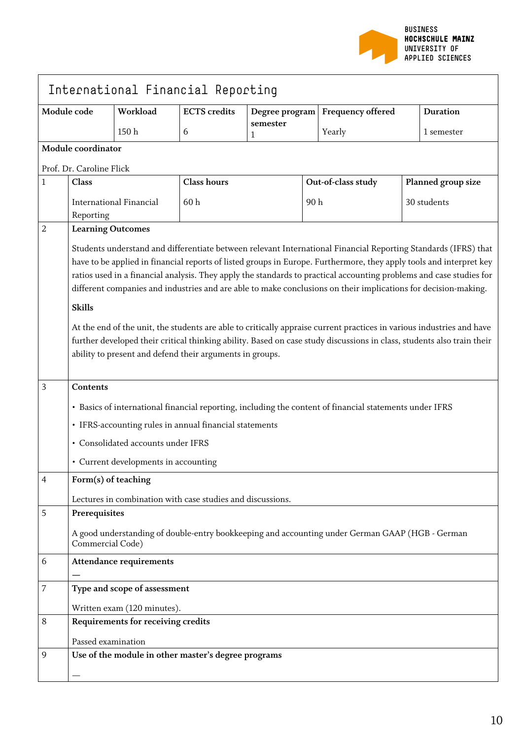

|              | International Financial Reporting                                                                                                                                                                                                                                                                                                                                                                                                                                                                                                                                                                                                                                                                                                                                                                              |                                      |                                                            |                |     |                                                                                                 |  |                    |
|--------------|----------------------------------------------------------------------------------------------------------------------------------------------------------------------------------------------------------------------------------------------------------------------------------------------------------------------------------------------------------------------------------------------------------------------------------------------------------------------------------------------------------------------------------------------------------------------------------------------------------------------------------------------------------------------------------------------------------------------------------------------------------------------------------------------------------------|--------------------------------------|------------------------------------------------------------|----------------|-----|-------------------------------------------------------------------------------------------------|--|--------------------|
|              | Module code                                                                                                                                                                                                                                                                                                                                                                                                                                                                                                                                                                                                                                                                                                                                                                                                    | Workload                             | <b>ECTS</b> credits                                        | Degree program |     | <b>Frequency offered</b>                                                                        |  | <b>Duration</b>    |
|              |                                                                                                                                                                                                                                                                                                                                                                                                                                                                                                                                                                                                                                                                                                                                                                                                                | 150h                                 | 6                                                          | semester<br>1  |     | Yearly                                                                                          |  | 1 semester         |
|              | Module coordinator                                                                                                                                                                                                                                                                                                                                                                                                                                                                                                                                                                                                                                                                                                                                                                                             |                                      |                                                            |                |     |                                                                                                 |  |                    |
|              | Prof. Dr. Caroline Flick                                                                                                                                                                                                                                                                                                                                                                                                                                                                                                                                                                                                                                                                                                                                                                                       |                                      |                                                            |                |     |                                                                                                 |  |                    |
| $\mathbf{1}$ | Class                                                                                                                                                                                                                                                                                                                                                                                                                                                                                                                                                                                                                                                                                                                                                                                                          |                                      | <b>Class hours</b>                                         |                |     | Out-of-class study                                                                              |  | Planned group size |
|              | Reporting                                                                                                                                                                                                                                                                                                                                                                                                                                                                                                                                                                                                                                                                                                                                                                                                      | <b>International Financial</b>       | 60h                                                        |                | 90h |                                                                                                 |  | 30 students        |
| 2            | <b>Learning Outcomes</b>                                                                                                                                                                                                                                                                                                                                                                                                                                                                                                                                                                                                                                                                                                                                                                                       |                                      |                                                            |                |     |                                                                                                 |  |                    |
|              | Students understand and differentiate between relevant International Financial Reporting Standards (IFRS) that<br>have to be applied in financial reports of listed groups in Europe. Furthermore, they apply tools and interpret key<br>ratios used in a financial analysis. They apply the standards to practical accounting problems and case studies for<br>different companies and industries and are able to make conclusions on their implications for decision-making.<br><b>Skills</b><br>At the end of the unit, the students are able to critically appraise current practices in various industries and have<br>further developed their critical thinking ability. Based on case study discussions in class, students also train their<br>ability to present and defend their arguments in groups. |                                      |                                                            |                |     |                                                                                                 |  |                    |
| 3            | Contents<br>· Basics of international financial reporting, including the content of financial statements under IFRS<br>• IFRS-accounting rules in annual financial statements<br>• Consolidated accounts under IFRS                                                                                                                                                                                                                                                                                                                                                                                                                                                                                                                                                                                            |                                      |                                                            |                |     |                                                                                                 |  |                    |
|              |                                                                                                                                                                                                                                                                                                                                                                                                                                                                                                                                                                                                                                                                                                                                                                                                                | • Current developments in accounting |                                                            |                |     |                                                                                                 |  |                    |
| 4            | Form(s) of teaching                                                                                                                                                                                                                                                                                                                                                                                                                                                                                                                                                                                                                                                                                                                                                                                            |                                      |                                                            |                |     |                                                                                                 |  |                    |
| 5            | Prerequisites                                                                                                                                                                                                                                                                                                                                                                                                                                                                                                                                                                                                                                                                                                                                                                                                  |                                      | Lectures in combination with case studies and discussions. |                |     |                                                                                                 |  |                    |
|              | Commercial Code)                                                                                                                                                                                                                                                                                                                                                                                                                                                                                                                                                                                                                                                                                                                                                                                               |                                      |                                                            |                |     | A good understanding of double-entry bookkeeping and accounting under German GAAP (HGB - German |  |                    |
| 6            |                                                                                                                                                                                                                                                                                                                                                                                                                                                                                                                                                                                                                                                                                                                                                                                                                | <b>Attendance requirements</b>       |                                                            |                |     |                                                                                                 |  |                    |
| 7            |                                                                                                                                                                                                                                                                                                                                                                                                                                                                                                                                                                                                                                                                                                                                                                                                                | Type and scope of assessment         |                                                            |                |     |                                                                                                 |  |                    |
|              |                                                                                                                                                                                                                                                                                                                                                                                                                                                                                                                                                                                                                                                                                                                                                                                                                | Written exam (120 minutes).          |                                                            |                |     |                                                                                                 |  |                    |
| 8            |                                                                                                                                                                                                                                                                                                                                                                                                                                                                                                                                                                                                                                                                                                                                                                                                                | Requirements for receiving credits   |                                                            |                |     |                                                                                                 |  |                    |
|              | Passed examination                                                                                                                                                                                                                                                                                                                                                                                                                                                                                                                                                                                                                                                                                                                                                                                             |                                      |                                                            |                |     |                                                                                                 |  |                    |
| 9            |                                                                                                                                                                                                                                                                                                                                                                                                                                                                                                                                                                                                                                                                                                                                                                                                                |                                      | Use of the module in other master's degree programs        |                |     |                                                                                                 |  |                    |
|              |                                                                                                                                                                                                                                                                                                                                                                                                                                                                                                                                                                                                                                                                                                                                                                                                                |                                      |                                                            |                |     |                                                                                                 |  |                    |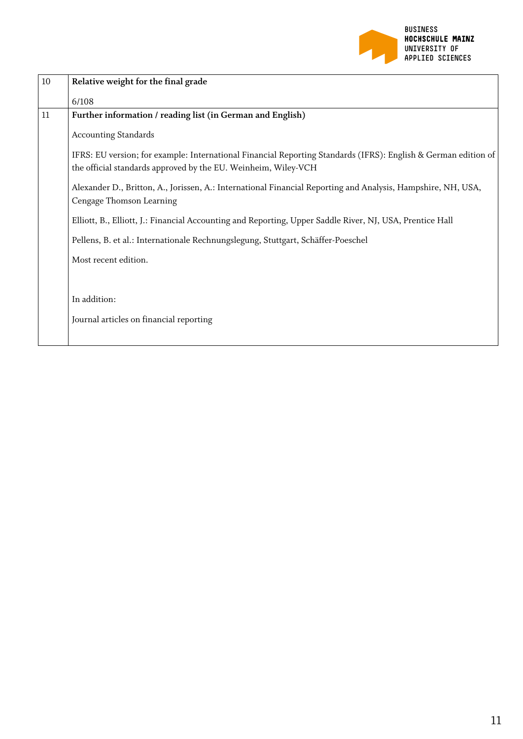

| $10\,$ | Relative weight for the final grade                                                                                                                                              |
|--------|----------------------------------------------------------------------------------------------------------------------------------------------------------------------------------|
|        | 6/108                                                                                                                                                                            |
| 11     | Further information / reading list (in German and English)                                                                                                                       |
|        | <b>Accounting Standards</b>                                                                                                                                                      |
|        | IFRS: EU version; for example: International Financial Reporting Standards (IFRS): English & German edition of<br>the official standards approved by the EU. Weinheim, Wiley-VCH |
|        | Alexander D., Britton, A., Jorissen, A.: International Financial Reporting and Analysis, Hampshire, NH, USA,<br>Cengage Thomson Learning                                         |
|        | Elliott, B., Elliott, J.: Financial Accounting and Reporting, Upper Saddle River, NJ, USA, Prentice Hall                                                                         |
|        | Pellens, B. et al.: Internationale Rechnungslegung, Stuttgart, Schäffer-Poeschel                                                                                                 |
|        | Most recent edition.                                                                                                                                                             |
|        |                                                                                                                                                                                  |
|        | In addition:                                                                                                                                                                     |
|        | Journal articles on financial reporting                                                                                                                                          |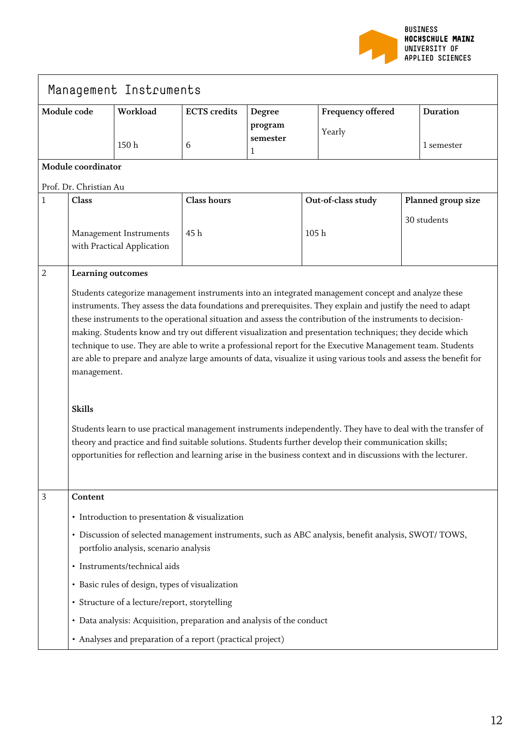

| Management Instruments |                                                                                                                                                                                                                                                                                                                                                                                                                                                                                                                                                                                                                                                                                                                                                                                                                                                                                                                                                                                                                                                                                |                                                                       |                     |                          |                  |                                                                                                     |  |                    |
|------------------------|--------------------------------------------------------------------------------------------------------------------------------------------------------------------------------------------------------------------------------------------------------------------------------------------------------------------------------------------------------------------------------------------------------------------------------------------------------------------------------------------------------------------------------------------------------------------------------------------------------------------------------------------------------------------------------------------------------------------------------------------------------------------------------------------------------------------------------------------------------------------------------------------------------------------------------------------------------------------------------------------------------------------------------------------------------------------------------|-----------------------------------------------------------------------|---------------------|--------------------------|------------------|-----------------------------------------------------------------------------------------------------|--|--------------------|
| Module code            |                                                                                                                                                                                                                                                                                                                                                                                                                                                                                                                                                                                                                                                                                                                                                                                                                                                                                                                                                                                                                                                                                | Workload                                                              | <b>ECTS</b> credits | Degree                   |                  | <b>Frequency offered</b>                                                                            |  | <b>Duration</b>    |
|                        |                                                                                                                                                                                                                                                                                                                                                                                                                                                                                                                                                                                                                                                                                                                                                                                                                                                                                                                                                                                                                                                                                | 150h                                                                  | 6                   | program<br>semester<br>1 |                  | Yearly                                                                                              |  | 1 semester         |
|                        | Module coordinator                                                                                                                                                                                                                                                                                                                                                                                                                                                                                                                                                                                                                                                                                                                                                                                                                                                                                                                                                                                                                                                             |                                                                       |                     |                          |                  |                                                                                                     |  |                    |
|                        | Prof. Dr. Christian Au                                                                                                                                                                                                                                                                                                                                                                                                                                                                                                                                                                                                                                                                                                                                                                                                                                                                                                                                                                                                                                                         |                                                                       |                     |                          |                  |                                                                                                     |  |                    |
| $\mathbf{1}$           | Class                                                                                                                                                                                                                                                                                                                                                                                                                                                                                                                                                                                                                                                                                                                                                                                                                                                                                                                                                                                                                                                                          |                                                                       | <b>Class hours</b>  |                          |                  | Out-of-class study                                                                                  |  | Planned group size |
|                        | Management Instruments<br>with Practical Application                                                                                                                                                                                                                                                                                                                                                                                                                                                                                                                                                                                                                                                                                                                                                                                                                                                                                                                                                                                                                           |                                                                       | 45h                 |                          | 105 <sub>h</sub> |                                                                                                     |  | 30 students        |
| $\overline{2}$         |                                                                                                                                                                                                                                                                                                                                                                                                                                                                                                                                                                                                                                                                                                                                                                                                                                                                                                                                                                                                                                                                                |                                                                       |                     |                          |                  |                                                                                                     |  |                    |
|                        | Learning outcomes<br>Students categorize management instruments into an integrated management concept and analyze these<br>instruments. They assess the data foundations and prerequisites. They explain and justify the need to adapt<br>these instruments to the operational situation and assess the contribution of the instruments to decision-<br>making. Students know and try out different visualization and presentation techniques; they decide which<br>technique to use. They are able to write a professional report for the Executive Management team. Students<br>are able to prepare and analyze large amounts of data, visualize it using various tools and assess the benefit for<br>management.<br><b>Skills</b><br>Students learn to use practical management instruments independently. They have to deal with the transfer of<br>theory and practice and find suitable solutions. Students further develop their communication skills;<br>opportunities for reflection and learning arise in the business context and in discussions with the lecturer. |                                                                       |                     |                          |                  |                                                                                                     |  |                    |
| 3                      | Content                                                                                                                                                                                                                                                                                                                                                                                                                                                                                                                                                                                                                                                                                                                                                                                                                                                                                                                                                                                                                                                                        |                                                                       |                     |                          |                  |                                                                                                     |  |                    |
|                        |                                                                                                                                                                                                                                                                                                                                                                                                                                                                                                                                                                                                                                                                                                                                                                                                                                                                                                                                                                                                                                                                                | • Introduction to presentation & visualization                        |                     |                          |                  |                                                                                                     |  |                    |
|                        |                                                                                                                                                                                                                                                                                                                                                                                                                                                                                                                                                                                                                                                                                                                                                                                                                                                                                                                                                                                                                                                                                | portfolio analysis, scenario analysis                                 |                     |                          |                  | · Discussion of selected management instruments, such as ABC analysis, benefit analysis, SWOT/TOWS, |  |                    |
|                        |                                                                                                                                                                                                                                                                                                                                                                                                                                                                                                                                                                                                                                                                                                                                                                                                                                                                                                                                                                                                                                                                                | · Instruments/technical aids                                          |                     |                          |                  |                                                                                                     |  |                    |
|                        |                                                                                                                                                                                                                                                                                                                                                                                                                                                                                                                                                                                                                                                                                                                                                                                                                                                                                                                                                                                                                                                                                | • Basic rules of design, types of visualization                       |                     |                          |                  |                                                                                                     |  |                    |
|                        |                                                                                                                                                                                                                                                                                                                                                                                                                                                                                                                                                                                                                                                                                                                                                                                                                                                                                                                                                                                                                                                                                | • Structure of a lecture/report, storytelling                         |                     |                          |                  |                                                                                                     |  |                    |
|                        |                                                                                                                                                                                                                                                                                                                                                                                                                                                                                                                                                                                                                                                                                                                                                                                                                                                                                                                                                                                                                                                                                | • Data analysis: Acquisition, preparation and analysis of the conduct |                     |                          |                  |                                                                                                     |  |                    |
|                        |                                                                                                                                                                                                                                                                                                                                                                                                                                                                                                                                                                                                                                                                                                                                                                                                                                                                                                                                                                                                                                                                                | • Analyses and preparation of a report (practical project)            |                     |                          |                  |                                                                                                     |  |                    |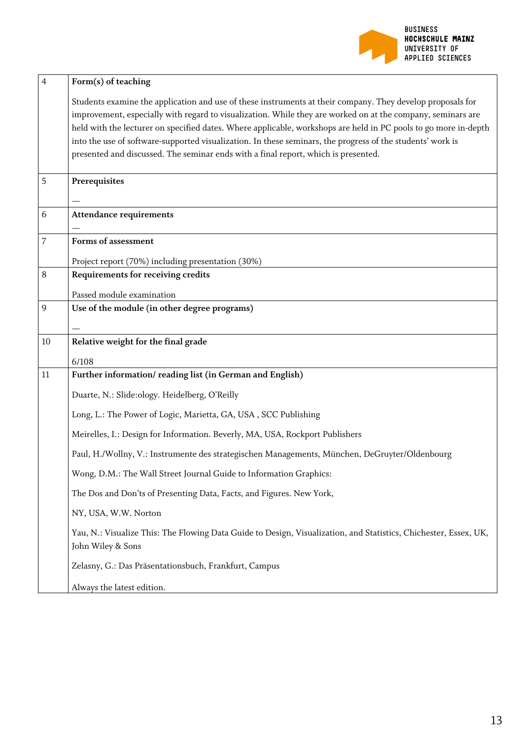

| $\overline{4}$ | Form(s) of teaching                                                                                                                   |
|----------------|---------------------------------------------------------------------------------------------------------------------------------------|
|                | Students examine the application and use of these instruments at their company. They develop proposals for                            |
|                | improvement, especially with regard to visualization. While they are worked on at the company, seminars are                           |
|                | held with the lecturer on specified dates. Where applicable, workshops are held in PC pools to go more in-depth                       |
|                | into the use of software-supported visualization. In these seminars, the progress of the students' work is                            |
|                | presented and discussed. The seminar ends with a final report, which is presented.                                                    |
| 5              | Prerequisites                                                                                                                         |
|                |                                                                                                                                       |
| 6              | <b>Attendance requirements</b>                                                                                                        |
|                |                                                                                                                                       |
| $\overline{7}$ | Forms of assessment                                                                                                                   |
|                | Project report (70%) including presentation (30%)                                                                                     |
| 8              | Requirements for receiving credits                                                                                                    |
|                | Passed module examination                                                                                                             |
| 9              | Use of the module (in other degree programs)                                                                                          |
|                |                                                                                                                                       |
| 10             | Relative weight for the final grade                                                                                                   |
|                | 6/108                                                                                                                                 |
| 11             | Further information/reading list (in German and English)                                                                              |
|                | Duarte, N.: Slide:ology. Heidelberg, O'Reilly                                                                                         |
|                | Long, L.: The Power of Logic, Marietta, GA, USA, SCC Publishing                                                                       |
|                | Meirelles, I.: Design for Information. Beverly, MA, USA, Rockport Publishers                                                          |
|                | Paul, H./Wollny, V.: Instrumente des strategischen Managements, München, DeGruyter/Oldenbourg                                         |
|                |                                                                                                                                       |
|                | Wong, D.M.: The Wall Street Journal Guide to Information Graphics:                                                                    |
|                | The Dos and Don'ts of Presenting Data, Facts, and Figures. New York,                                                                  |
|                | NY, USA, W.W. Norton                                                                                                                  |
|                | Yau, N.: Visualize This: The Flowing Data Guide to Design, Visualization, and Statistics, Chichester, Essex, UK,<br>John Wiley & Sons |
|                | Zelasny, G.: Das Präsentationsbuch, Frankfurt, Campus                                                                                 |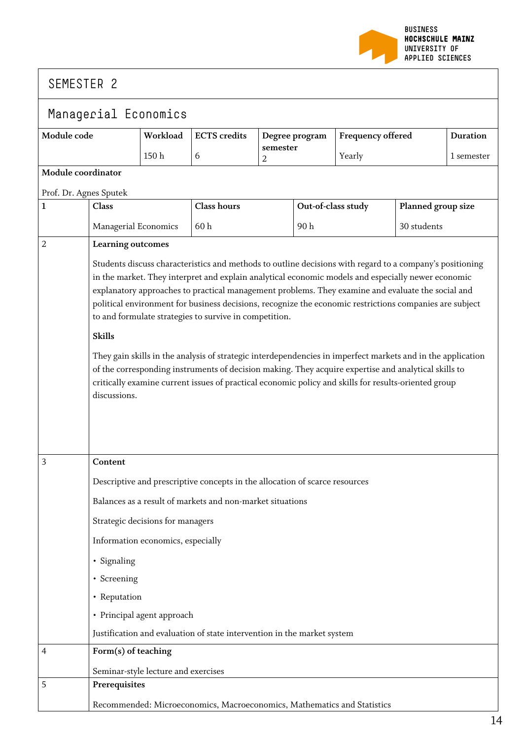

| Managerial Economics   |                                                                                                                                                                                                                                                                                                                                                                                                                                                                                                                                                                                                                                                                                                                                                                                                                                                          |                                     |                                                                             |                            |                    |                          |                    |                 |
|------------------------|----------------------------------------------------------------------------------------------------------------------------------------------------------------------------------------------------------------------------------------------------------------------------------------------------------------------------------------------------------------------------------------------------------------------------------------------------------------------------------------------------------------------------------------------------------------------------------------------------------------------------------------------------------------------------------------------------------------------------------------------------------------------------------------------------------------------------------------------------------|-------------------------------------|-----------------------------------------------------------------------------|----------------------------|--------------------|--------------------------|--------------------|-----------------|
| Module code            |                                                                                                                                                                                                                                                                                                                                                                                                                                                                                                                                                                                                                                                                                                                                                                                                                                                          | Workload                            | <b>ECTS</b> credits                                                         | Degree program             |                    | <b>Frequency offered</b> |                    | <b>Duration</b> |
|                        |                                                                                                                                                                                                                                                                                                                                                                                                                                                                                                                                                                                                                                                                                                                                                                                                                                                          | 150h                                | 6                                                                           | semester<br>$\overline{2}$ |                    | Yearly                   |                    | 1 semester      |
| Module coordinator     |                                                                                                                                                                                                                                                                                                                                                                                                                                                                                                                                                                                                                                                                                                                                                                                                                                                          |                                     |                                                                             |                            |                    |                          |                    |                 |
| Prof. Dr. Agnes Sputek |                                                                                                                                                                                                                                                                                                                                                                                                                                                                                                                                                                                                                                                                                                                                                                                                                                                          |                                     |                                                                             |                            |                    |                          |                    |                 |
| $\mathbf{1}$           | <b>Class</b>                                                                                                                                                                                                                                                                                                                                                                                                                                                                                                                                                                                                                                                                                                                                                                                                                                             |                                     | <b>Class hours</b>                                                          |                            | Out-of-class study |                          | Planned group size |                 |
|                        | Managerial Economics                                                                                                                                                                                                                                                                                                                                                                                                                                                                                                                                                                                                                                                                                                                                                                                                                                     |                                     | 60h                                                                         |                            | 90h                |                          | 30 students        |                 |
| $\overline{2}$         | Learning outcomes                                                                                                                                                                                                                                                                                                                                                                                                                                                                                                                                                                                                                                                                                                                                                                                                                                        |                                     |                                                                             |                            |                    |                          |                    |                 |
|                        | Students discuss characteristics and methods to outline decisions with regard to a company's positioning<br>in the market. They interpret and explain analytical economic models and especially newer economic<br>explanatory approaches to practical management problems. They examine and evaluate the social and<br>political environment for business decisions, recognize the economic restrictions companies are subject<br>to and formulate strategies to survive in competition.<br><b>Skills</b><br>They gain skills in the analysis of strategic interdependencies in imperfect markets and in the application<br>of the corresponding instruments of decision making. They acquire expertise and analytical skills to<br>critically examine current issues of practical economic policy and skills for results-oriented group<br>discussions. |                                     |                                                                             |                            |                    |                          |                    |                 |
| $\overline{3}$         | Content                                                                                                                                                                                                                                                                                                                                                                                                                                                                                                                                                                                                                                                                                                                                                                                                                                                  |                                     |                                                                             |                            |                    |                          |                    |                 |
|                        |                                                                                                                                                                                                                                                                                                                                                                                                                                                                                                                                                                                                                                                                                                                                                                                                                                                          |                                     | Descriptive and prescriptive concepts in the allocation of scarce resources |                            |                    |                          |                    |                 |
|                        |                                                                                                                                                                                                                                                                                                                                                                                                                                                                                                                                                                                                                                                                                                                                                                                                                                                          |                                     | Balances as a result of markets and non-market situations                   |                            |                    |                          |                    |                 |
|                        | Strategic decisions for managers                                                                                                                                                                                                                                                                                                                                                                                                                                                                                                                                                                                                                                                                                                                                                                                                                         |                                     |                                                                             |                            |                    |                          |                    |                 |
|                        |                                                                                                                                                                                                                                                                                                                                                                                                                                                                                                                                                                                                                                                                                                                                                                                                                                                          | Information economics, especially   |                                                                             |                            |                    |                          |                    |                 |
|                        | · Signaling                                                                                                                                                                                                                                                                                                                                                                                                                                                                                                                                                                                                                                                                                                                                                                                                                                              |                                     |                                                                             |                            |                    |                          |                    |                 |
|                        | • Screening                                                                                                                                                                                                                                                                                                                                                                                                                                                                                                                                                                                                                                                                                                                                                                                                                                              |                                     |                                                                             |                            |                    |                          |                    |                 |
|                        | • Reputation                                                                                                                                                                                                                                                                                                                                                                                                                                                                                                                                                                                                                                                                                                                                                                                                                                             |                                     |                                                                             |                            |                    |                          |                    |                 |
|                        |                                                                                                                                                                                                                                                                                                                                                                                                                                                                                                                                                                                                                                                                                                                                                                                                                                                          | • Principal agent approach          |                                                                             |                            |                    |                          |                    |                 |
|                        |                                                                                                                                                                                                                                                                                                                                                                                                                                                                                                                                                                                                                                                                                                                                                                                                                                                          |                                     | Justification and evaluation of state intervention in the market system     |                            |                    |                          |                    |                 |
| $\overline{4}$         | Form(s) of teaching                                                                                                                                                                                                                                                                                                                                                                                                                                                                                                                                                                                                                                                                                                                                                                                                                                      |                                     |                                                                             |                            |                    |                          |                    |                 |
|                        |                                                                                                                                                                                                                                                                                                                                                                                                                                                                                                                                                                                                                                                                                                                                                                                                                                                          | Seminar-style lecture and exercises |                                                                             |                            |                    |                          |                    |                 |
| 5                      | Prerequisites                                                                                                                                                                                                                                                                                                                                                                                                                                                                                                                                                                                                                                                                                                                                                                                                                                            |                                     |                                                                             |                            |                    |                          |                    |                 |
|                        |                                                                                                                                                                                                                                                                                                                                                                                                                                                                                                                                                                                                                                                                                                                                                                                                                                                          |                                     | Recommended: Microeconomics, Macroeconomics, Mathematics and Statistics     |                            |                    |                          |                    |                 |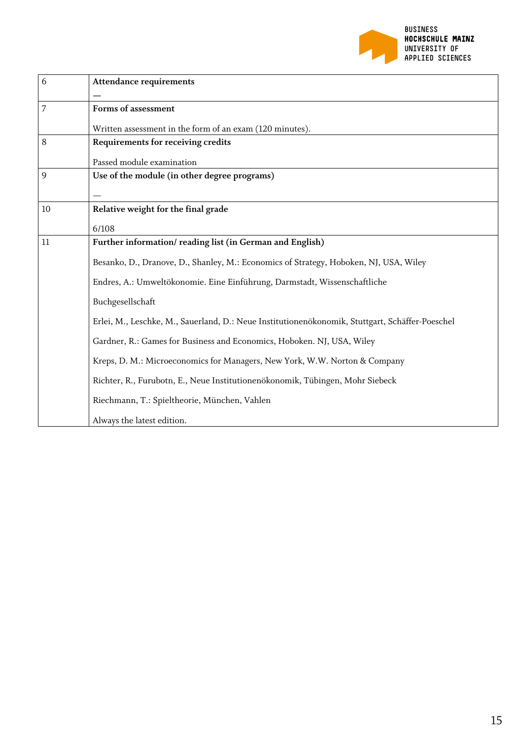

| 6              | <b>Attendance requirements</b>                                                                  |
|----------------|-------------------------------------------------------------------------------------------------|
| $\overline{7}$ | Forms of assessment                                                                             |
|                | Written assessment in the form of an exam (120 minutes).                                        |
| 8              | Requirements for receiving credits                                                              |
|                | Passed module examination                                                                       |
| 9              | Use of the module (in other degree programs)                                                    |
|                |                                                                                                 |
| 10             | Relative weight for the final grade                                                             |
|                | 6/108                                                                                           |
| 11             | Further information/reading list (in German and English)                                        |
|                | Besanko, D., Dranove, D., Shanley, M.: Economics of Strategy, Hoboken, NJ, USA, Wiley           |
|                | Endres, A.: Umweltökonomie. Eine Einführung, Darmstadt, Wissenschaftliche                       |
|                | Buchgesellschaft                                                                                |
|                | Erlei, M., Leschke, M., Sauerland, D.: Neue Institutionenökonomik, Stuttgart, Schäffer-Poeschel |
|                | Gardner, R.: Games for Business and Economics, Hoboken. NJ, USA, Wiley                          |
|                | Kreps, D. M.: Microeconomics for Managers, New York, W.W. Norton & Company                      |
|                | Richter, R., Furubotn, E., Neue Institutionenökonomik, Tübingen, Mohr Siebeck                   |
|                | Riechmann, T.: Spieltheorie, München, Vahlen                                                    |
|                | Always the latest edition.                                                                      |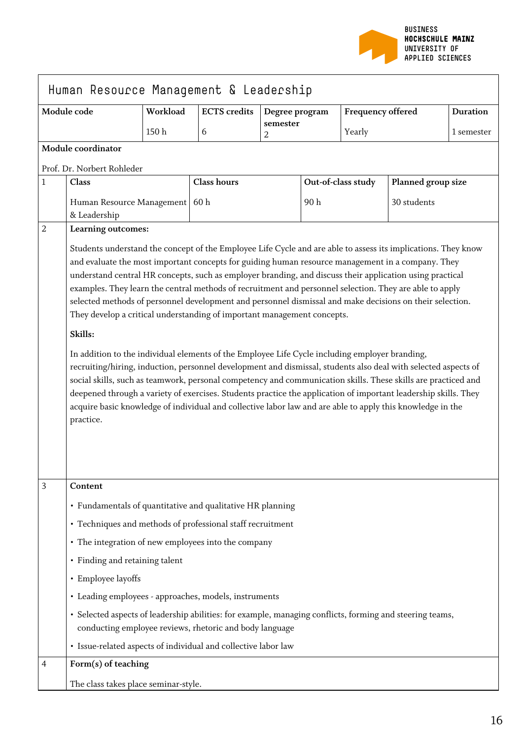

|                | Human Resource Management & Leadership                                                                                                                                                                                                                                                                                                                                                                                                                                                                                                                                                                                                                                                                                                                                                                                                                                                                                                                                                                                                                                                                                                                                                                                         |                  |                     |                |     |                          |                    |                 |
|----------------|--------------------------------------------------------------------------------------------------------------------------------------------------------------------------------------------------------------------------------------------------------------------------------------------------------------------------------------------------------------------------------------------------------------------------------------------------------------------------------------------------------------------------------------------------------------------------------------------------------------------------------------------------------------------------------------------------------------------------------------------------------------------------------------------------------------------------------------------------------------------------------------------------------------------------------------------------------------------------------------------------------------------------------------------------------------------------------------------------------------------------------------------------------------------------------------------------------------------------------|------------------|---------------------|----------------|-----|--------------------------|--------------------|-----------------|
| Module code    |                                                                                                                                                                                                                                                                                                                                                                                                                                                                                                                                                                                                                                                                                                                                                                                                                                                                                                                                                                                                                                                                                                                                                                                                                                | Workload         | <b>ECTS</b> credits | Degree program |     | <b>Frequency offered</b> |                    | <b>Duration</b> |
|                |                                                                                                                                                                                                                                                                                                                                                                                                                                                                                                                                                                                                                                                                                                                                                                                                                                                                                                                                                                                                                                                                                                                                                                                                                                | 150 <sub>h</sub> | 6                   | semester<br>2  |     | Yearly                   |                    | 1 semester      |
|                | Module coordinator                                                                                                                                                                                                                                                                                                                                                                                                                                                                                                                                                                                                                                                                                                                                                                                                                                                                                                                                                                                                                                                                                                                                                                                                             |                  |                     |                |     |                          |                    |                 |
|                | Prof. Dr. Norbert Rohleder                                                                                                                                                                                                                                                                                                                                                                                                                                                                                                                                                                                                                                                                                                                                                                                                                                                                                                                                                                                                                                                                                                                                                                                                     |                  |                     |                |     |                          |                    |                 |
| $\mathbf{1}$   | Class                                                                                                                                                                                                                                                                                                                                                                                                                                                                                                                                                                                                                                                                                                                                                                                                                                                                                                                                                                                                                                                                                                                                                                                                                          |                  | <b>Class hours</b>  |                |     | Out-of-class study       | Planned group size |                 |
|                | Human Resource Management   60 h                                                                                                                                                                                                                                                                                                                                                                                                                                                                                                                                                                                                                                                                                                                                                                                                                                                                                                                                                                                                                                                                                                                                                                                               |                  |                     |                | 90h |                          | 30 students        |                 |
| $\overline{2}$ | & Leadership<br>Learning outcomes:                                                                                                                                                                                                                                                                                                                                                                                                                                                                                                                                                                                                                                                                                                                                                                                                                                                                                                                                                                                                                                                                                                                                                                                             |                  |                     |                |     |                          |                    |                 |
|                | Students understand the concept of the Employee Life Cycle and are able to assess its implications. They know<br>and evaluate the most important concepts for guiding human resource management in a company. They<br>understand central HR concepts, such as employer branding, and discuss their application using practical<br>examples. They learn the central methods of recruitment and personnel selection. They are able to apply<br>selected methods of personnel development and personnel dismissal and make decisions on their selection.<br>They develop a critical understanding of important management concepts.<br>Skills:<br>In addition to the individual elements of the Employee Life Cycle including employer branding,<br>recruiting/hiring, induction, personnel development and dismissal, students also deal with selected aspects of<br>social skills, such as teamwork, personal competency and communication skills. These skills are practiced and<br>deepened through a variety of exercises. Students practice the application of important leadership skills. They<br>acquire basic knowledge of individual and collective labor law and are able to apply this knowledge in the<br>practice. |                  |                     |                |     |                          |                    |                 |
| 3              | Content                                                                                                                                                                                                                                                                                                                                                                                                                                                                                                                                                                                                                                                                                                                                                                                                                                                                                                                                                                                                                                                                                                                                                                                                                        |                  |                     |                |     |                          |                    |                 |
|                | • Fundamentals of quantitative and qualitative HR planning                                                                                                                                                                                                                                                                                                                                                                                                                                                                                                                                                                                                                                                                                                                                                                                                                                                                                                                                                                                                                                                                                                                                                                     |                  |                     |                |     |                          |                    |                 |
|                | • Techniques and methods of professional staff recruitment                                                                                                                                                                                                                                                                                                                                                                                                                                                                                                                                                                                                                                                                                                                                                                                                                                                                                                                                                                                                                                                                                                                                                                     |                  |                     |                |     |                          |                    |                 |
|                | • The integration of new employees into the company                                                                                                                                                                                                                                                                                                                                                                                                                                                                                                                                                                                                                                                                                                                                                                                                                                                                                                                                                                                                                                                                                                                                                                            |                  |                     |                |     |                          |                    |                 |
|                | • Finding and retaining talent                                                                                                                                                                                                                                                                                                                                                                                                                                                                                                                                                                                                                                                                                                                                                                                                                                                                                                                                                                                                                                                                                                                                                                                                 |                  |                     |                |     |                          |                    |                 |
|                | • Employee layoffs                                                                                                                                                                                                                                                                                                                                                                                                                                                                                                                                                                                                                                                                                                                                                                                                                                                                                                                                                                                                                                                                                                                                                                                                             |                  |                     |                |     |                          |                    |                 |
|                | • Leading employees - approaches, models, instruments                                                                                                                                                                                                                                                                                                                                                                                                                                                                                                                                                                                                                                                                                                                                                                                                                                                                                                                                                                                                                                                                                                                                                                          |                  |                     |                |     |                          |                    |                 |
|                | · Selected aspects of leadership abilities: for example, managing conflicts, forming and steering teams,<br>conducting employee reviews, rhetoric and body language                                                                                                                                                                                                                                                                                                                                                                                                                                                                                                                                                                                                                                                                                                                                                                                                                                                                                                                                                                                                                                                            |                  |                     |                |     |                          |                    |                 |
|                | · Issue-related aspects of individual and collective labor law                                                                                                                                                                                                                                                                                                                                                                                                                                                                                                                                                                                                                                                                                                                                                                                                                                                                                                                                                                                                                                                                                                                                                                 |                  |                     |                |     |                          |                    |                 |
| 4              | Form(s) of teaching                                                                                                                                                                                                                                                                                                                                                                                                                                                                                                                                                                                                                                                                                                                                                                                                                                                                                                                                                                                                                                                                                                                                                                                                            |                  |                     |                |     |                          |                    |                 |
|                | The class takes place seminar-style.                                                                                                                                                                                                                                                                                                                                                                                                                                                                                                                                                                                                                                                                                                                                                                                                                                                                                                                                                                                                                                                                                                                                                                                           |                  |                     |                |     |                          |                    |                 |

 $\blacksquare$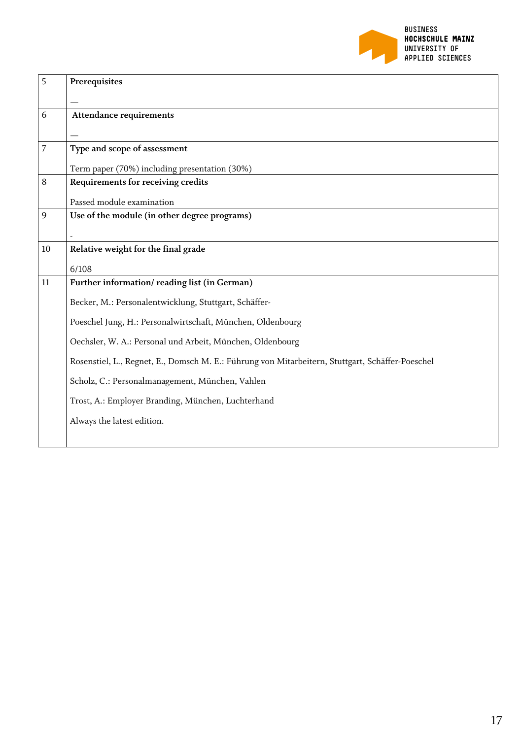

| 5  | Prerequisites                                                                                    |
|----|--------------------------------------------------------------------------------------------------|
|    |                                                                                                  |
| 6  | <b>Attendance requirements</b>                                                                   |
|    |                                                                                                  |
| 7  | Type and scope of assessment                                                                     |
|    | Term paper (70%) including presentation (30%)                                                    |
| 8  | Requirements for receiving credits                                                               |
|    | Passed module examination                                                                        |
| 9  | Use of the module (in other degree programs)                                                     |
|    |                                                                                                  |
| 10 | Relative weight for the final grade                                                              |
|    | 6/108                                                                                            |
| 11 | Further information/reading list (in German)                                                     |
|    | Becker, M.: Personalentwicklung, Stuttgart, Schäffer-                                            |
|    | Poeschel Jung, H.: Personalwirtschaft, München, Oldenbourg                                       |
|    | Oechsler, W. A.: Personal und Arbeit, München, Oldenbourg                                        |
|    | Rosenstiel, L., Regnet, E., Domsch M. E.: Führung von Mitarbeitern, Stuttgart, Schäffer-Poeschel |
|    | Scholz, C.: Personalmanagement, München, Vahlen                                                  |
|    | Trost, A.: Employer Branding, München, Luchterhand                                               |
|    | Always the latest edition.                                                                       |
|    |                                                                                                  |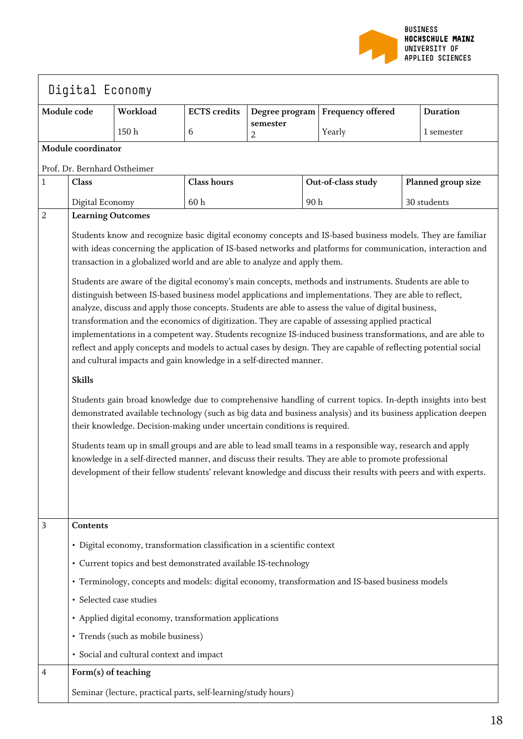

|              | Digital Economy                                                                                                                                                                                                                                                                                                                                                                                                                                                                                                                                                                                                                                                                                                                                                                                                                                                                                                                                                                                                                                                                                                                                                                                                                                                                                                                                                                                                                                                                                                                                                                                                                                                                                                                                         |                                                                          |                     |               |     |                                                                                                  |  |                    |
|--------------|---------------------------------------------------------------------------------------------------------------------------------------------------------------------------------------------------------------------------------------------------------------------------------------------------------------------------------------------------------------------------------------------------------------------------------------------------------------------------------------------------------------------------------------------------------------------------------------------------------------------------------------------------------------------------------------------------------------------------------------------------------------------------------------------------------------------------------------------------------------------------------------------------------------------------------------------------------------------------------------------------------------------------------------------------------------------------------------------------------------------------------------------------------------------------------------------------------------------------------------------------------------------------------------------------------------------------------------------------------------------------------------------------------------------------------------------------------------------------------------------------------------------------------------------------------------------------------------------------------------------------------------------------------------------------------------------------------------------------------------------------------|--------------------------------------------------------------------------|---------------------|---------------|-----|--------------------------------------------------------------------------------------------------|--|--------------------|
|              | Module code                                                                                                                                                                                                                                                                                                                                                                                                                                                                                                                                                                                                                                                                                                                                                                                                                                                                                                                                                                                                                                                                                                                                                                                                                                                                                                                                                                                                                                                                                                                                                                                                                                                                                                                                             | Workload                                                                 | <b>ECTS</b> credits |               |     | Degree program   Frequency offered                                                               |  | <b>Duration</b>    |
|              |                                                                                                                                                                                                                                                                                                                                                                                                                                                                                                                                                                                                                                                                                                                                                                                                                                                                                                                                                                                                                                                                                                                                                                                                                                                                                                                                                                                                                                                                                                                                                                                                                                                                                                                                                         | 150h                                                                     | 6                   | semester<br>2 |     | Yearly                                                                                           |  | 1 semester         |
|              | Module coordinator                                                                                                                                                                                                                                                                                                                                                                                                                                                                                                                                                                                                                                                                                                                                                                                                                                                                                                                                                                                                                                                                                                                                                                                                                                                                                                                                                                                                                                                                                                                                                                                                                                                                                                                                      |                                                                          |                     |               |     |                                                                                                  |  |                    |
|              | Prof. Dr. Bernhard Ostheimer                                                                                                                                                                                                                                                                                                                                                                                                                                                                                                                                                                                                                                                                                                                                                                                                                                                                                                                                                                                                                                                                                                                                                                                                                                                                                                                                                                                                                                                                                                                                                                                                                                                                                                                            |                                                                          |                     |               |     |                                                                                                  |  |                    |
| $\mathbf{1}$ | Class                                                                                                                                                                                                                                                                                                                                                                                                                                                                                                                                                                                                                                                                                                                                                                                                                                                                                                                                                                                                                                                                                                                                                                                                                                                                                                                                                                                                                                                                                                                                                                                                                                                                                                                                                   |                                                                          | Class hours         |               |     | Out-of-class study                                                                               |  | Planned group size |
| $\sqrt{2}$   | Digital Economy                                                                                                                                                                                                                                                                                                                                                                                                                                                                                                                                                                                                                                                                                                                                                                                                                                                                                                                                                                                                                                                                                                                                                                                                                                                                                                                                                                                                                                                                                                                                                                                                                                                                                                                                         |                                                                          | 60h                 |               | 90h |                                                                                                  |  | 30 students        |
|              | <b>Learning Outcomes</b><br>Students know and recognize basic digital economy concepts and IS-based business models. They are familiar<br>with ideas concerning the application of IS-based networks and platforms for communication, interaction and<br>transaction in a globalized world and are able to analyze and apply them.<br>Students are aware of the digital economy's main concepts, methods and instruments. Students are able to<br>distinguish between IS-based business model applications and implementations. They are able to reflect,<br>analyze, discuss and apply those concepts. Students are able to assess the value of digital business,<br>transformation and the economics of digitization. They are capable of assessing applied practical<br>implementations in a competent way. Students recognize IS-induced business transformations, and are able to<br>reflect and apply concepts and models to actual cases by design. They are capable of reflecting potential social<br>and cultural impacts and gain knowledge in a self-directed manner.<br><b>Skills</b><br>Students gain broad knowledge due to comprehensive handling of current topics. In-depth insights into best<br>demonstrated available technology (such as big data and business analysis) and its business application deepen<br>their knowledge. Decision-making under uncertain conditions is required.<br>Students team up in small groups and are able to lead small teams in a responsible way, research and apply<br>knowledge in a self-directed manner, and discuss their results. They are able to promote professional<br>development of their fellow students' relevant knowledge and discuss their results with peers and with experts. |                                                                          |                     |               |     |                                                                                                  |  |                    |
| 3            | Contents                                                                                                                                                                                                                                                                                                                                                                                                                                                                                                                                                                                                                                                                                                                                                                                                                                                                                                                                                                                                                                                                                                                                                                                                                                                                                                                                                                                                                                                                                                                                                                                                                                                                                                                                                |                                                                          |                     |               |     |                                                                                                  |  |                    |
|              |                                                                                                                                                                                                                                                                                                                                                                                                                                                                                                                                                                                                                                                                                                                                                                                                                                                                                                                                                                                                                                                                                                                                                                                                                                                                                                                                                                                                                                                                                                                                                                                                                                                                                                                                                         | · Digital economy, transformation classification in a scientific context |                     |               |     |                                                                                                  |  |                    |
|              |                                                                                                                                                                                                                                                                                                                                                                                                                                                                                                                                                                                                                                                                                                                                                                                                                                                                                                                                                                                                                                                                                                                                                                                                                                                                                                                                                                                                                                                                                                                                                                                                                                                                                                                                                         | • Current topics and best demonstrated available IS-technology           |                     |               |     |                                                                                                  |  |                    |
|              |                                                                                                                                                                                                                                                                                                                                                                                                                                                                                                                                                                                                                                                                                                                                                                                                                                                                                                                                                                                                                                                                                                                                                                                                                                                                                                                                                                                                                                                                                                                                                                                                                                                                                                                                                         |                                                                          |                     |               |     | • Terminology, concepts and models: digital economy, transformation and IS-based business models |  |                    |
|              |                                                                                                                                                                                                                                                                                                                                                                                                                                                                                                                                                                                                                                                                                                                                                                                                                                                                                                                                                                                                                                                                                                                                                                                                                                                                                                                                                                                                                                                                                                                                                                                                                                                                                                                                                         | · Selected case studies                                                  |                     |               |     |                                                                                                  |  |                    |
|              |                                                                                                                                                                                                                                                                                                                                                                                                                                                                                                                                                                                                                                                                                                                                                                                                                                                                                                                                                                                                                                                                                                                                                                                                                                                                                                                                                                                                                                                                                                                                                                                                                                                                                                                                                         | • Applied digital economy, transformation applications                   |                     |               |     |                                                                                                  |  |                    |
|              |                                                                                                                                                                                                                                                                                                                                                                                                                                                                                                                                                                                                                                                                                                                                                                                                                                                                                                                                                                                                                                                                                                                                                                                                                                                                                                                                                                                                                                                                                                                                                                                                                                                                                                                                                         | • Trends (such as mobile business)                                       |                     |               |     |                                                                                                  |  |                    |
|              |                                                                                                                                                                                                                                                                                                                                                                                                                                                                                                                                                                                                                                                                                                                                                                                                                                                                                                                                                                                                                                                                                                                                                                                                                                                                                                                                                                                                                                                                                                                                                                                                                                                                                                                                                         | · Social and cultural context and impact                                 |                     |               |     |                                                                                                  |  |                    |
| 4            | Form(s) of teaching                                                                                                                                                                                                                                                                                                                                                                                                                                                                                                                                                                                                                                                                                                                                                                                                                                                                                                                                                                                                                                                                                                                                                                                                                                                                                                                                                                                                                                                                                                                                                                                                                                                                                                                                     |                                                                          |                     |               |     |                                                                                                  |  |                    |
|              |                                                                                                                                                                                                                                                                                                                                                                                                                                                                                                                                                                                                                                                                                                                                                                                                                                                                                                                                                                                                                                                                                                                                                                                                                                                                                                                                                                                                                                                                                                                                                                                                                                                                                                                                                         | Seminar (lecture, practical parts, self-learning/study hours)            |                     |               |     |                                                                                                  |  |                    |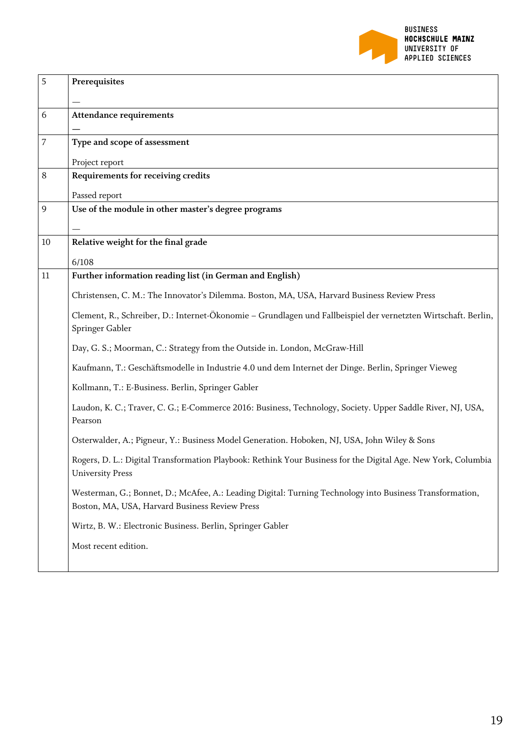

| Prerequisites                                                                                                                                              |
|------------------------------------------------------------------------------------------------------------------------------------------------------------|
|                                                                                                                                                            |
| <b>Attendance requirements</b>                                                                                                                             |
| Type and scope of assessment                                                                                                                               |
| Project report                                                                                                                                             |
| Requirements for receiving credits                                                                                                                         |
| Passed report                                                                                                                                              |
| Use of the module in other master's degree programs                                                                                                        |
| Relative weight for the final grade                                                                                                                        |
| 6/108                                                                                                                                                      |
| Further information reading list (in German and English)                                                                                                   |
| Christensen, C. M.: The Innovator's Dilemma. Boston, MA, USA, Harvard Business Review Press                                                                |
| Clement, R., Schreiber, D.: Internet-Ökonomie – Grundlagen und Fallbeispiel der vernetzten Wirtschaft. Berlin,<br>Springer Gabler                          |
| Day, G. S.; Moorman, C.: Strategy from the Outside in. London, McGraw-Hill                                                                                 |
| Kaufmann, T.: Geschäftsmodelle in Industrie 4.0 und dem Internet der Dinge. Berlin, Springer Vieweg                                                        |
| Kollmann, T.: E-Business. Berlin, Springer Gabler                                                                                                          |
| Laudon, K. C.; Traver, C. G.; E-Commerce 2016: Business, Technology, Society. Upper Saddle River, NJ, USA,<br>Pearson                                      |
| Osterwalder, A.; Pigneur, Y.: Business Model Generation. Hoboken, NJ, USA, John Wiley & Sons                                                               |
| Rogers, D. L.: Digital Transformation Playbook: Rethink Your Business for the Digital Age. New York, Columbia<br><b>University Press</b>                   |
| Westerman, G.; Bonnet, D.; McAfee, A.: Leading Digital: Turning Technology into Business Transformation,<br>Boston, MA, USA, Harvard Business Review Press |
| Wirtz, B. W.: Electronic Business. Berlin, Springer Gabler                                                                                                 |
| Most recent edition.                                                                                                                                       |
|                                                                                                                                                            |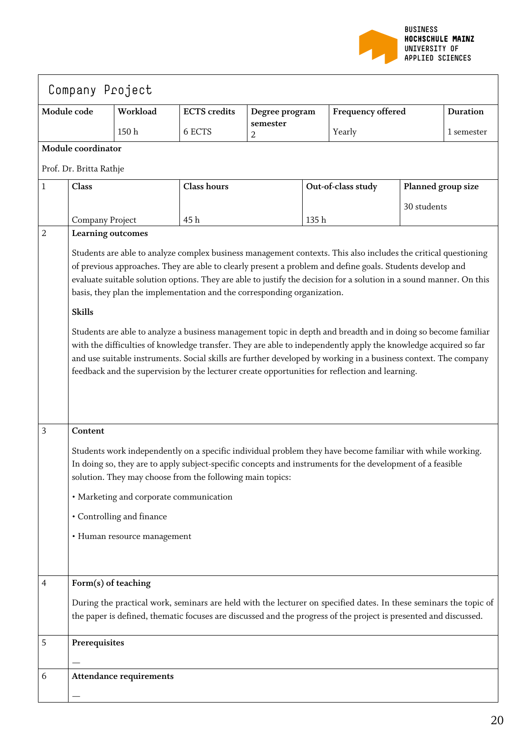

| Company Project |                                                                                                                                                                                                                                                                                                                                                                                                                                                                                                                                                                                                                                                                                                                                                                                                                                                                                                                              |          |                     |                |      |                                                                                                                                                                                                                                       |                    |                 |
|-----------------|------------------------------------------------------------------------------------------------------------------------------------------------------------------------------------------------------------------------------------------------------------------------------------------------------------------------------------------------------------------------------------------------------------------------------------------------------------------------------------------------------------------------------------------------------------------------------------------------------------------------------------------------------------------------------------------------------------------------------------------------------------------------------------------------------------------------------------------------------------------------------------------------------------------------------|----------|---------------------|----------------|------|---------------------------------------------------------------------------------------------------------------------------------------------------------------------------------------------------------------------------------------|--------------------|-----------------|
|                 | Module code                                                                                                                                                                                                                                                                                                                                                                                                                                                                                                                                                                                                                                                                                                                                                                                                                                                                                                                  | Workload | <b>ECTS</b> credits | Degree program |      | Frequency offered                                                                                                                                                                                                                     |                    | <b>Duration</b> |
|                 |                                                                                                                                                                                                                                                                                                                                                                                                                                                                                                                                                                                                                                                                                                                                                                                                                                                                                                                              | 150h     | 6 ECTS              | semester<br>2  |      | Yearly                                                                                                                                                                                                                                |                    | 1 semester      |
|                 | Module coordinator                                                                                                                                                                                                                                                                                                                                                                                                                                                                                                                                                                                                                                                                                                                                                                                                                                                                                                           |          |                     |                |      |                                                                                                                                                                                                                                       |                    |                 |
|                 | Prof. Dr. Britta Rathje                                                                                                                                                                                                                                                                                                                                                                                                                                                                                                                                                                                                                                                                                                                                                                                                                                                                                                      |          |                     |                |      |                                                                                                                                                                                                                                       |                    |                 |
| 1               | Class                                                                                                                                                                                                                                                                                                                                                                                                                                                                                                                                                                                                                                                                                                                                                                                                                                                                                                                        |          | <b>Class hours</b>  |                |      | Out-of-class study                                                                                                                                                                                                                    | Planned group size |                 |
|                 |                                                                                                                                                                                                                                                                                                                                                                                                                                                                                                                                                                                                                                                                                                                                                                                                                                                                                                                              |          |                     |                |      |                                                                                                                                                                                                                                       | 30 students        |                 |
| $\overline{2}$  | Company Project                                                                                                                                                                                                                                                                                                                                                                                                                                                                                                                                                                                                                                                                                                                                                                                                                                                                                                              |          | 45h                 |                | 135h |                                                                                                                                                                                                                                       |                    |                 |
|                 | Learning outcomes<br>Students are able to analyze complex business management contexts. This also includes the critical questioning<br>of previous approaches. They are able to clearly present a problem and define goals. Students develop and<br>evaluate suitable solution options. They are able to justify the decision for a solution in a sound manner. On this<br>basis, they plan the implementation and the corresponding organization.<br><b>Skills</b><br>Students are able to analyze a business management topic in depth and breadth and in doing so become familiar<br>with the difficulties of knowledge transfer. They are able to independently apply the knowledge acquired so far<br>and use suitable instruments. Social skills are further developed by working in a business context. The company<br>feedback and the supervision by the lecturer create opportunities for reflection and learning. |          |                     |                |      |                                                                                                                                                                                                                                       |                    |                 |
| 3               | Content<br>Students work independently on a specific individual problem they have become familiar with while working.<br>In doing so, they are to apply subject-specific concepts and instruments for the development of a feasible<br>solution. They may choose from the following main topics:<br>· Marketing and corporate communication<br>• Controlling and finance<br>· Human resource management                                                                                                                                                                                                                                                                                                                                                                                                                                                                                                                      |          |                     |                |      |                                                                                                                                                                                                                                       |                    |                 |
| 4               | Form(s) of teaching                                                                                                                                                                                                                                                                                                                                                                                                                                                                                                                                                                                                                                                                                                                                                                                                                                                                                                          |          |                     |                |      | During the practical work, seminars are held with the lecturer on specified dates. In these seminars the topic of<br>the paper is defined, thematic focuses are discussed and the progress of the project is presented and discussed. |                    |                 |
| 5               | Prerequisites                                                                                                                                                                                                                                                                                                                                                                                                                                                                                                                                                                                                                                                                                                                                                                                                                                                                                                                |          |                     |                |      |                                                                                                                                                                                                                                       |                    |                 |
| 6               | <b>Attendance requirements</b>                                                                                                                                                                                                                                                                                                                                                                                                                                                                                                                                                                                                                                                                                                                                                                                                                                                                                               |          |                     |                |      |                                                                                                                                                                                                                                       |                    |                 |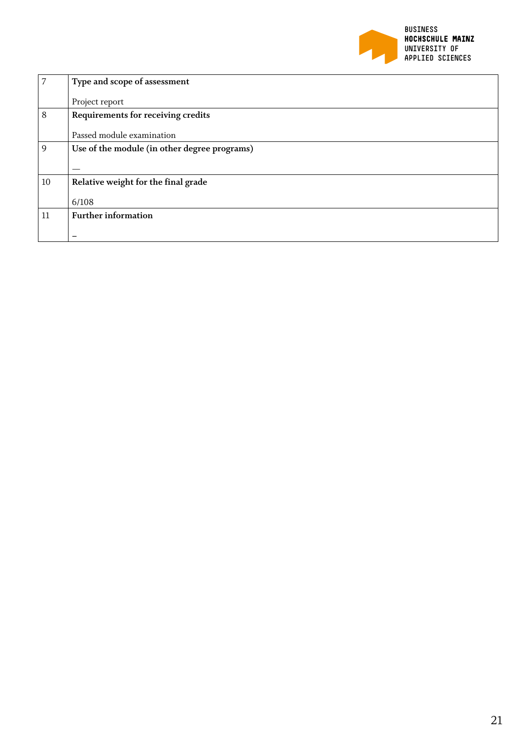

| 7  | Type and scope of assessment                 |
|----|----------------------------------------------|
|    | Project report                               |
| 8  | Requirements for receiving credits           |
|    | Passed module examination                    |
| 9  | Use of the module (in other degree programs) |
|    |                                              |
| 10 | Relative weight for the final grade          |
|    | 6/108                                        |
| 11 | <b>Further information</b>                   |
|    |                                              |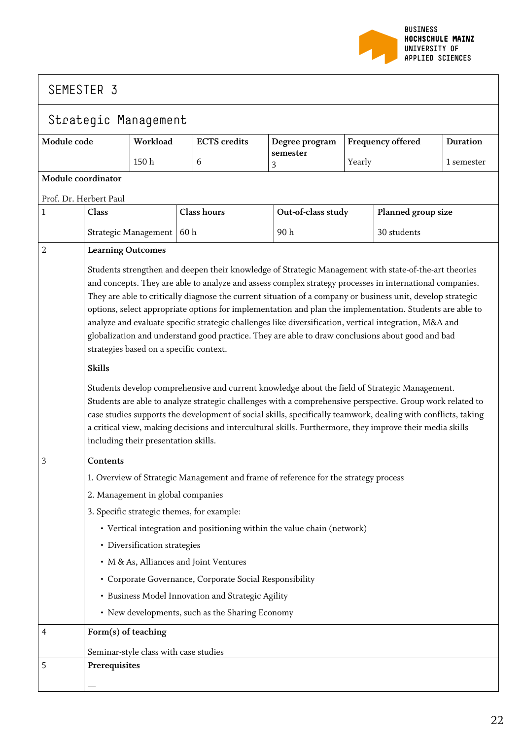

| Strategic Management   |                                                                                                                                                                                                                                                                                                                                                                                                                                                                                                                                                                                                                                                                                                                                                                                                                                                                                                                                                                                                                                                                                                                                                                   |                                            |                    |                                                         |                                                                                     |        |                    |                 |
|------------------------|-------------------------------------------------------------------------------------------------------------------------------------------------------------------------------------------------------------------------------------------------------------------------------------------------------------------------------------------------------------------------------------------------------------------------------------------------------------------------------------------------------------------------------------------------------------------------------------------------------------------------------------------------------------------------------------------------------------------------------------------------------------------------------------------------------------------------------------------------------------------------------------------------------------------------------------------------------------------------------------------------------------------------------------------------------------------------------------------------------------------------------------------------------------------|--------------------------------------------|--------------------|---------------------------------------------------------|-------------------------------------------------------------------------------------|--------|--------------------|-----------------|
| Module code            |                                                                                                                                                                                                                                                                                                                                                                                                                                                                                                                                                                                                                                                                                                                                                                                                                                                                                                                                                                                                                                                                                                                                                                   | Workload                                   |                    | <b>ECTS</b> credits                                     | Degree program                                                                      |        | Frequency offered  | <b>Duration</b> |
|                        |                                                                                                                                                                                                                                                                                                                                                                                                                                                                                                                                                                                                                                                                                                                                                                                                                                                                                                                                                                                                                                                                                                                                                                   | $150\ \mathrm{h}$                          |                    | 6                                                       | semester<br>3                                                                       | Yearly |                    | 1 semester      |
| Module coordinator     |                                                                                                                                                                                                                                                                                                                                                                                                                                                                                                                                                                                                                                                                                                                                                                                                                                                                                                                                                                                                                                                                                                                                                                   |                                            |                    |                                                         |                                                                                     |        |                    |                 |
| Prof. Dr. Herbert Paul |                                                                                                                                                                                                                                                                                                                                                                                                                                                                                                                                                                                                                                                                                                                                                                                                                                                                                                                                                                                                                                                                                                                                                                   |                                            |                    |                                                         |                                                                                     |        |                    |                 |
| 1                      | Class                                                                                                                                                                                                                                                                                                                                                                                                                                                                                                                                                                                                                                                                                                                                                                                                                                                                                                                                                                                                                                                                                                                                                             |                                            | <b>Class hours</b> |                                                         | Out-of-class study                                                                  |        | Planned group size |                 |
|                        |                                                                                                                                                                                                                                                                                                                                                                                                                                                                                                                                                                                                                                                                                                                                                                                                                                                                                                                                                                                                                                                                                                                                                                   | Strategic Management                       | 60 h               |                                                         | 90h                                                                                 |        | 30 students        |                 |
| 2                      | <b>Learning Outcomes</b>                                                                                                                                                                                                                                                                                                                                                                                                                                                                                                                                                                                                                                                                                                                                                                                                                                                                                                                                                                                                                                                                                                                                          |                                            |                    |                                                         |                                                                                     |        |                    |                 |
|                        | Students strengthen and deepen their knowledge of Strategic Management with state-of-the-art theories<br>and concepts. They are able to analyze and assess complex strategy processes in international companies.<br>They are able to critically diagnose the current situation of a company or business unit, develop strategic<br>options, select appropriate options for implementation and plan the implementation. Students are able to<br>analyze and evaluate specific strategic challenges like diversification, vertical integration, M&A and<br>globalization and understand good practice. They are able to draw conclusions about good and bad<br>strategies based on a specific context.<br><b>Skills</b><br>Students develop comprehensive and current knowledge about the field of Strategic Management.<br>Students are able to analyze strategic challenges with a comprehensive perspective. Group work related to<br>case studies supports the development of social skills, specifically teamwork, dealing with conflicts, taking<br>a critical view, making decisions and intercultural skills. Furthermore, they improve their media skills |                                            |                    |                                                         |                                                                                     |        |                    |                 |
| 3                      | Contents                                                                                                                                                                                                                                                                                                                                                                                                                                                                                                                                                                                                                                                                                                                                                                                                                                                                                                                                                                                                                                                                                                                                                          | including their presentation skills.       |                    |                                                         |                                                                                     |        |                    |                 |
|                        |                                                                                                                                                                                                                                                                                                                                                                                                                                                                                                                                                                                                                                                                                                                                                                                                                                                                                                                                                                                                                                                                                                                                                                   |                                            |                    |                                                         | 1. Overview of Strategic Management and frame of reference for the strategy process |        |                    |                 |
|                        |                                                                                                                                                                                                                                                                                                                                                                                                                                                                                                                                                                                                                                                                                                                                                                                                                                                                                                                                                                                                                                                                                                                                                                   | 2. Management in global companies          |                    |                                                         |                                                                                     |        |                    |                 |
|                        |                                                                                                                                                                                                                                                                                                                                                                                                                                                                                                                                                                                                                                                                                                                                                                                                                                                                                                                                                                                                                                                                                                                                                                   | 3. Specific strategic themes, for example: |                    |                                                         |                                                                                     |        |                    |                 |
|                        |                                                                                                                                                                                                                                                                                                                                                                                                                                                                                                                                                                                                                                                                                                                                                                                                                                                                                                                                                                                                                                                                                                                                                                   |                                            |                    |                                                         | • Vertical integration and positioning within the value chain (network)             |        |                    |                 |
|                        |                                                                                                                                                                                                                                                                                                                                                                                                                                                                                                                                                                                                                                                                                                                                                                                                                                                                                                                                                                                                                                                                                                                                                                   | • Diversification strategies               |                    |                                                         |                                                                                     |        |                    |                 |
|                        |                                                                                                                                                                                                                                                                                                                                                                                                                                                                                                                                                                                                                                                                                                                                                                                                                                                                                                                                                                                                                                                                                                                                                                   |                                            |                    | • M & As, Alliances and Joint Ventures                  |                                                                                     |        |                    |                 |
|                        |                                                                                                                                                                                                                                                                                                                                                                                                                                                                                                                                                                                                                                                                                                                                                                                                                                                                                                                                                                                                                                                                                                                                                                   |                                            |                    | • Corporate Governance, Corporate Social Responsibility |                                                                                     |        |                    |                 |
|                        |                                                                                                                                                                                                                                                                                                                                                                                                                                                                                                                                                                                                                                                                                                                                                                                                                                                                                                                                                                                                                                                                                                                                                                   |                                            |                    | • Business Model Innovation and Strategic Agility       |                                                                                     |        |                    |                 |
|                        |                                                                                                                                                                                                                                                                                                                                                                                                                                                                                                                                                                                                                                                                                                                                                                                                                                                                                                                                                                                                                                                                                                                                                                   |                                            |                    | • New developments, such as the Sharing Economy         |                                                                                     |        |                    |                 |
| 4                      | Form(s) of teaching                                                                                                                                                                                                                                                                                                                                                                                                                                                                                                                                                                                                                                                                                                                                                                                                                                                                                                                                                                                                                                                                                                                                               |                                            |                    |                                                         |                                                                                     |        |                    |                 |
|                        |                                                                                                                                                                                                                                                                                                                                                                                                                                                                                                                                                                                                                                                                                                                                                                                                                                                                                                                                                                                                                                                                                                                                                                   | Seminar-style class with case studies      |                    |                                                         |                                                                                     |        |                    |                 |
| 5                      | Prerequisites                                                                                                                                                                                                                                                                                                                                                                                                                                                                                                                                                                                                                                                                                                                                                                                                                                                                                                                                                                                                                                                                                                                                                     |                                            |                    |                                                         |                                                                                     |        |                    |                 |
|                        |                                                                                                                                                                                                                                                                                                                                                                                                                                                                                                                                                                                                                                                                                                                                                                                                                                                                                                                                                                                                                                                                                                                                                                   |                                            |                    |                                                         |                                                                                     |        |                    |                 |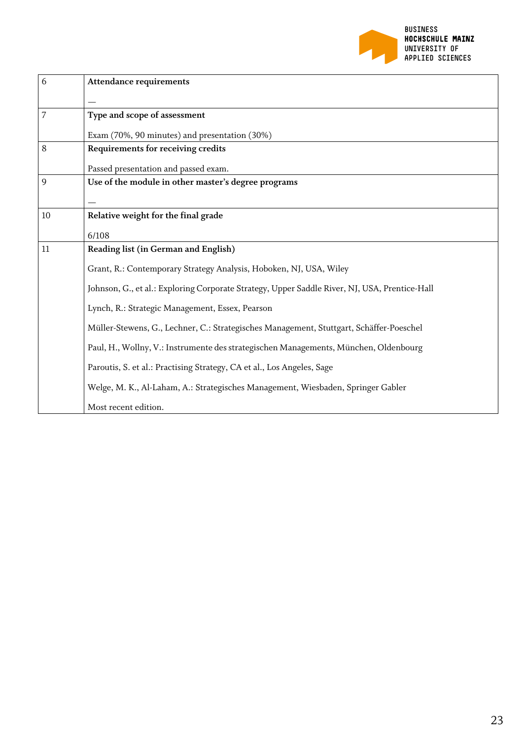

| 6  | <b>Attendance requirements</b>                                                                |
|----|-----------------------------------------------------------------------------------------------|
|    |                                                                                               |
| 7  | Type and scope of assessment                                                                  |
|    | Exam (70%, 90 minutes) and presentation (30%)                                                 |
| 8  | Requirements for receiving credits                                                            |
|    | Passed presentation and passed exam.                                                          |
| 9  | Use of the module in other master's degree programs                                           |
|    |                                                                                               |
| 10 | Relative weight for the final grade                                                           |
|    | 6/108                                                                                         |
| 11 | Reading list (in German and English)                                                          |
|    | Grant, R.: Contemporary Strategy Analysis, Hoboken, NJ, USA, Wiley                            |
|    | Johnson, G., et al.: Exploring Corporate Strategy, Upper Saddle River, NJ, USA, Prentice-Hall |
|    | Lynch, R.: Strategic Management, Essex, Pearson                                               |
|    | Müller-Stewens, G., Lechner, C.: Strategisches Management, Stuttgart, Schäffer-Poeschel       |
|    | Paul, H., Wollny, V.: Instrumente des strategischen Managements, München, Oldenbourg          |
|    | Paroutis, S. et al.: Practising Strategy, CA et al., Los Angeles, Sage                        |
|    | Welge, M. K., Al-Laham, A.: Strategisches Management, Wiesbaden, Springer Gabler              |
|    | Most recent edition.                                                                          |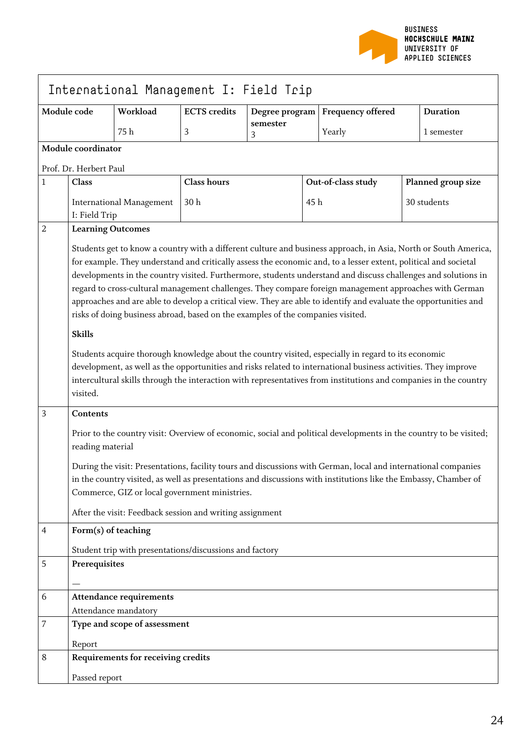

| International Management I: Field Trip |                                                                                                                                                                                                                                                                                                                                                                                                                                                                                                                                                                                                                                                                                                                                                                                                                                                                                                                                                                                                                                                |                                                         |                     |                |     |                    |                                                                                                                   |
|----------------------------------------|------------------------------------------------------------------------------------------------------------------------------------------------------------------------------------------------------------------------------------------------------------------------------------------------------------------------------------------------------------------------------------------------------------------------------------------------------------------------------------------------------------------------------------------------------------------------------------------------------------------------------------------------------------------------------------------------------------------------------------------------------------------------------------------------------------------------------------------------------------------------------------------------------------------------------------------------------------------------------------------------------------------------------------------------|---------------------------------------------------------|---------------------|----------------|-----|--------------------|-------------------------------------------------------------------------------------------------------------------|
| Module code                            |                                                                                                                                                                                                                                                                                                                                                                                                                                                                                                                                                                                                                                                                                                                                                                                                                                                                                                                                                                                                                                                | Workload                                                | <b>ECTS</b> credits | Degree program |     | Frequency offered  | <b>Duration</b>                                                                                                   |
|                                        |                                                                                                                                                                                                                                                                                                                                                                                                                                                                                                                                                                                                                                                                                                                                                                                                                                                                                                                                                                                                                                                | 75 h                                                    | 3                   | semester<br>3  |     | Yearly             | 1 semester                                                                                                        |
|                                        | Module coordinator                                                                                                                                                                                                                                                                                                                                                                                                                                                                                                                                                                                                                                                                                                                                                                                                                                                                                                                                                                                                                             |                                                         |                     |                |     |                    |                                                                                                                   |
|                                        | Prof. Dr. Herbert Paul                                                                                                                                                                                                                                                                                                                                                                                                                                                                                                                                                                                                                                                                                                                                                                                                                                                                                                                                                                                                                         |                                                         |                     |                |     |                    |                                                                                                                   |
| 1                                      | Class                                                                                                                                                                                                                                                                                                                                                                                                                                                                                                                                                                                                                                                                                                                                                                                                                                                                                                                                                                                                                                          |                                                         | <b>Class hours</b>  |                |     | Out-of-class study | Planned group size                                                                                                |
|                                        | I: Field Trip                                                                                                                                                                                                                                                                                                                                                                                                                                                                                                                                                                                                                                                                                                                                                                                                                                                                                                                                                                                                                                  | <b>International Management</b>                         | 30 <sub>h</sub>     |                | 45h |                    | 30 students                                                                                                       |
| 2                                      | <b>Learning Outcomes</b>                                                                                                                                                                                                                                                                                                                                                                                                                                                                                                                                                                                                                                                                                                                                                                                                                                                                                                                                                                                                                       |                                                         |                     |                |     |                    |                                                                                                                   |
| 3                                      | Students get to know a country with a different culture and business approach, in Asia, North or South America,<br>for example. They understand and critically assess the economic and, to a lesser extent, political and societal<br>developments in the country visited. Furthermore, students understand and discuss challenges and solutions in<br>regard to cross-cultural management challenges. They compare foreign management approaches with German<br>approaches and are able to develop a critical view. They are able to identify and evaluate the opportunities and<br>risks of doing business abroad, based on the examples of the companies visited.<br><b>Skills</b><br>Students acquire thorough knowledge about the country visited, especially in regard to its economic<br>development, as well as the opportunities and risks related to international business activities. They improve<br>intercultural skills through the interaction with representatives from institutions and companies in the country<br>visited. |                                                         |                     |                |     |                    |                                                                                                                   |
|                                        | Contents<br>reading material                                                                                                                                                                                                                                                                                                                                                                                                                                                                                                                                                                                                                                                                                                                                                                                                                                                                                                                                                                                                                   |                                                         |                     |                |     |                    | Prior to the country visit: Overview of economic, social and political developments in the country to be visited; |
|                                        | During the visit: Presentations, facility tours and discussions with German, local and international companies<br>in the country visited, as well as presentations and discussions with institutions like the Embassy, Chamber of<br>Commerce, GIZ or local government ministries.<br>After the visit: Feedback session and writing assignment                                                                                                                                                                                                                                                                                                                                                                                                                                                                                                                                                                                                                                                                                                 |                                                         |                     |                |     |                    |                                                                                                                   |
| 4                                      | Form(s) of teaching                                                                                                                                                                                                                                                                                                                                                                                                                                                                                                                                                                                                                                                                                                                                                                                                                                                                                                                                                                                                                            |                                                         |                     |                |     |                    |                                                                                                                   |
|                                        |                                                                                                                                                                                                                                                                                                                                                                                                                                                                                                                                                                                                                                                                                                                                                                                                                                                                                                                                                                                                                                                | Student trip with presentations/discussions and factory |                     |                |     |                    |                                                                                                                   |
| 5                                      | Prerequisites                                                                                                                                                                                                                                                                                                                                                                                                                                                                                                                                                                                                                                                                                                                                                                                                                                                                                                                                                                                                                                  |                                                         |                     |                |     |                    |                                                                                                                   |
| 6                                      |                                                                                                                                                                                                                                                                                                                                                                                                                                                                                                                                                                                                                                                                                                                                                                                                                                                                                                                                                                                                                                                | <b>Attendance requirements</b>                          |                     |                |     |                    |                                                                                                                   |
|                                        |                                                                                                                                                                                                                                                                                                                                                                                                                                                                                                                                                                                                                                                                                                                                                                                                                                                                                                                                                                                                                                                | Attendance mandatory                                    |                     |                |     |                    |                                                                                                                   |
| 7                                      |                                                                                                                                                                                                                                                                                                                                                                                                                                                                                                                                                                                                                                                                                                                                                                                                                                                                                                                                                                                                                                                | Type and scope of assessment                            |                     |                |     |                    |                                                                                                                   |
| 8                                      | Report                                                                                                                                                                                                                                                                                                                                                                                                                                                                                                                                                                                                                                                                                                                                                                                                                                                                                                                                                                                                                                         | Requirements for receiving credits                      |                     |                |     |                    |                                                                                                                   |
|                                        |                                                                                                                                                                                                                                                                                                                                                                                                                                                                                                                                                                                                                                                                                                                                                                                                                                                                                                                                                                                                                                                |                                                         |                     |                |     |                    |                                                                                                                   |
|                                        | Passed report                                                                                                                                                                                                                                                                                                                                                                                                                                                                                                                                                                                                                                                                                                                                                                                                                                                                                                                                                                                                                                  |                                                         |                     |                |     |                    |                                                                                                                   |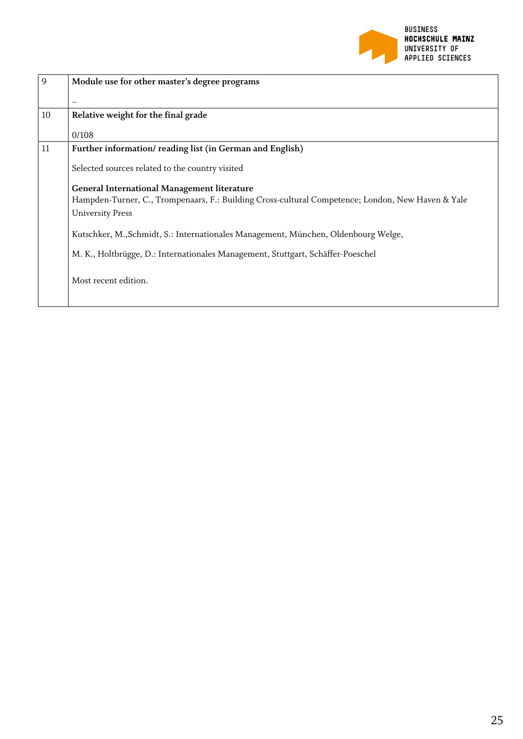

| 9  | Module use for other master's degree programs                                                     |
|----|---------------------------------------------------------------------------------------------------|
|    |                                                                                                   |
| 10 | Relative weight for the final grade                                                               |
|    | 0/108                                                                                             |
| 11 | Further information/reading list (in German and English)                                          |
|    | Selected sources related to the country visited                                                   |
|    | <b>General International Management literature</b>                                                |
|    | Hampden-Turner, C., Trompenaars, F.: Building Cross-cultural Competence; London, New Haven & Yale |
|    | <b>University Press</b>                                                                           |
|    | Kutschker, M., Schmidt, S.: Internationales Management, München, Oldenbourg Welge,                |
|    | M. K., Holtbrügge, D.: Internationales Management, Stuttgart, Schäffer-Poeschel                   |
|    | Most recent edition.                                                                              |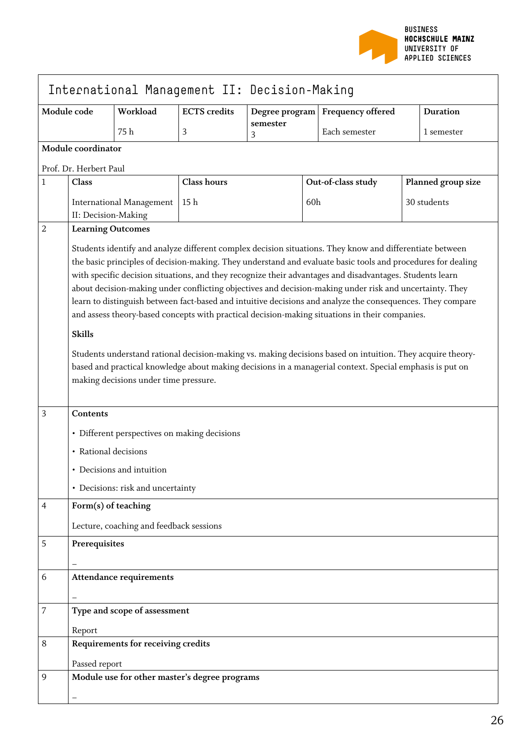

|                  | International Management II: Decision-Making                                                                                                                                                                                                                                                                                                                                                                                                                                                                                                                                                                                                                                                                                                                                                                                                                                                                                                        |                                              |                                               |                |     |                    |                    |  |
|------------------|-----------------------------------------------------------------------------------------------------------------------------------------------------------------------------------------------------------------------------------------------------------------------------------------------------------------------------------------------------------------------------------------------------------------------------------------------------------------------------------------------------------------------------------------------------------------------------------------------------------------------------------------------------------------------------------------------------------------------------------------------------------------------------------------------------------------------------------------------------------------------------------------------------------------------------------------------------|----------------------------------------------|-----------------------------------------------|----------------|-----|--------------------|--------------------|--|
| Module code      |                                                                                                                                                                                                                                                                                                                                                                                                                                                                                                                                                                                                                                                                                                                                                                                                                                                                                                                                                     | Workload                                     | <b>ECTS</b> credits                           | Degree program |     | Frequency offered  | <b>Duration</b>    |  |
|                  |                                                                                                                                                                                                                                                                                                                                                                                                                                                                                                                                                                                                                                                                                                                                                                                                                                                                                                                                                     | 75 h                                         | 3                                             | semester<br>3  |     | Each semester      | 1 semester         |  |
|                  | Module coordinator                                                                                                                                                                                                                                                                                                                                                                                                                                                                                                                                                                                                                                                                                                                                                                                                                                                                                                                                  |                                              |                                               |                |     |                    |                    |  |
|                  | Prof. Dr. Herbert Paul                                                                                                                                                                                                                                                                                                                                                                                                                                                                                                                                                                                                                                                                                                                                                                                                                                                                                                                              |                                              |                                               |                |     |                    |                    |  |
| $\mathbf{1}$     | Class                                                                                                                                                                                                                                                                                                                                                                                                                                                                                                                                                                                                                                                                                                                                                                                                                                                                                                                                               |                                              | <b>Class hours</b>                            |                |     | Out-of-class study | Planned group size |  |
|                  |                                                                                                                                                                                                                                                                                                                                                                                                                                                                                                                                                                                                                                                                                                                                                                                                                                                                                                                                                     | <b>International Management</b>              | 15 h                                          |                | 60h |                    | 30 students        |  |
|                  | II: Decision-Making                                                                                                                                                                                                                                                                                                                                                                                                                                                                                                                                                                                                                                                                                                                                                                                                                                                                                                                                 |                                              |                                               |                |     |                    |                    |  |
| $\overline{2}$   | <b>Learning Outcomes</b>                                                                                                                                                                                                                                                                                                                                                                                                                                                                                                                                                                                                                                                                                                                                                                                                                                                                                                                            |                                              |                                               |                |     |                    |                    |  |
|                  | Students identify and analyze different complex decision situations. They know and differentiate between<br>the basic principles of decision-making. They understand and evaluate basic tools and procedures for dealing<br>with specific decision situations, and they recognize their advantages and disadvantages. Students learn<br>about decision-making under conflicting objectives and decision-making under risk and uncertainty. They<br>learn to distinguish between fact-based and intuitive decisions and analyze the consequences. They compare<br>and assess theory-based concepts with practical decision-making situations in their companies.<br><b>Skills</b><br>Students understand rational decision-making vs. making decisions based on intuition. They acquire theory-<br>based and practical knowledge about making decisions in a managerial context. Special emphasis is put on<br>making decisions under time pressure. |                                              |                                               |                |     |                    |                    |  |
| $\overline{3}$   | <b>Contents</b>                                                                                                                                                                                                                                                                                                                                                                                                                                                                                                                                                                                                                                                                                                                                                                                                                                                                                                                                     |                                              |                                               |                |     |                    |                    |  |
|                  |                                                                                                                                                                                                                                                                                                                                                                                                                                                                                                                                                                                                                                                                                                                                                                                                                                                                                                                                                     | • Different perspectives on making decisions |                                               |                |     |                    |                    |  |
|                  | • Rational decisions                                                                                                                                                                                                                                                                                                                                                                                                                                                                                                                                                                                                                                                                                                                                                                                                                                                                                                                                |                                              |                                               |                |     |                    |                    |  |
|                  |                                                                                                                                                                                                                                                                                                                                                                                                                                                                                                                                                                                                                                                                                                                                                                                                                                                                                                                                                     | • Decisions and intuition                    |                                               |                |     |                    |                    |  |
|                  |                                                                                                                                                                                                                                                                                                                                                                                                                                                                                                                                                                                                                                                                                                                                                                                                                                                                                                                                                     | • Decisions: risk and uncertainty            |                                               |                |     |                    |                    |  |
| 4                | Form(s) of teaching                                                                                                                                                                                                                                                                                                                                                                                                                                                                                                                                                                                                                                                                                                                                                                                                                                                                                                                                 |                                              |                                               |                |     |                    |                    |  |
|                  |                                                                                                                                                                                                                                                                                                                                                                                                                                                                                                                                                                                                                                                                                                                                                                                                                                                                                                                                                     | Lecture, coaching and feedback sessions      |                                               |                |     |                    |                    |  |
| 5                | Prerequisites                                                                                                                                                                                                                                                                                                                                                                                                                                                                                                                                                                                                                                                                                                                                                                                                                                                                                                                                       |                                              |                                               |                |     |                    |                    |  |
|                  |                                                                                                                                                                                                                                                                                                                                                                                                                                                                                                                                                                                                                                                                                                                                                                                                                                                                                                                                                     |                                              |                                               |                |     |                    |                    |  |
| 6                |                                                                                                                                                                                                                                                                                                                                                                                                                                                                                                                                                                                                                                                                                                                                                                                                                                                                                                                                                     | <b>Attendance requirements</b>               |                                               |                |     |                    |                    |  |
|                  |                                                                                                                                                                                                                                                                                                                                                                                                                                                                                                                                                                                                                                                                                                                                                                                                                                                                                                                                                     |                                              |                                               |                |     |                    |                    |  |
| $\boldsymbol{7}$ |                                                                                                                                                                                                                                                                                                                                                                                                                                                                                                                                                                                                                                                                                                                                                                                                                                                                                                                                                     | Type and scope of assessment                 |                                               |                |     |                    |                    |  |
|                  | Report                                                                                                                                                                                                                                                                                                                                                                                                                                                                                                                                                                                                                                                                                                                                                                                                                                                                                                                                              |                                              |                                               |                |     |                    |                    |  |
| 8                |                                                                                                                                                                                                                                                                                                                                                                                                                                                                                                                                                                                                                                                                                                                                                                                                                                                                                                                                                     | Requirements for receiving credits           |                                               |                |     |                    |                    |  |
|                  | Passed report                                                                                                                                                                                                                                                                                                                                                                                                                                                                                                                                                                                                                                                                                                                                                                                                                                                                                                                                       |                                              |                                               |                |     |                    |                    |  |
| 9                |                                                                                                                                                                                                                                                                                                                                                                                                                                                                                                                                                                                                                                                                                                                                                                                                                                                                                                                                                     |                                              | Module use for other master's degree programs |                |     |                    |                    |  |
|                  |                                                                                                                                                                                                                                                                                                                                                                                                                                                                                                                                                                                                                                                                                                                                                                                                                                                                                                                                                     |                                              |                                               |                |     |                    |                    |  |

 $\mathbf{r}$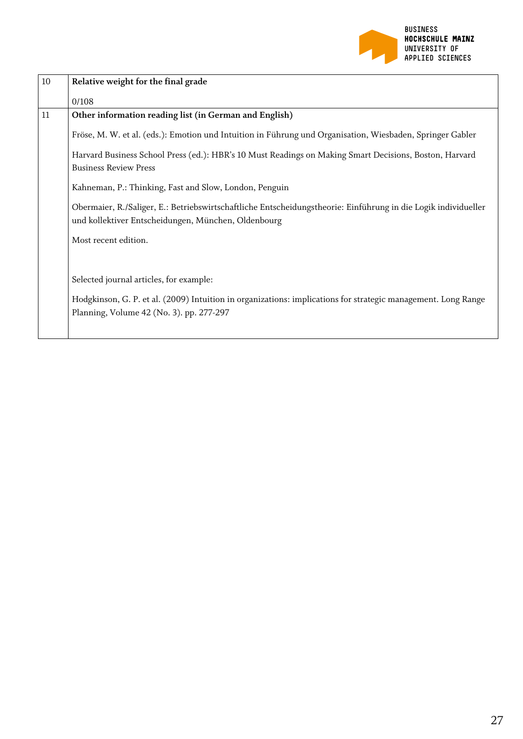

| $10\,$ | Relative weight for the final grade                                                                                                                                   |
|--------|-----------------------------------------------------------------------------------------------------------------------------------------------------------------------|
|        | 0/108                                                                                                                                                                 |
| 11     | Other information reading list (in German and English)                                                                                                                |
|        | Fröse, M. W. et al. (eds.): Emotion und Intuition in Führung und Organisation, Wiesbaden, Springer Gabler                                                             |
|        | Harvard Business School Press (ed.): HBR's 10 Must Readings on Making Smart Decisions, Boston, Harvard                                                                |
|        | <b>Business Review Press</b>                                                                                                                                          |
|        | Kahneman, P.: Thinking, Fast and Slow, London, Penguin                                                                                                                |
|        | Obermaier, R./Saliger, E.: Betriebswirtschaftliche Entscheidungstheorie: Einführung in die Logik individueller<br>und kollektiver Entscheidungen, München, Oldenbourg |
|        | Most recent edition.                                                                                                                                                  |
|        |                                                                                                                                                                       |
|        | Selected journal articles, for example:                                                                                                                               |
|        | Hodgkinson, G. P. et al. (2009) Intuition in organizations: implications for strategic management. Long Range                                                         |
|        | Planning, Volume 42 (No. 3). pp. 277-297                                                                                                                              |
|        |                                                                                                                                                                       |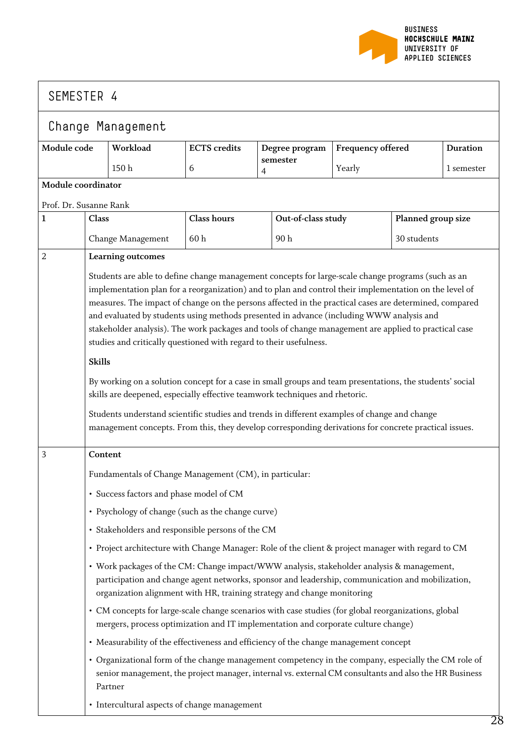

 $\mathbf{I}$ 

|                        | Change Management                                                                                                                                                                                                                                                                                                                                                                                                                                                                                                                                                                                 |                                                                                                                                                                                                                                                                          |                     |                            |                    |                          |                    |                 |
|------------------------|---------------------------------------------------------------------------------------------------------------------------------------------------------------------------------------------------------------------------------------------------------------------------------------------------------------------------------------------------------------------------------------------------------------------------------------------------------------------------------------------------------------------------------------------------------------------------------------------------|--------------------------------------------------------------------------------------------------------------------------------------------------------------------------------------------------------------------------------------------------------------------------|---------------------|----------------------------|--------------------|--------------------------|--------------------|-----------------|
| Module code            |                                                                                                                                                                                                                                                                                                                                                                                                                                                                                                                                                                                                   | Workload                                                                                                                                                                                                                                                                 | <b>ECTS</b> credits |                            | Degree program     | <b>Frequency offered</b> |                    | <b>Duration</b> |
|                        |                                                                                                                                                                                                                                                                                                                                                                                                                                                                                                                                                                                                   | 150 <sub>h</sub>                                                                                                                                                                                                                                                         | 6                   | semester<br>$\overline{4}$ |                    | Yearly                   |                    | 1 semester      |
| Module coordinator     |                                                                                                                                                                                                                                                                                                                                                                                                                                                                                                                                                                                                   |                                                                                                                                                                                                                                                                          |                     |                            |                    |                          |                    |                 |
| Prof. Dr. Susanne Rank |                                                                                                                                                                                                                                                                                                                                                                                                                                                                                                                                                                                                   |                                                                                                                                                                                                                                                                          |                     |                            |                    |                          |                    |                 |
| $\mathbf{1}$           | Class                                                                                                                                                                                                                                                                                                                                                                                                                                                                                                                                                                                             |                                                                                                                                                                                                                                                                          | <b>Class hours</b>  |                            | Out-of-class study |                          | Planned group size |                 |
|                        |                                                                                                                                                                                                                                                                                                                                                                                                                                                                                                                                                                                                   | Change Management                                                                                                                                                                                                                                                        | 60h                 |                            | 90h                |                          | 30 students        |                 |
| $\overline{2}$         |                                                                                                                                                                                                                                                                                                                                                                                                                                                                                                                                                                                                   | Learning outcomes                                                                                                                                                                                                                                                        |                     |                            |                    |                          |                    |                 |
|                        | Students are able to define change management concepts for large-scale change programs (such as an<br>implementation plan for a reorganization) and to plan and control their implementation on the level of<br>measures. The impact of change on the persons affected in the practical cases are determined, compared<br>and evaluated by students using methods presented in advance (including WWW analysis and<br>stakeholder analysis). The work packages and tools of change management are applied to practical case<br>studies and critically questioned with regard to their usefulness. |                                                                                                                                                                                                                                                                          |                     |                            |                    |                          |                    |                 |
|                        | <b>Skills</b>                                                                                                                                                                                                                                                                                                                                                                                                                                                                                                                                                                                     |                                                                                                                                                                                                                                                                          |                     |                            |                    |                          |                    |                 |
|                        |                                                                                                                                                                                                                                                                                                                                                                                                                                                                                                                                                                                                   | By working on a solution concept for a case in small groups and team presentations, the students' social<br>skills are deepened, especially effective teamwork techniques and rhetoric.                                                                                  |                     |                            |                    |                          |                    |                 |
|                        |                                                                                                                                                                                                                                                                                                                                                                                                                                                                                                                                                                                                   | Students understand scientific studies and trends in different examples of change and change<br>management concepts. From this, they develop corresponding derivations for concrete practical issues.                                                                    |                     |                            |                    |                          |                    |                 |
| 3                      | Content                                                                                                                                                                                                                                                                                                                                                                                                                                                                                                                                                                                           |                                                                                                                                                                                                                                                                          |                     |                            |                    |                          |                    |                 |
|                        |                                                                                                                                                                                                                                                                                                                                                                                                                                                                                                                                                                                                   | Fundamentals of Change Management (CM), in particular:                                                                                                                                                                                                                   |                     |                            |                    |                          |                    |                 |
|                        |                                                                                                                                                                                                                                                                                                                                                                                                                                                                                                                                                                                                   | • Success factors and phase model of CM                                                                                                                                                                                                                                  |                     |                            |                    |                          |                    |                 |
|                        |                                                                                                                                                                                                                                                                                                                                                                                                                                                                                                                                                                                                   | • Psychology of change (such as the change curve)                                                                                                                                                                                                                        |                     |                            |                    |                          |                    |                 |
|                        |                                                                                                                                                                                                                                                                                                                                                                                                                                                                                                                                                                                                   | · Stakeholders and responsible persons of the CM                                                                                                                                                                                                                         |                     |                            |                    |                          |                    |                 |
|                        |                                                                                                                                                                                                                                                                                                                                                                                                                                                                                                                                                                                                   | • Project architecture with Change Manager: Role of the client & project manager with regard to CM                                                                                                                                                                       |                     |                            |                    |                          |                    |                 |
|                        |                                                                                                                                                                                                                                                                                                                                                                                                                                                                                                                                                                                                   | • Work packages of the CM: Change impact/WWW analysis, stakeholder analysis & management,<br>participation and change agent networks, sponsor and leadership, communication and mobilization,<br>organization alignment with HR, training strategy and change monitoring |                     |                            |                    |                          |                    |                 |
|                        |                                                                                                                                                                                                                                                                                                                                                                                                                                                                                                                                                                                                   | • CM concepts for large-scale change scenarios with case studies (for global reorganizations, global<br>mergers, process optimization and IT implementation and corporate culture change)                                                                                |                     |                            |                    |                          |                    |                 |
|                        |                                                                                                                                                                                                                                                                                                                                                                                                                                                                                                                                                                                                   | • Measurability of the effectiveness and efficiency of the change management concept                                                                                                                                                                                     |                     |                            |                    |                          |                    |                 |
|                        |                                                                                                                                                                                                                                                                                                                                                                                                                                                                                                                                                                                                   | • Organizational form of the change management competency in the company, especially the CM role of<br>senior management, the project manager, internal vs. external CM consultants and also the HR Business<br>Partner                                                  |                     |                            |                    |                          |                    |                 |
|                        |                                                                                                                                                                                                                                                                                                                                                                                                                                                                                                                                                                                                   | • Intercultural aspects of change management                                                                                                                                                                                                                             |                     |                            |                    |                          |                    |                 |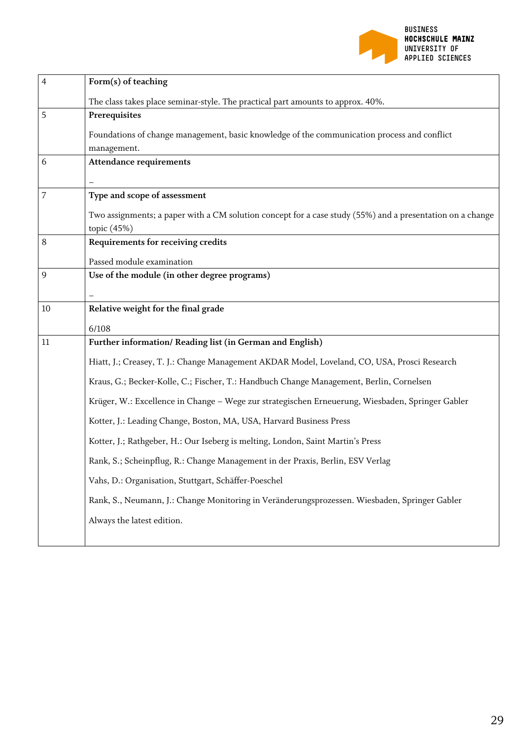

| 4  | Form(s) of teaching                                                                                                      |
|----|--------------------------------------------------------------------------------------------------------------------------|
|    | The class takes place seminar-style. The practical part amounts to approx. 40%.                                          |
| 5  | Prerequisites                                                                                                            |
|    | Foundations of change management, basic knowledge of the communication process and conflict<br>management.               |
| 6  | <b>Attendance requirements</b>                                                                                           |
| 7  | Type and scope of assessment                                                                                             |
|    | Two assignments; a paper with a CM solution concept for a case study (55%) and a presentation on a change<br>topic (45%) |
| 8  | Requirements for receiving credits                                                                                       |
|    | Passed module examination                                                                                                |
| 9  | Use of the module (in other degree programs)                                                                             |
|    |                                                                                                                          |
| 10 | Relative weight for the final grade                                                                                      |
|    | 6/108                                                                                                                    |
| 11 | Further information/ Reading list (in German and English)                                                                |
|    | Hiatt, J.; Creasey, T. J.: Change Management AKDAR Model, Loveland, CO, USA, Prosci Research                             |
|    | Kraus, G.; Becker-Kolle, C.; Fischer, T.: Handbuch Change Management, Berlin, Cornelsen                                  |
|    | Krüger, W.: Excellence in Change - Wege zur strategischen Erneuerung, Wiesbaden, Springer Gabler                         |
|    | Kotter, J.: Leading Change, Boston, MA, USA, Harvard Business Press                                                      |
|    | Kotter, J.; Rathgeber, H.: Our Iseberg is melting, London, Saint Martin's Press                                          |
|    | Rank, S.; Scheinpflug, R.: Change Management in der Praxis, Berlin, ESV Verlag                                           |
|    | Vahs, D.: Organisation, Stuttgart, Schäffer-Poeschel                                                                     |
|    | Rank, S., Neumann, J.: Change Monitoring in Veränderungsprozessen. Wiesbaden, Springer Gabler                            |
|    | Always the latest edition.                                                                                               |
|    |                                                                                                                          |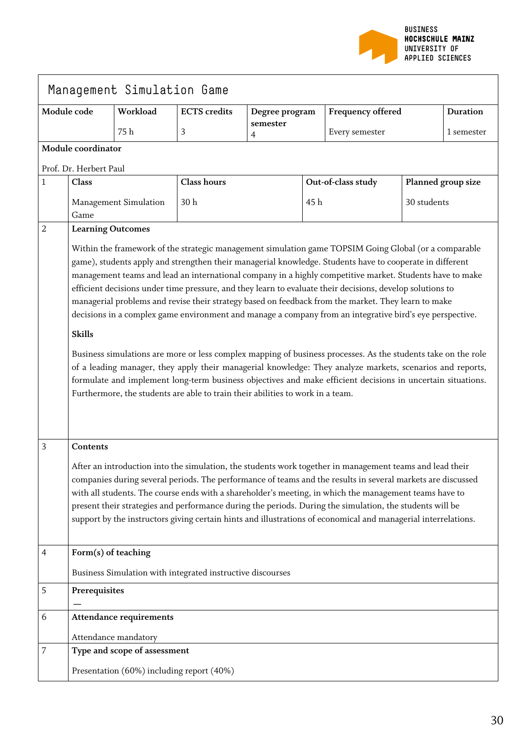

|   |                                                                                                                                                                                                                                                                                                                                                                                                                                                                                                                                                                                                                                                                                                                                                                                                                                                                                                                                                                                                                                                                                                               | Management Simulation Game     |                                                            |                |     |                    |             |                    |
|---|---------------------------------------------------------------------------------------------------------------------------------------------------------------------------------------------------------------------------------------------------------------------------------------------------------------------------------------------------------------------------------------------------------------------------------------------------------------------------------------------------------------------------------------------------------------------------------------------------------------------------------------------------------------------------------------------------------------------------------------------------------------------------------------------------------------------------------------------------------------------------------------------------------------------------------------------------------------------------------------------------------------------------------------------------------------------------------------------------------------|--------------------------------|------------------------------------------------------------|----------------|-----|--------------------|-------------|--------------------|
|   | Module code                                                                                                                                                                                                                                                                                                                                                                                                                                                                                                                                                                                                                                                                                                                                                                                                                                                                                                                                                                                                                                                                                                   | Workload                       | <b>ECTS</b> credits                                        | Degree program |     | Frequency offered  |             | <b>Duration</b>    |
|   |                                                                                                                                                                                                                                                                                                                                                                                                                                                                                                                                                                                                                                                                                                                                                                                                                                                                                                                                                                                                                                                                                                               | 75 h                           | 3                                                          | semester<br>4  |     | Every semester     |             | 1 semester         |
|   | Module coordinator                                                                                                                                                                                                                                                                                                                                                                                                                                                                                                                                                                                                                                                                                                                                                                                                                                                                                                                                                                                                                                                                                            |                                |                                                            |                |     |                    |             |                    |
|   | Prof. Dr. Herbert Paul                                                                                                                                                                                                                                                                                                                                                                                                                                                                                                                                                                                                                                                                                                                                                                                                                                                                                                                                                                                                                                                                                        |                                |                                                            |                |     |                    |             |                    |
| 1 | Class                                                                                                                                                                                                                                                                                                                                                                                                                                                                                                                                                                                                                                                                                                                                                                                                                                                                                                                                                                                                                                                                                                         |                                | <b>Class hours</b>                                         |                |     | Out-of-class study |             | Planned group size |
|   | Game                                                                                                                                                                                                                                                                                                                                                                                                                                                                                                                                                                                                                                                                                                                                                                                                                                                                                                                                                                                                                                                                                                          | Management Simulation          | 30h                                                        |                | 45h |                    | 30 students |                    |
| 2 |                                                                                                                                                                                                                                                                                                                                                                                                                                                                                                                                                                                                                                                                                                                                                                                                                                                                                                                                                                                                                                                                                                               | <b>Learning Outcomes</b>       |                                                            |                |     |                    |             |                    |
|   | Within the framework of the strategic management simulation game TOPSIM Going Global (or a comparable<br>game), students apply and strengthen their managerial knowledge. Students have to cooperate in different<br>management teams and lead an international company in a highly competitive market. Students have to make<br>efficient decisions under time pressure, and they learn to evaluate their decisions, develop solutions to<br>managerial problems and revise their strategy based on feedback from the market. They learn to make<br>decisions in a complex game environment and manage a company from an integrative bird's eye perspective.<br><b>Skills</b><br>Business simulations are more or less complex mapping of business processes. As the students take on the role<br>of a leading manager, they apply their managerial knowledge: They analyze markets, scenarios and reports,<br>formulate and implement long-term business objectives and make efficient decisions in uncertain situations.<br>Furthermore, the students are able to train their abilities to work in a team. |                                |                                                            |                |     |                    |             |                    |
| 3 | <b>Contents</b><br>After an introduction into the simulation, the students work together in management teams and lead their<br>companies during several periods. The performance of teams and the results in several markets are discussed<br>with all students. The course ends with a shareholder's meeting, in which the management teams have to<br>present their strategies and performance during the periods. During the simulation, the students will be<br>support by the instructors giving certain hints and illustrations of economical and managerial interrelations.                                                                                                                                                                                                                                                                                                                                                                                                                                                                                                                            |                                |                                                            |                |     |                    |             |                    |
| 4 | Form(s) of teaching                                                                                                                                                                                                                                                                                                                                                                                                                                                                                                                                                                                                                                                                                                                                                                                                                                                                                                                                                                                                                                                                                           |                                |                                                            |                |     |                    |             |                    |
|   |                                                                                                                                                                                                                                                                                                                                                                                                                                                                                                                                                                                                                                                                                                                                                                                                                                                                                                                                                                                                                                                                                                               |                                | Business Simulation with integrated instructive discourses |                |     |                    |             |                    |
| 5 | Prerequisites                                                                                                                                                                                                                                                                                                                                                                                                                                                                                                                                                                                                                                                                                                                                                                                                                                                                                                                                                                                                                                                                                                 |                                |                                                            |                |     |                    |             |                    |
| 6 |                                                                                                                                                                                                                                                                                                                                                                                                                                                                                                                                                                                                                                                                                                                                                                                                                                                                                                                                                                                                                                                                                                               | <b>Attendance requirements</b> |                                                            |                |     |                    |             |                    |
|   |                                                                                                                                                                                                                                                                                                                                                                                                                                                                                                                                                                                                                                                                                                                                                                                                                                                                                                                                                                                                                                                                                                               | Attendance mandatory           |                                                            |                |     |                    |             |                    |
| 7 |                                                                                                                                                                                                                                                                                                                                                                                                                                                                                                                                                                                                                                                                                                                                                                                                                                                                                                                                                                                                                                                                                                               | Type and scope of assessment   |                                                            |                |     |                    |             |                    |
|   | Presentation (60%) including report (40%)                                                                                                                                                                                                                                                                                                                                                                                                                                                                                                                                                                                                                                                                                                                                                                                                                                                                                                                                                                                                                                                                     |                                |                                                            |                |     |                    |             |                    |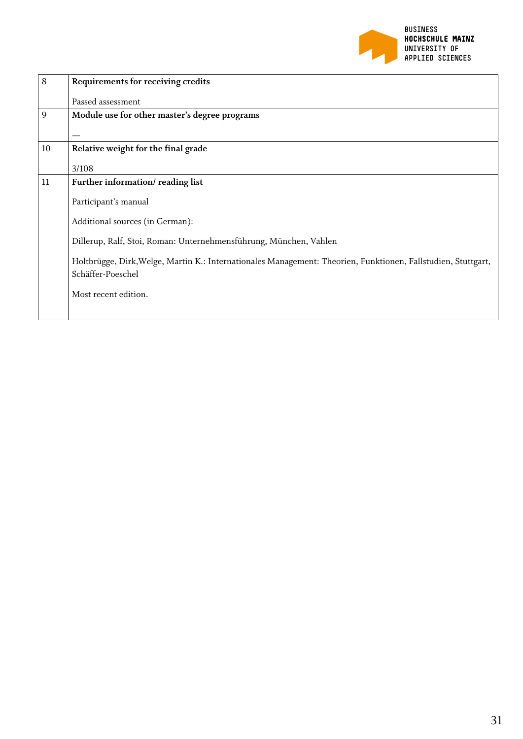

| 8  | Requirements for receiving credits                                                                                                 |
|----|------------------------------------------------------------------------------------------------------------------------------------|
|    | Passed assessment                                                                                                                  |
| 9  | Module use for other master's degree programs                                                                                      |
|    |                                                                                                                                    |
| 10 | Relative weight for the final grade                                                                                                |
|    | 3/108                                                                                                                              |
| 11 | Further information/reading list                                                                                                   |
|    | Participant's manual                                                                                                               |
|    | Additional sources (in German):                                                                                                    |
|    | Dillerup, Ralf, Stoi, Roman: Unternehmensführung, München, Vahlen                                                                  |
|    | Holtbrügge, Dirk, Welge, Martin K.: Internationales Management: Theorien, Funktionen, Fallstudien, Stuttgart,<br>Schäffer-Poeschel |
|    | Most recent edition.                                                                                                               |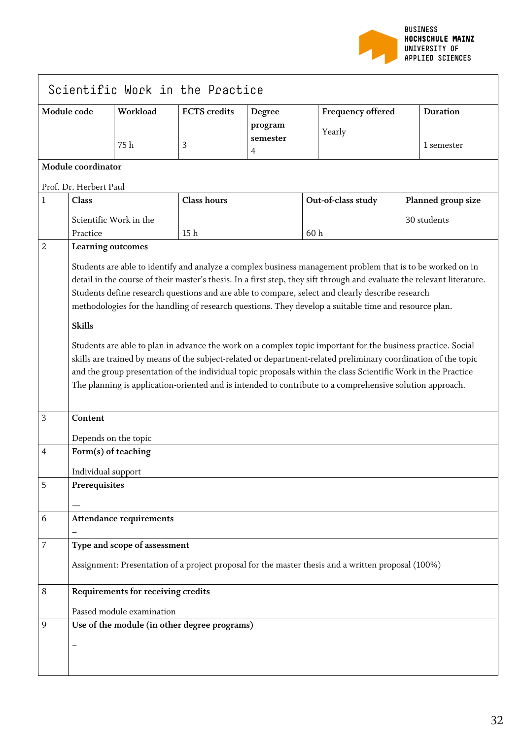

|             |                                                                                                                                                                                                                                                                                                                                                                                                                                                             |                                    | Scientific Work in the Practice              |                                       |                                                                                                    |                    |  |
|-------------|-------------------------------------------------------------------------------------------------------------------------------------------------------------------------------------------------------------------------------------------------------------------------------------------------------------------------------------------------------------------------------------------------------------------------------------------------------------|------------------------------------|----------------------------------------------|---------------------------------------|----------------------------------------------------------------------------------------------------|--------------------|--|
| Module code |                                                                                                                                                                                                                                                                                                                                                                                                                                                             | Workload                           | <b>ECTS</b> credits                          | Degree                                | <b>Frequency offered</b>                                                                           | <b>Duration</b>    |  |
|             |                                                                                                                                                                                                                                                                                                                                                                                                                                                             | 75h                                | 3                                            | program<br>semester<br>$\overline{4}$ | Yearly                                                                                             | 1 semester         |  |
|             | Module coordinator                                                                                                                                                                                                                                                                                                                                                                                                                                          |                                    |                                              |                                       |                                                                                                    |                    |  |
|             | Prof. Dr. Herbert Paul                                                                                                                                                                                                                                                                                                                                                                                                                                      |                                    |                                              |                                       |                                                                                                    |                    |  |
| 1           | Class                                                                                                                                                                                                                                                                                                                                                                                                                                                       |                                    | <b>Class hours</b>                           |                                       | Out-of-class study                                                                                 | Planned group size |  |
|             |                                                                                                                                                                                                                                                                                                                                                                                                                                                             | Scientific Work in the             |                                              |                                       |                                                                                                    | 30 students        |  |
|             | Practice                                                                                                                                                                                                                                                                                                                                                                                                                                                    |                                    | 15 <sub>h</sub>                              |                                       | 60h                                                                                                |                    |  |
| 2           | Learning outcomes                                                                                                                                                                                                                                                                                                                                                                                                                                           |                                    |                                              |                                       |                                                                                                    |                    |  |
|             | Students are able to identify and analyze a complex business management problem that is to be worked on in<br>detail in the course of their master's thesis. In a first step, they sift through and evaluate the relevant literature.<br>Students define research questions and are able to compare, select and clearly describe research<br>methodologies for the handling of research questions. They develop a suitable time and resource plan.          |                                    |                                              |                                       |                                                                                                    |                    |  |
|             | <b>Skills</b>                                                                                                                                                                                                                                                                                                                                                                                                                                               |                                    |                                              |                                       |                                                                                                    |                    |  |
|             | Students are able to plan in advance the work on a complex topic important for the business practice. Social<br>skills are trained by means of the subject-related or department-related preliminary coordination of the topic<br>and the group presentation of the individual topic proposals within the class Scientific Work in the Practice<br>The planning is application-oriented and is intended to contribute to a comprehensive solution approach. |                                    |                                              |                                       |                                                                                                    |                    |  |
| 3           | Content                                                                                                                                                                                                                                                                                                                                                                                                                                                     |                                    |                                              |                                       |                                                                                                    |                    |  |
|             | Depends on the topic                                                                                                                                                                                                                                                                                                                                                                                                                                        |                                    |                                              |                                       |                                                                                                    |                    |  |
| 4           | Form(s) of teaching                                                                                                                                                                                                                                                                                                                                                                                                                                         |                                    |                                              |                                       |                                                                                                    |                    |  |
|             | Individual support                                                                                                                                                                                                                                                                                                                                                                                                                                          |                                    |                                              |                                       |                                                                                                    |                    |  |
| 5           | Prerequisites                                                                                                                                                                                                                                                                                                                                                                                                                                               |                                    |                                              |                                       |                                                                                                    |                    |  |
|             |                                                                                                                                                                                                                                                                                                                                                                                                                                                             |                                    |                                              |                                       |                                                                                                    |                    |  |
| 6           |                                                                                                                                                                                                                                                                                                                                                                                                                                                             | <b>Attendance requirements</b>     |                                              |                                       |                                                                                                    |                    |  |
| 7           |                                                                                                                                                                                                                                                                                                                                                                                                                                                             | Type and scope of assessment       |                                              |                                       |                                                                                                    |                    |  |
|             |                                                                                                                                                                                                                                                                                                                                                                                                                                                             |                                    |                                              |                                       | Assignment: Presentation of a project proposal for the master thesis and a written proposal (100%) |                    |  |
| 8           |                                                                                                                                                                                                                                                                                                                                                                                                                                                             | Requirements for receiving credits |                                              |                                       |                                                                                                    |                    |  |
|             |                                                                                                                                                                                                                                                                                                                                                                                                                                                             | Passed module examination          |                                              |                                       |                                                                                                    |                    |  |
| 9           |                                                                                                                                                                                                                                                                                                                                                                                                                                                             |                                    | Use of the module (in other degree programs) |                                       |                                                                                                    |                    |  |
|             |                                                                                                                                                                                                                                                                                                                                                                                                                                                             |                                    |                                              |                                       |                                                                                                    |                    |  |
|             |                                                                                                                                                                                                                                                                                                                                                                                                                                                             |                                    |                                              |                                       |                                                                                                    |                    |  |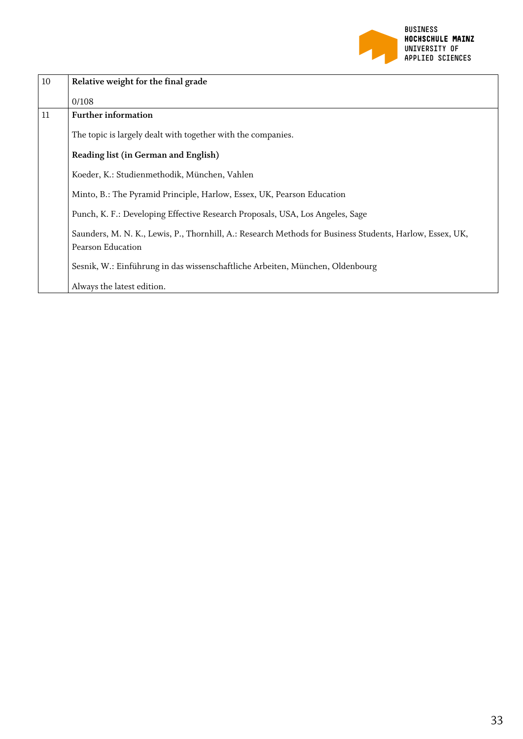

| 10 | Relative weight for the final grade                                                                                           |
|----|-------------------------------------------------------------------------------------------------------------------------------|
|    | 0/108                                                                                                                         |
| 11 | <b>Further information</b>                                                                                                    |
|    | The topic is largely dealt with together with the companies.                                                                  |
|    | Reading list (in German and English)                                                                                          |
|    | Koeder, K.: Studienmethodik, München, Vahlen                                                                                  |
|    | Minto, B.: The Pyramid Principle, Harlow, Essex, UK, Pearson Education                                                        |
|    | Punch, K. F.: Developing Effective Research Proposals, USA, Los Angeles, Sage                                                 |
|    | Saunders, M. N. K., Lewis, P., Thornhill, A.: Research Methods for Business Students, Harlow, Essex, UK,<br>Pearson Education |
|    | Sesnik, W.: Einführung in das wissenschaftliche Arbeiten, München, Oldenbourg                                                 |
|    | Always the latest edition.                                                                                                    |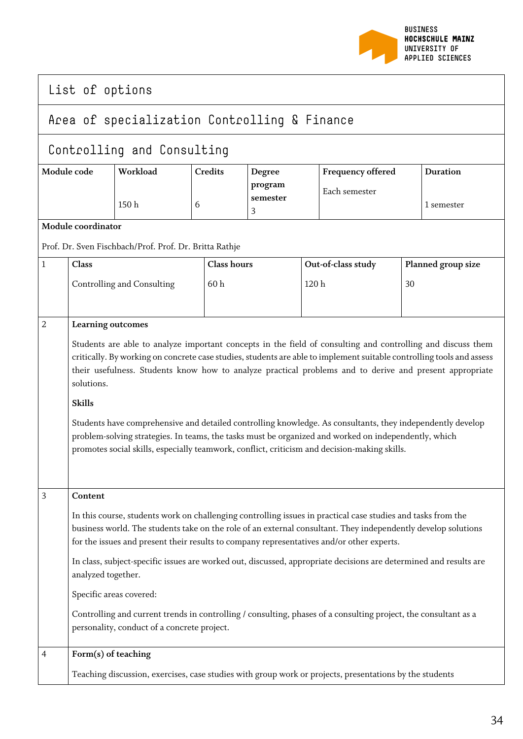

|                                              | List of options                                                                                                                                                                                                                                                                                                                                                                                                                                                                                                                                                                                                                                                                                                                |                                                        |                               |   |                                    |                                                                                                         |                               |                    |
|----------------------------------------------|--------------------------------------------------------------------------------------------------------------------------------------------------------------------------------------------------------------------------------------------------------------------------------------------------------------------------------------------------------------------------------------------------------------------------------------------------------------------------------------------------------------------------------------------------------------------------------------------------------------------------------------------------------------------------------------------------------------------------------|--------------------------------------------------------|-------------------------------|---|------------------------------------|---------------------------------------------------------------------------------------------------------|-------------------------------|--------------------|
| Area of specialization Controlling & Finance |                                                                                                                                                                                                                                                                                                                                                                                                                                                                                                                                                                                                                                                                                                                                |                                                        |                               |   |                                    |                                                                                                         |                               |                    |
|                                              |                                                                                                                                                                                                                                                                                                                                                                                                                                                                                                                                                                                                                                                                                                                                | Controlling and Consulting                             |                               |   |                                    |                                                                                                         |                               |                    |
| Workload<br>Module code<br>150 <sub>h</sub>  |                                                                                                                                                                                                                                                                                                                                                                                                                                                                                                                                                                                                                                                                                                                                | <b>Credits</b><br>6                                    | Degree<br>program<br>semester |   | Frequency offered<br>Each semester |                                                                                                         | <b>Duration</b><br>1 semester |                    |
|                                              | Module coordinator                                                                                                                                                                                                                                                                                                                                                                                                                                                                                                                                                                                                                                                                                                             |                                                        |                               | 3 |                                    |                                                                                                         |                               |                    |
|                                              |                                                                                                                                                                                                                                                                                                                                                                                                                                                                                                                                                                                                                                                                                                                                | Prof. Dr. Sven Fischbach/Prof. Prof. Dr. Britta Rathje |                               |   |                                    |                                                                                                         |                               |                    |
| $\mathbf{1}$                                 | Class                                                                                                                                                                                                                                                                                                                                                                                                                                                                                                                                                                                                                                                                                                                          |                                                        | <b>Class hours</b>            |   |                                    | Out-of-class study                                                                                      |                               | Planned group size |
|                                              |                                                                                                                                                                                                                                                                                                                                                                                                                                                                                                                                                                                                                                                                                                                                | Controlling and Consulting                             | 60h                           |   | 120h                               |                                                                                                         | 30                            |                    |
|                                              | 2<br>Learning outcomes<br>Students are able to analyze important concepts in the field of consulting and controlling and discuss them<br>critically. By working on concrete case studies, students are able to implement suitable controlling tools and assess<br>their usefulness. Students know how to analyze practical problems and to derive and present appropriate<br>solutions.<br><b>Skills</b><br>Students have comprehensive and detailed controlling knowledge. As consultants, they independently develop<br>problem-solving strategies. In teams, the tasks must be organized and worked on independently, which<br>promotes social skills, especially teamwork, conflict, criticism and decision-making skills. |                                                        |                               |   |                                    |                                                                                                         |                               |                    |
| $\overline{3}$                               | Content<br>In this course, students work on challenging controlling issues in practical case studies and tasks from the<br>business world. The students take on the role of an external consultant. They independently develop solutions<br>for the issues and present their results to company representatives and/or other experts.<br>In class, subject-specific issues are worked out, discussed, appropriate decisions are determined and results are<br>analyzed together.<br>Specific areas covered:<br>Controlling and current trends in controlling / consulting, phases of a consulting project, the consultant as a<br>personality, conduct of a concrete project.                                                  |                                                        |                               |   |                                    |                                                                                                         |                               |                    |
| $\overline{4}$                               | Form(s) of teaching                                                                                                                                                                                                                                                                                                                                                                                                                                                                                                                                                                                                                                                                                                            |                                                        |                               |   |                                    | Teaching discussion, exercises, case studies with group work or projects, presentations by the students |                               |                    |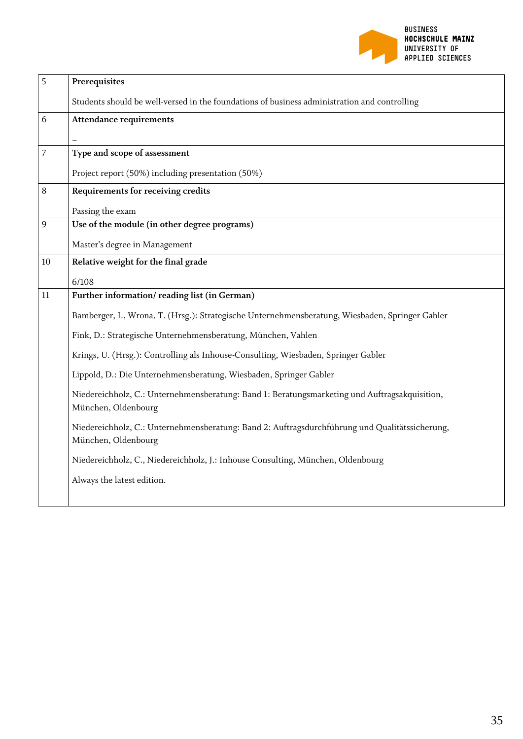

| 5              | Prerequisites                                                                                                         |
|----------------|-----------------------------------------------------------------------------------------------------------------------|
|                | Students should be well-versed in the foundations of business administration and controlling                          |
| 6              | <b>Attendance requirements</b>                                                                                        |
|                |                                                                                                                       |
| $\overline{7}$ | Type and scope of assessment                                                                                          |
|                | Project report (50%) including presentation (50%)                                                                     |
| 8              | Requirements for receiving credits                                                                                    |
|                | Passing the exam                                                                                                      |
| 9              | Use of the module (in other degree programs)                                                                          |
|                | Master's degree in Management                                                                                         |
| 10             | Relative weight for the final grade                                                                                   |
|                | 6/108                                                                                                                 |
| 11             | Further information/reading list (in German)                                                                          |
|                | Bamberger, I., Wrona, T. (Hrsg.): Strategische Unternehmensberatung, Wiesbaden, Springer Gabler                       |
|                | Fink, D.: Strategische Unternehmensberatung, München, Vahlen                                                          |
|                | Krings, U. (Hrsg.): Controlling als Inhouse-Consulting, Wiesbaden, Springer Gabler                                    |
|                | Lippold, D.: Die Unternehmensberatung, Wiesbaden, Springer Gabler                                                     |
|                | Niedereichholz, C.: Unternehmensberatung: Band 1: Beratungsmarketing und Auftragsakquisition,<br>München, Oldenbourg  |
|                | Niedereichholz, C.: Unternehmensberatung: Band 2: Auftragsdurchführung und Qualitätssicherung,<br>München, Oldenbourg |
|                | Niedereichholz, C., Niedereichholz, J.: Inhouse Consulting, München, Oldenbourg                                       |
|                | Always the latest edition.                                                                                            |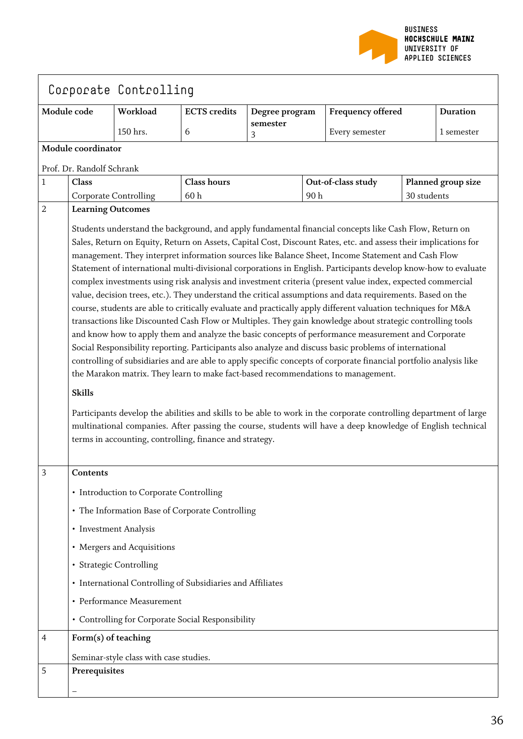

|                |                                                                                                                                                                                                                      | Corporate Controlling                                      |                     |                |     |                                                                                                                                                                                                                                  |             |                    |
|----------------|----------------------------------------------------------------------------------------------------------------------------------------------------------------------------------------------------------------------|------------------------------------------------------------|---------------------|----------------|-----|----------------------------------------------------------------------------------------------------------------------------------------------------------------------------------------------------------------------------------|-------------|--------------------|
| Module code    |                                                                                                                                                                                                                      | Workload                                                   | <b>ECTS</b> credits | Degree program |     | <b>Frequency offered</b>                                                                                                                                                                                                         |             | <b>Duration</b>    |
|                |                                                                                                                                                                                                                      | 150 hrs.                                                   | $6\,$               | semester<br>3  |     | Every semester                                                                                                                                                                                                                   |             | 1 semester         |
|                | Module coordinator                                                                                                                                                                                                   |                                                            |                     |                |     |                                                                                                                                                                                                                                  |             |                    |
|                | Prof. Dr. Randolf Schrank                                                                                                                                                                                            |                                                            |                     |                |     |                                                                                                                                                                                                                                  |             |                    |
| $\mathbf{1}$   | Class                                                                                                                                                                                                                |                                                            | <b>Class hours</b>  |                |     | Out-of-class study                                                                                                                                                                                                               |             | Planned group size |
|                |                                                                                                                                                                                                                      | Corporate Controlling                                      | 60h                 |                | 90h |                                                                                                                                                                                                                                  | 30 students |                    |
| $\overline{2}$ | <b>Learning Outcomes</b>                                                                                                                                                                                             |                                                            |                     |                |     |                                                                                                                                                                                                                                  |             |                    |
|                |                                                                                                                                                                                                                      |                                                            |                     |                |     | Students understand the background, and apply fundamental financial concepts like Cash Flow, Return on                                                                                                                           |             |                    |
|                | Sales, Return on Equity, Return on Assets, Capital Cost, Discount Rates, etc. and assess their implications for<br>management. They interpret information sources like Balance Sheet, Income Statement and Cash Flow |                                                            |                     |                |     |                                                                                                                                                                                                                                  |             |                    |
|                |                                                                                                                                                                                                                      |                                                            |                     |                |     |                                                                                                                                                                                                                                  |             |                    |
|                |                                                                                                                                                                                                                      |                                                            |                     |                |     | Statement of international multi-divisional corporations in English. Participants develop know-how to evaluate<br>complex investments using risk analysis and investment criteria (present value index, expected commercial      |             |                    |
|                |                                                                                                                                                                                                                      |                                                            |                     |                |     | value, decision trees, etc.). They understand the critical assumptions and data requirements. Based on the                                                                                                                       |             |                    |
|                |                                                                                                                                                                                                                      |                                                            |                     |                |     | course, students are able to critically evaluate and practically apply different valuation techniques for M&A                                                                                                                    |             |                    |
|                |                                                                                                                                                                                                                      |                                                            |                     |                |     | transactions like Discounted Cash Flow or Multiples. They gain knowledge about strategic controlling tools                                                                                                                       |             |                    |
|                |                                                                                                                                                                                                                      |                                                            |                     |                |     | and know how to apply them and analyze the basic concepts of performance measurement and Corporate                                                                                                                               |             |                    |
|                |                                                                                                                                                                                                                      |                                                            |                     |                |     | Social Responsibility reporting. Participants also analyze and discuss basic problems of international<br>controlling of subsidiaries and are able to apply specific concepts of corporate financial portfolio analysis like     |             |                    |
|                |                                                                                                                                                                                                                      |                                                            |                     |                |     | the Marakon matrix. They learn to make fact-based recommendations to management.                                                                                                                                                 |             |                    |
|                | <b>Skills</b>                                                                                                                                                                                                        |                                                            |                     |                |     |                                                                                                                                                                                                                                  |             |                    |
|                |                                                                                                                                                                                                                      |                                                            |                     |                |     |                                                                                                                                                                                                                                  |             |                    |
|                |                                                                                                                                                                                                                      |                                                            |                     |                |     | Participants develop the abilities and skills to be able to work in the corporate controlling department of large<br>multinational companies. After passing the course, students will have a deep knowledge of English technical |             |                    |
|                |                                                                                                                                                                                                                      | terms in accounting, controlling, finance and strategy.    |                     |                |     |                                                                                                                                                                                                                                  |             |                    |
|                |                                                                                                                                                                                                                      |                                                            |                     |                |     |                                                                                                                                                                                                                                  |             |                    |
| 3              | Contents                                                                                                                                                                                                             |                                                            |                     |                |     |                                                                                                                                                                                                                                  |             |                    |
|                |                                                                                                                                                                                                                      | • Introduction to Corporate Controlling                    |                     |                |     |                                                                                                                                                                                                                                  |             |                    |
|                |                                                                                                                                                                                                                      | • The Information Base of Corporate Controlling            |                     |                |     |                                                                                                                                                                                                                                  |             |                    |
|                |                                                                                                                                                                                                                      | • Investment Analysis                                      |                     |                |     |                                                                                                                                                                                                                                  |             |                    |
|                |                                                                                                                                                                                                                      | • Mergers and Acquisitions                                 |                     |                |     |                                                                                                                                                                                                                                  |             |                    |
|                |                                                                                                                                                                                                                      | • Strategic Controlling                                    |                     |                |     |                                                                                                                                                                                                                                  |             |                    |
|                |                                                                                                                                                                                                                      | • International Controlling of Subsidiaries and Affiliates |                     |                |     |                                                                                                                                                                                                                                  |             |                    |
|                |                                                                                                                                                                                                                      | • Performance Measurement                                  |                     |                |     |                                                                                                                                                                                                                                  |             |                    |
|                |                                                                                                                                                                                                                      | • Controlling for Corporate Social Responsibility          |                     |                |     |                                                                                                                                                                                                                                  |             |                    |
| 4              | Form(s) of teaching                                                                                                                                                                                                  |                                                            |                     |                |     |                                                                                                                                                                                                                                  |             |                    |
|                |                                                                                                                                                                                                                      | Seminar-style class with case studies.                     |                     |                |     |                                                                                                                                                                                                                                  |             |                    |
| 5              | Prerequisites                                                                                                                                                                                                        |                                                            |                     |                |     |                                                                                                                                                                                                                                  |             |                    |
|                |                                                                                                                                                                                                                      |                                                            |                     |                |     |                                                                                                                                                                                                                                  |             |                    |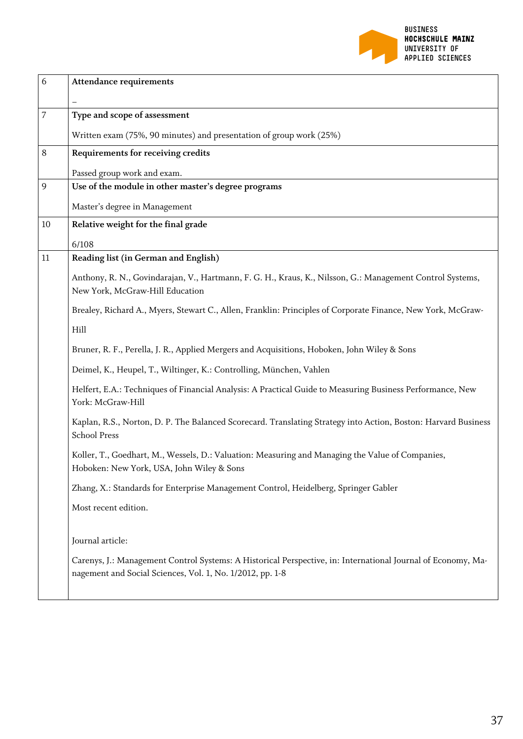

| 6  | <b>Attendance requirements</b>                                                                                                                                            |
|----|---------------------------------------------------------------------------------------------------------------------------------------------------------------------------|
|    |                                                                                                                                                                           |
| 7  | Type and scope of assessment                                                                                                                                              |
|    | Written exam (75%, 90 minutes) and presentation of group work (25%)                                                                                                       |
| 8  | Requirements for receiving credits                                                                                                                                        |
|    | Passed group work and exam.                                                                                                                                               |
| 9  | Use of the module in other master's degree programs                                                                                                                       |
|    | Master's degree in Management                                                                                                                                             |
| 10 | Relative weight for the final grade                                                                                                                                       |
|    | 6/108                                                                                                                                                                     |
| 11 | Reading list (in German and English)                                                                                                                                      |
|    | Anthony, R. N., Govindarajan, V., Hartmann, F. G. H., Kraus, K., Nilsson, G.: Management Control Systems,<br>New York, McGraw-Hill Education                              |
|    | Brealey, Richard A., Myers, Stewart C., Allen, Franklin: Principles of Corporate Finance, New York, McGraw-                                                               |
|    | Hill                                                                                                                                                                      |
|    | Bruner, R. F., Perella, J. R., Applied Mergers and Acquisitions, Hoboken, John Wiley & Sons                                                                               |
|    | Deimel, K., Heupel, T., Wiltinger, K.: Controlling, München, Vahlen                                                                                                       |
|    | Helfert, E.A.: Techniques of Financial Analysis: A Practical Guide to Measuring Business Performance, New<br>York: McGraw-Hill                                            |
|    | Kaplan, R.S., Norton, D. P. The Balanced Scorecard. Translating Strategy into Action, Boston: Harvard Business<br><b>School Press</b>                                     |
|    | Koller, T., Goedhart, M., Wessels, D.: Valuation: Measuring and Managing the Value of Companies,<br>Hoboken: New York, USA, John Wiley & Sons                             |
|    | Zhang, X.: Standards for Enterprise Management Control, Heidelberg, Springer Gabler                                                                                       |
|    | Most recent edition.                                                                                                                                                      |
|    | Journal article:                                                                                                                                                          |
|    | Carenys, J.: Management Control Systems: A Historical Perspective, in: International Journal of Economy, Ma-<br>nagement and Social Sciences, Vol. 1, No. 1/2012, pp. 1-8 |
|    |                                                                                                                                                                           |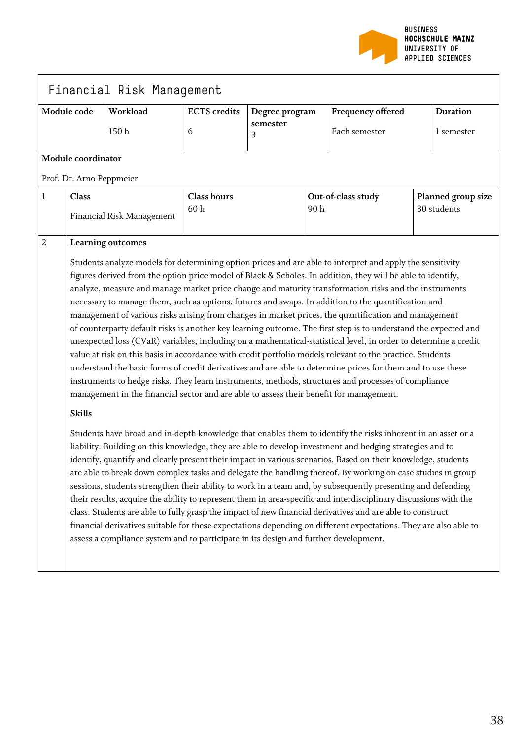

|             |                                                                                                                                                                                                                                                                                                                                                                                                                                                                                                                                                                                                                                                                                                                                                                                                                                                                                                                                                                                                                                                                                                                                                                                                                                                                                                                                                                                                                                                                                                                     | Financial Risk Management |                          |                                 |                                   |                                    |                    |                               |
|-------------|---------------------------------------------------------------------------------------------------------------------------------------------------------------------------------------------------------------------------------------------------------------------------------------------------------------------------------------------------------------------------------------------------------------------------------------------------------------------------------------------------------------------------------------------------------------------------------------------------------------------------------------------------------------------------------------------------------------------------------------------------------------------------------------------------------------------------------------------------------------------------------------------------------------------------------------------------------------------------------------------------------------------------------------------------------------------------------------------------------------------------------------------------------------------------------------------------------------------------------------------------------------------------------------------------------------------------------------------------------------------------------------------------------------------------------------------------------------------------------------------------------------------|---------------------------|--------------------------|---------------------------------|-----------------------------------|------------------------------------|--------------------|-------------------------------|
| Module code |                                                                                                                                                                                                                                                                                                                                                                                                                                                                                                                                                                                                                                                                                                                                                                                                                                                                                                                                                                                                                                                                                                                                                                                                                                                                                                                                                                                                                                                                                                                     | Workload<br>150h          | <b>ECTS</b> credits<br>6 | Degree program<br>semester<br>3 |                                   | Frequency offered<br>Each semester |                    | <b>Duration</b><br>1 semester |
|             | Module coordinator                                                                                                                                                                                                                                                                                                                                                                                                                                                                                                                                                                                                                                                                                                                                                                                                                                                                                                                                                                                                                                                                                                                                                                                                                                                                                                                                                                                                                                                                                                  |                           |                          |                                 |                                   |                                    |                    |                               |
|             | Prof. Dr. Arno Peppmeier                                                                                                                                                                                                                                                                                                                                                                                                                                                                                                                                                                                                                                                                                                                                                                                                                                                                                                                                                                                                                                                                                                                                                                                                                                                                                                                                                                                                                                                                                            |                           |                          |                                 |                                   |                                    |                    |                               |
| 1           | Class                                                                                                                                                                                                                                                                                                                                                                                                                                                                                                                                                                                                                                                                                                                                                                                                                                                                                                                                                                                                                                                                                                                                                                                                                                                                                                                                                                                                                                                                                                               | <b>Class hours</b><br>60h |                          | 90h                             | Out-of-class study<br>30 students |                                    | Planned group size |                               |
| $\sqrt{2}$  | Financial Risk Management<br>Learning outcomes<br>Students analyze models for determining option prices and are able to interpret and apply the sensitivity<br>figures derived from the option price model of Black & Scholes. In addition, they will be able to identify,<br>analyze, measure and manage market price change and maturity transformation risks and the instruments<br>necessary to manage them, such as options, futures and swaps. In addition to the quantification and<br>management of various risks arising from changes in market prices, the quantification and management<br>of counterparty default risks is another key learning outcome. The first step is to understand the expected and<br>unexpected loss (CVaR) variables, including on a mathematical-statistical level, in order to determine a credit<br>value at risk on this basis in accordance with credit portfolio models relevant to the practice. Students<br>understand the basic forms of credit derivatives and are able to determine prices for them and to use these<br>instruments to hedge risks. They learn instruments, methods, structures and processes of compliance<br>management in the financial sector and are able to assess their benefit for management.<br><b>Skills</b><br>Students have broad and in-depth knowledge that enables them to identify the risks inherent in an asset or a<br>liability. Building on this knowledge, they are able to develop investment and hedging strategies and to |                           |                          |                                 |                                   |                                    |                    |                               |
|             | identify, quantify and clearly present their impact in various scenarios. Based on their knowledge, students<br>are able to break down complex tasks and delegate the handling thereof. By working on case studies in group<br>sessions, students strengthen their ability to work in a team and, by subsequently presenting and defending<br>their results, acquire the ability to represent them in area-specific and interdisciplinary discussions with the<br>class. Students are able to fully grasp the impact of new financial derivatives and are able to construct<br>financial derivatives suitable for these expectations depending on different expectations. They are also able to<br>assess a compliance system and to participate in its design and further development.                                                                                                                                                                                                                                                                                                                                                                                                                                                                                                                                                                                                                                                                                                                             |                           |                          |                                 |                                   |                                    |                    |                               |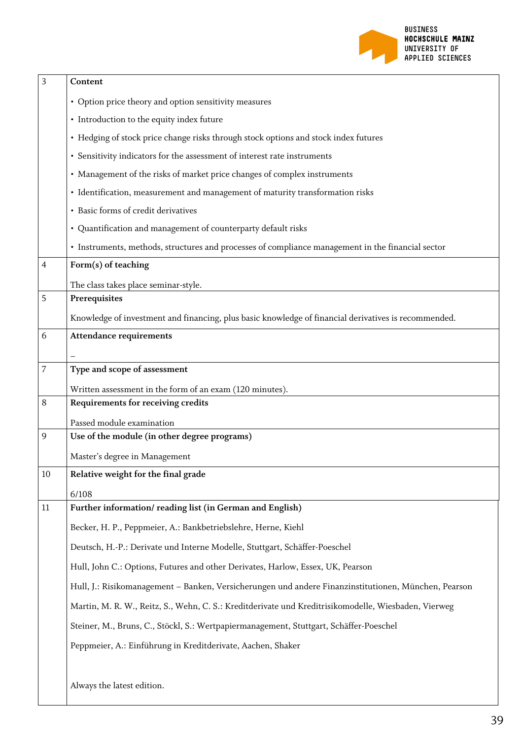

| 3      | Content                                                                                              |  |  |  |  |  |
|--------|------------------------------------------------------------------------------------------------------|--|--|--|--|--|
|        | • Option price theory and option sensitivity measures                                                |  |  |  |  |  |
|        | • Introduction to the equity index future                                                            |  |  |  |  |  |
|        | • Hedging of stock price change risks through stock options and stock index futures                  |  |  |  |  |  |
|        | • Sensitivity indicators for the assessment of interest rate instruments                             |  |  |  |  |  |
|        | • Management of the risks of market price changes of complex instruments                             |  |  |  |  |  |
|        | · Identification, measurement and management of maturity transformation risks                        |  |  |  |  |  |
|        | • Basic forms of credit derivatives                                                                  |  |  |  |  |  |
|        | · Quantification and management of counterparty default risks                                        |  |  |  |  |  |
|        | • Instruments, methods, structures and processes of compliance management in the financial sector    |  |  |  |  |  |
| 4      | Form(s) of teaching                                                                                  |  |  |  |  |  |
|        | The class takes place seminar-style.                                                                 |  |  |  |  |  |
| 5      | Prerequisites                                                                                        |  |  |  |  |  |
|        | Knowledge of investment and financing, plus basic knowledge of financial derivatives is recommended. |  |  |  |  |  |
| 6      | <b>Attendance requirements</b>                                                                       |  |  |  |  |  |
|        |                                                                                                      |  |  |  |  |  |
| 7      | Type and scope of assessment                                                                         |  |  |  |  |  |
|        | Written assessment in the form of an exam (120 minutes).                                             |  |  |  |  |  |
| 8      | Requirements for receiving credits                                                                   |  |  |  |  |  |
|        | Passed module examination                                                                            |  |  |  |  |  |
| 9      | Use of the module (in other degree programs)                                                         |  |  |  |  |  |
|        | Master's degree in Management                                                                        |  |  |  |  |  |
| $10\,$ | Relative weight for the final grade                                                                  |  |  |  |  |  |
|        | 6/108                                                                                                |  |  |  |  |  |
| 11     | Further information/reading list (in German and English)                                             |  |  |  |  |  |
|        | Becker, H. P., Peppmeier, A.: Bankbetriebslehre, Herne, Kiehl                                        |  |  |  |  |  |
|        | Deutsch, H.-P.: Derivate und Interne Modelle, Stuttgart, Schäffer-Poeschel                           |  |  |  |  |  |
|        | Hull, John C.: Options, Futures and other Derivates, Harlow, Essex, UK, Pearson                      |  |  |  |  |  |
|        | Hull, J.: Risikomanagement - Banken, Versicherungen und andere Finanzinstitutionen, München, Pearson |  |  |  |  |  |
|        | Martin, M. R. W., Reitz, S., Wehn, C. S.: Kreditderivate und Kreditrisikomodelle, Wiesbaden, Vierweg |  |  |  |  |  |
|        | Steiner, M., Bruns, C., Stöckl, S.: Wertpapiermanagement, Stuttgart, Schäffer-Poeschel               |  |  |  |  |  |
|        | Peppmeier, A.: Einführung in Kreditderivate, Aachen, Shaker                                          |  |  |  |  |  |
|        |                                                                                                      |  |  |  |  |  |
|        | Always the latest edition.                                                                           |  |  |  |  |  |
|        |                                                                                                      |  |  |  |  |  |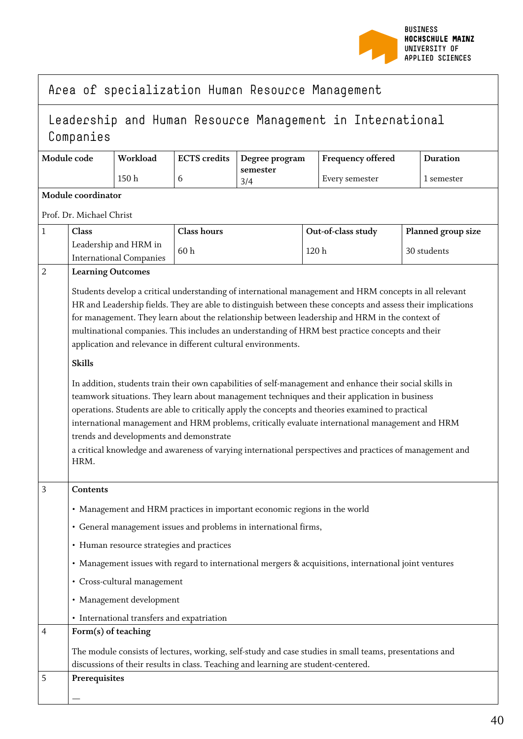

|  | Area of specialization Human Resource Management |  |  |  |
|--|--------------------------------------------------|--|--|--|
|--|--------------------------------------------------|--|--|--|

## Leadership and Human Resource Management in International Companies

| Module code | Workload | ECTS credits   Degree program | <b>Frequency offered</b> | <b>Duration</b> |
|-------------|----------|-------------------------------|--------------------------|-----------------|
|             | 150 h    | semester<br>3/4               | Every semester           | 1 semester      |

**Module coordinator**

Prof. Dr. Michael Christ

| $\mathbf 1$    | Class                                                                                                                                                                                                                                                                                                                                                                                                                                                                                                                                                                                                                                                                                                                                                                                                                                                                                                                                                                                                                                                                                            | <b>Class hours</b>                                                                                      | Out-of-class study | Planned group size |  |  |  |  |
|----------------|--------------------------------------------------------------------------------------------------------------------------------------------------------------------------------------------------------------------------------------------------------------------------------------------------------------------------------------------------------------------------------------------------------------------------------------------------------------------------------------------------------------------------------------------------------------------------------------------------------------------------------------------------------------------------------------------------------------------------------------------------------------------------------------------------------------------------------------------------------------------------------------------------------------------------------------------------------------------------------------------------------------------------------------------------------------------------------------------------|---------------------------------------------------------------------------------------------------------|--------------------|--------------------|--|--|--|--|
|                | Leadership and HRM in<br><b>International Companies</b>                                                                                                                                                                                                                                                                                                                                                                                                                                                                                                                                                                                                                                                                                                                                                                                                                                                                                                                                                                                                                                          | 60h                                                                                                     | 120 h              | 30 students        |  |  |  |  |
| $\overline{2}$ | <b>Learning Outcomes</b>                                                                                                                                                                                                                                                                                                                                                                                                                                                                                                                                                                                                                                                                                                                                                                                                                                                                                                                                                                                                                                                                         |                                                                                                         |                    |                    |  |  |  |  |
|                | Students develop a critical understanding of international management and HRM concepts in all relevant<br>HR and Leadership fields. They are able to distinguish between these concepts and assess their implications<br>for management. They learn about the relationship between leadership and HRM in the context of<br>multinational companies. This includes an understanding of HRM best practice concepts and their<br>application and relevance in different cultural environments.<br><b>Skills</b><br>In addition, students train their own capabilities of self-management and enhance their social skills in<br>teamwork situations. They learn about management techniques and their application in business<br>operations. Students are able to critically apply the concepts and theories examined to practical<br>international management and HRM problems, critically evaluate international management and HRM<br>trends and developments and demonstrate<br>a critical knowledge and awareness of varying international perspectives and practices of management and<br>HRM. |                                                                                                         |                    |                    |  |  |  |  |
| 3              | Contents                                                                                                                                                                                                                                                                                                                                                                                                                                                                                                                                                                                                                                                                                                                                                                                                                                                                                                                                                                                                                                                                                         |                                                                                                         |                    |                    |  |  |  |  |
|                |                                                                                                                                                                                                                                                                                                                                                                                                                                                                                                                                                                                                                                                                                                                                                                                                                                                                                                                                                                                                                                                                                                  | • Management and HRM practices in important economic regions in the world                               |                    |                    |  |  |  |  |
|                |                                                                                                                                                                                                                                                                                                                                                                                                                                                                                                                                                                                                                                                                                                                                                                                                                                                                                                                                                                                                                                                                                                  | • General management issues and problems in international firms,                                        |                    |                    |  |  |  |  |
|                | • Human resource strategies and practices                                                                                                                                                                                                                                                                                                                                                                                                                                                                                                                                                                                                                                                                                                                                                                                                                                                                                                                                                                                                                                                        |                                                                                                         |                    |                    |  |  |  |  |
|                |                                                                                                                                                                                                                                                                                                                                                                                                                                                                                                                                                                                                                                                                                                                                                                                                                                                                                                                                                                                                                                                                                                  | • Management issues with regard to international mergers & acquisitions, international joint ventures   |                    |                    |  |  |  |  |
|                | • Cross-cultural management                                                                                                                                                                                                                                                                                                                                                                                                                                                                                                                                                                                                                                                                                                                                                                                                                                                                                                                                                                                                                                                                      |                                                                                                         |                    |                    |  |  |  |  |
|                | • Management development                                                                                                                                                                                                                                                                                                                                                                                                                                                                                                                                                                                                                                                                                                                                                                                                                                                                                                                                                                                                                                                                         |                                                                                                         |                    |                    |  |  |  |  |
|                | • International transfers and expatriation                                                                                                                                                                                                                                                                                                                                                                                                                                                                                                                                                                                                                                                                                                                                                                                                                                                                                                                                                                                                                                                       |                                                                                                         |                    |                    |  |  |  |  |
| 4              | Form(s) of teaching                                                                                                                                                                                                                                                                                                                                                                                                                                                                                                                                                                                                                                                                                                                                                                                                                                                                                                                                                                                                                                                                              |                                                                                                         |                    |                    |  |  |  |  |
|                |                                                                                                                                                                                                                                                                                                                                                                                                                                                                                                                                                                                                                                                                                                                                                                                                                                                                                                                                                                                                                                                                                                  | The module consists of lectures, working, self-study and case studies in small teams, presentations and |                    |                    |  |  |  |  |
| 5              | Prerequisites                                                                                                                                                                                                                                                                                                                                                                                                                                                                                                                                                                                                                                                                                                                                                                                                                                                                                                                                                                                                                                                                                    | discussions of their results in class. Teaching and learning are student-centered.                      |                    |                    |  |  |  |  |
|                |                                                                                                                                                                                                                                                                                                                                                                                                                                                                                                                                                                                                                                                                                                                                                                                                                                                                                                                                                                                                                                                                                                  |                                                                                                         |                    |                    |  |  |  |  |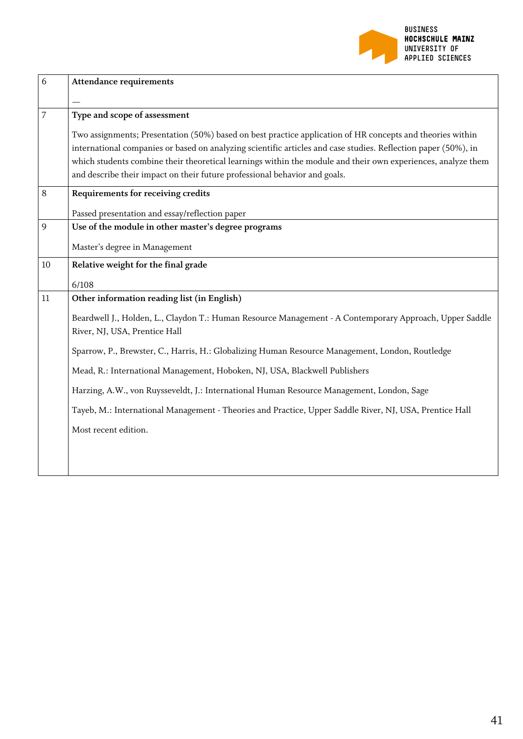

| <b>Attendance requirements</b>                                                                                                           |
|------------------------------------------------------------------------------------------------------------------------------------------|
|                                                                                                                                          |
| Type and scope of assessment                                                                                                             |
| Two assignments; Presentation (50%) based on best practice application of HR concepts and theories within                                |
| international companies or based on analyzing scientific articles and case studies. Reflection paper (50%), in                           |
| which students combine their theoretical learnings within the module and their own experiences, analyze them                             |
| and describe their impact on their future professional behavior and goals.                                                               |
| Requirements for receiving credits                                                                                                       |
| Passed presentation and essay/reflection paper                                                                                           |
| Use of the module in other master's degree programs                                                                                      |
| Master's degree in Management                                                                                                            |
| Relative weight for the final grade                                                                                                      |
| 6/108                                                                                                                                    |
| Other information reading list (in English)                                                                                              |
| Beardwell J., Holden, L., Claydon T.: Human Resource Management - A Contemporary Approach, Upper Saddle<br>River, NJ, USA, Prentice Hall |
| Sparrow, P., Brewster, C., Harris, H.: Globalizing Human Resource Management, London, Routledge                                          |
| Mead, R.: International Management, Hoboken, NJ, USA, Blackwell Publishers                                                               |
| Harzing, A.W., von Ruysseveldt, J.: International Human Resource Management, London, Sage                                                |
| Tayeb, M.: International Management - Theories and Practice, Upper Saddle River, NJ, USA, Prentice Hall                                  |
| Most recent edition.                                                                                                                     |
|                                                                                                                                          |
|                                                                                                                                          |
|                                                                                                                                          |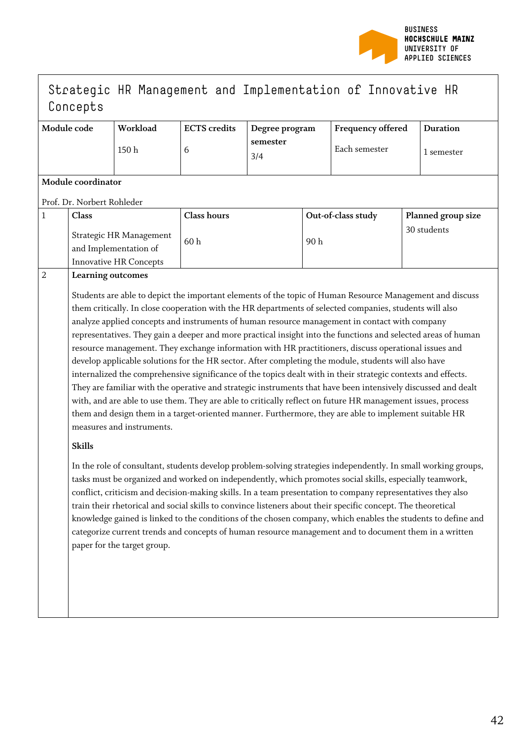

## Strategic HR Management and Implementation of Innovative HR Concepts

| Module code | Workload | <b>ECTS</b> credits | Degree program  | <b>Frequency offered</b> | <b>Duration</b> |
|-------------|----------|---------------------|-----------------|--------------------------|-----------------|
|             | 150 h    |                     | semester<br>3/4 | Each semester            | l semester      |

#### **Module coordinator**

Prof. Dr. Norbert Rohleder

| Class                                                                             | <b>Class hours</b> | Out-of-class study | <b>Planned group size</b> |
|-----------------------------------------------------------------------------------|--------------------|--------------------|---------------------------|
| Strategic HR Management<br>and Implementation of<br><b>Innovative HR Concepts</b> | 60 h               | 90 h               | 30 students               |

#### 2 **Learning outcomes**

Students are able to depict the important elements of the topic of Human Resource Management and discuss them critically. In close cooperation with the HR departments of selected companies, students will also analyze applied concepts and instruments of human resource management in contact with company representatives. They gain a deeper and more practical insight into the functions and selected areas of human resource management. They exchange information with HR practitioners, discuss operational issues and develop applicable solutions for the HR sector. After completing the module, students will also have internalized the comprehensive significance of the topics dealt with in their strategic contexts and effects. They are familiar with the operative and strategic instruments that have been intensively discussed and dealt with, and are able to use them. They are able to critically reflect on future HR management issues, process them and design them in a target-oriented manner. Furthermore, they are able to implement suitable HR measures and instruments.

#### **Skills**

In the role of consultant, students develop problem-solving strategies independently. In small working groups, tasks must be organized and worked on independently, which promotes social skills, especially teamwork, conflict, criticism and decision-making skills. In a team presentation to company representatives they also train their rhetorical and social skills to convince listeners about their specific concept. The theoretical knowledge gained is linked to the conditions of the chosen company, which enables the students to define and categorize current trends and concepts of human resource management and to document them in a written paper for the target group.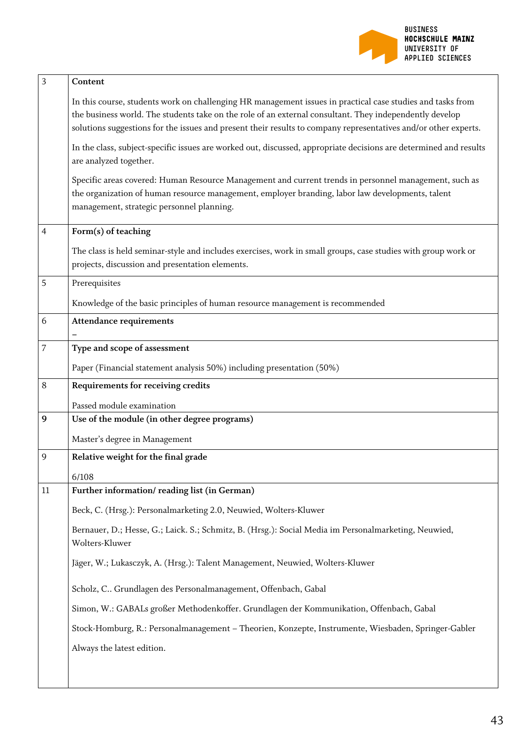

| 3  | Content                                                                                                                                                                                                                                                                                                                                  |
|----|------------------------------------------------------------------------------------------------------------------------------------------------------------------------------------------------------------------------------------------------------------------------------------------------------------------------------------------|
|    | In this course, students work on challenging HR management issues in practical case studies and tasks from<br>the business world. The students take on the role of an external consultant. They independently develop<br>solutions suggestions for the issues and present their results to company representatives and/or other experts. |
|    | In the class, subject-specific issues are worked out, discussed, appropriate decisions are determined and results<br>are analyzed together.                                                                                                                                                                                              |
|    | Specific areas covered: Human Resource Management and current trends in personnel management, such as<br>the organization of human resource management, employer branding, labor law developments, talent<br>management, strategic personnel planning.                                                                                   |
| 4  | Form(s) of teaching                                                                                                                                                                                                                                                                                                                      |
|    | The class is held seminar-style and includes exercises, work in small groups, case studies with group work or<br>projects, discussion and presentation elements.                                                                                                                                                                         |
| 5  | Prerequisites                                                                                                                                                                                                                                                                                                                            |
|    | Knowledge of the basic principles of human resource management is recommended                                                                                                                                                                                                                                                            |
| 6  | <b>Attendance requirements</b>                                                                                                                                                                                                                                                                                                           |
| 7  | Type and scope of assessment                                                                                                                                                                                                                                                                                                             |
|    | Paper (Financial statement analysis 50%) including presentation (50%)                                                                                                                                                                                                                                                                    |
| 8  | Requirements for receiving credits                                                                                                                                                                                                                                                                                                       |
|    |                                                                                                                                                                                                                                                                                                                                          |
|    | Passed module examination                                                                                                                                                                                                                                                                                                                |
| 9  | Use of the module (in other degree programs)                                                                                                                                                                                                                                                                                             |
|    | Master's degree in Management                                                                                                                                                                                                                                                                                                            |
| 9  | Relative weight for the final grade                                                                                                                                                                                                                                                                                                      |
|    | 6/108                                                                                                                                                                                                                                                                                                                                    |
| 11 | Further information/reading list (in German)                                                                                                                                                                                                                                                                                             |
|    | Beck, C. (Hrsg.): Personalmarketing 2.0, Neuwied, Wolters-Kluwer                                                                                                                                                                                                                                                                         |
|    | Bernauer, D.; Hesse, G.; Laick. S.; Schmitz, B. (Hrsg.): Social Media im Personalmarketing, Neuwied,<br>Wolters-Kluwer                                                                                                                                                                                                                   |
|    | Jäger, W.; Lukasczyk, A. (Hrsg.): Talent Management, Neuwied, Wolters-Kluwer                                                                                                                                                                                                                                                             |
|    | Scholz, C Grundlagen des Personalmanagement, Offenbach, Gabal                                                                                                                                                                                                                                                                            |
|    | Simon, W.: GABALs großer Methodenkoffer. Grundlagen der Kommunikation, Offenbach, Gabal                                                                                                                                                                                                                                                  |
|    | Stock-Homburg, R.: Personalmanagement - Theorien, Konzepte, Instrumente, Wiesbaden, Springer-Gabler                                                                                                                                                                                                                                      |
|    | Always the latest edition.                                                                                                                                                                                                                                                                                                               |
|    |                                                                                                                                                                                                                                                                                                                                          |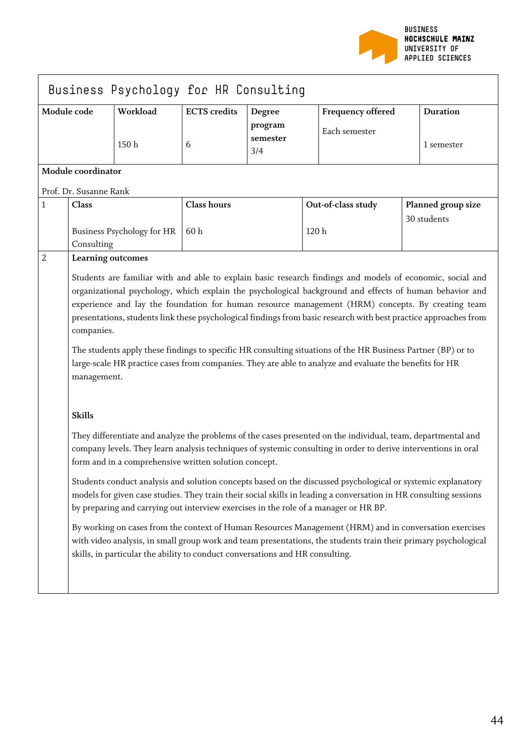

|                |                                                                                                                                                                                                                                                                                                                                                                                                                                                                                                                                                                                                                                                                                                      | Business Psychology for HR Consulting |                     |                            |      |                    |  |                    |
|----------------|------------------------------------------------------------------------------------------------------------------------------------------------------------------------------------------------------------------------------------------------------------------------------------------------------------------------------------------------------------------------------------------------------------------------------------------------------------------------------------------------------------------------------------------------------------------------------------------------------------------------------------------------------------------------------------------------------|---------------------------------------|---------------------|----------------------------|------|--------------------|--|--------------------|
|                | Module code                                                                                                                                                                                                                                                                                                                                                                                                                                                                                                                                                                                                                                                                                          | Workload                              | <b>ECTS</b> credits | Degree                     |      | Frequency offered  |  | <b>Duration</b>    |
|                |                                                                                                                                                                                                                                                                                                                                                                                                                                                                                                                                                                                                                                                                                                      | 150h                                  | 6                   | program<br>semester<br>3/4 |      | Each semester      |  | 1 semester         |
|                | Module coordinator                                                                                                                                                                                                                                                                                                                                                                                                                                                                                                                                                                                                                                                                                   |                                       |                     |                            |      |                    |  |                    |
|                | Prof. Dr. Susanne Rank                                                                                                                                                                                                                                                                                                                                                                                                                                                                                                                                                                                                                                                                               |                                       |                     |                            |      |                    |  |                    |
| 1              | <b>Class</b>                                                                                                                                                                                                                                                                                                                                                                                                                                                                                                                                                                                                                                                                                         |                                       | <b>Class hours</b>  |                            |      | Out-of-class study |  | Planned group size |
|                | Consulting                                                                                                                                                                                                                                                                                                                                                                                                                                                                                                                                                                                                                                                                                           | Business Psychology for HR            | 60h                 |                            | 120h |                    |  | 30 students        |
| $\overline{2}$ | Learning outcomes                                                                                                                                                                                                                                                                                                                                                                                                                                                                                                                                                                                                                                                                                    |                                       |                     |                            |      |                    |  |                    |
|                | Students are familiar with and able to explain basic research findings and models of economic, social and<br>organizational psychology, which explain the psychological background and effects of human behavior and<br>experience and lay the foundation for human resource management (HRM) concepts. By creating team<br>presentations, students link these psychological findings from basic research with best practice approaches from<br>companies.<br>The students apply these findings to specific HR consulting situations of the HR Business Partner (BP) or to<br>large-scale HR practice cases from companies. They are able to analyze and evaluate the benefits for HR<br>management. |                                       |                     |                            |      |                    |  |                    |
|                | <b>Skills</b>                                                                                                                                                                                                                                                                                                                                                                                                                                                                                                                                                                                                                                                                                        |                                       |                     |                            |      |                    |  |                    |
|                | They differentiate and analyze the problems of the cases presented on the individual, team, departmental and<br>company levels. They learn analysis techniques of systemic consulting in order to derive interventions in oral<br>form and in a comprehensive written solution concept.                                                                                                                                                                                                                                                                                                                                                                                                              |                                       |                     |                            |      |                    |  |                    |
|                | Students conduct analysis and solution concepts based on the discussed psychological or systemic explanatory<br>models for given case studies. They train their social skills in leading a conversation in HR consulting sessions<br>by preparing and carrying out interview exercises in the role of a manager or HR BP.                                                                                                                                                                                                                                                                                                                                                                            |                                       |                     |                            |      |                    |  |                    |
|                | By working on cases from the context of Human Resources Management (HRM) and in conversation exercises<br>with video analysis, in small group work and team presentations, the students train their primary psychological<br>skills, in particular the ability to conduct conversations and HR consulting.                                                                                                                                                                                                                                                                                                                                                                                           |                                       |                     |                            |      |                    |  |                    |
|                |                                                                                                                                                                                                                                                                                                                                                                                                                                                                                                                                                                                                                                                                                                      |                                       |                     |                            |      |                    |  |                    |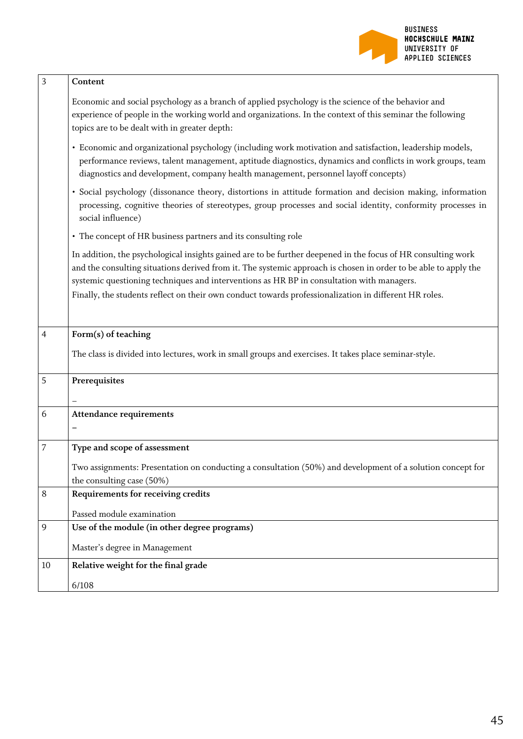

| 3  | Content                                                                                                                                                                                                                                                                                                                                                                                                                               |
|----|---------------------------------------------------------------------------------------------------------------------------------------------------------------------------------------------------------------------------------------------------------------------------------------------------------------------------------------------------------------------------------------------------------------------------------------|
|    | Economic and social psychology as a branch of applied psychology is the science of the behavior and<br>experience of people in the working world and organizations. In the context of this seminar the following<br>topics are to be dealt with in greater depth:                                                                                                                                                                     |
|    | · Economic and organizational psychology (including work motivation and satisfaction, leadership models,<br>performance reviews, talent management, aptitude diagnostics, dynamics and conflicts in work groups, team<br>diagnostics and development, company health management, personnel layoff concepts)                                                                                                                           |
|    | · Social psychology (dissonance theory, distortions in attitude formation and decision making, information<br>processing, cognitive theories of stereotypes, group processes and social identity, conformity processes in<br>social influence)                                                                                                                                                                                        |
|    | • The concept of HR business partners and its consulting role                                                                                                                                                                                                                                                                                                                                                                         |
|    | In addition, the psychological insights gained are to be further deepened in the focus of HR consulting work<br>and the consulting situations derived from it. The systemic approach is chosen in order to be able to apply the<br>systemic questioning techniques and interventions as HR BP in consultation with managers.<br>Finally, the students reflect on their own conduct towards professionalization in different HR roles. |
| 4  | Form(s) of teaching                                                                                                                                                                                                                                                                                                                                                                                                                   |
|    | The class is divided into lectures, work in small groups and exercises. It takes place seminar-style.                                                                                                                                                                                                                                                                                                                                 |
| 5  | Prerequisites                                                                                                                                                                                                                                                                                                                                                                                                                         |
| 6  | <b>Attendance requirements</b>                                                                                                                                                                                                                                                                                                                                                                                                        |
| 7  | Type and scope of assessment                                                                                                                                                                                                                                                                                                                                                                                                          |
|    | Two assignments: Presentation on conducting a consultation (50%) and development of a solution concept for<br>the consulting case (50%)                                                                                                                                                                                                                                                                                               |
| 8  | Requirements for receiving credits                                                                                                                                                                                                                                                                                                                                                                                                    |
|    | Passed module examination                                                                                                                                                                                                                                                                                                                                                                                                             |
| 9  | Use of the module (in other degree programs)                                                                                                                                                                                                                                                                                                                                                                                          |
|    | Master's degree in Management                                                                                                                                                                                                                                                                                                                                                                                                         |
| 10 | Relative weight for the final grade                                                                                                                                                                                                                                                                                                                                                                                                   |
|    | 6/108                                                                                                                                                                                                                                                                                                                                                                                                                                 |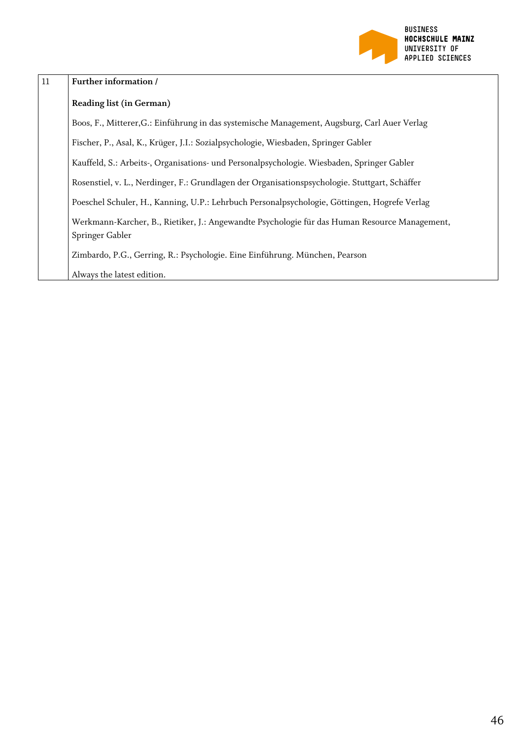

| 11 | Further information /                                                                                            |
|----|------------------------------------------------------------------------------------------------------------------|
|    | <b>Reading list (in German)</b>                                                                                  |
|    | Boos, F., Mitterer, G.: Einführung in das systemische Management, Augsburg, Carl Auer Verlag                     |
|    | Fischer, P., Asal, K., Krüger, J.I.: Sozialpsychologie, Wiesbaden, Springer Gabler                               |
|    | Kauffeld, S.: Arbeits-, Organisations- und Personalpsychologie. Wiesbaden, Springer Gabler                       |
|    | Rosenstiel, v. L., Nerdinger, F.: Grundlagen der Organisationspsychologie. Stuttgart, Schäffer                   |
|    | Poeschel Schuler, H., Kanning, U.P.: Lehrbuch Personalpsychologie, Göttingen, Hogrefe Verlag                     |
|    | Werkmann-Karcher, B., Rietiker, J.: Angewandte Psychologie für das Human Resource Management,<br>Springer Gabler |
|    | Zimbardo, P.G., Gerring, R.: Psychologie. Eine Einführung. München, Pearson                                      |
|    | Always the latest edition.                                                                                       |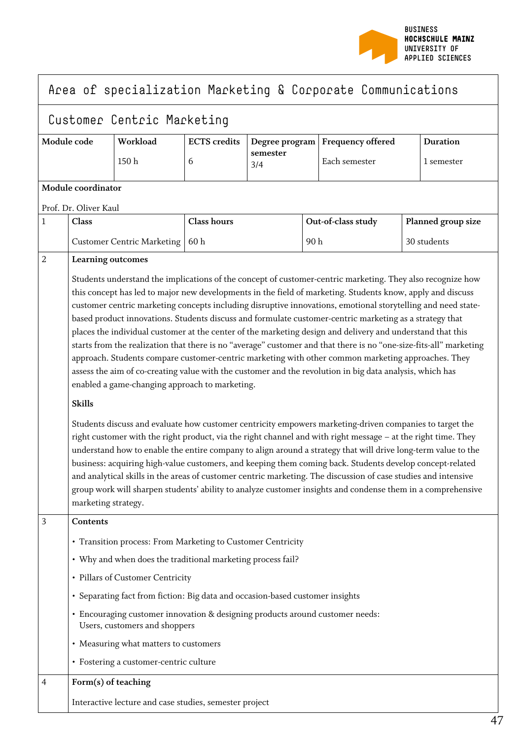

## Area of specialization Marketing & Corporate Communications

## Customer Centric Marketing

| Module code       | Workload | <b>ECTS</b> credits |                 | Degree program   Frequency offered | <b>Duration</b> |
|-------------------|----------|---------------------|-----------------|------------------------------------|-----------------|
|                   | 150 h    |                     | semester<br>3/4 | Each semester                      | l semester      |
| .<br>$\mathbf{L}$ |          |                     |                 |                                    |                 |

### **Module coordinator**

Prof. Dr. Oliver Kaul

| $\mathbf{1}$   | <b>Class</b>                                                                                                                                                                                                                                                                                                                                                                                                                                                                                                                                                                                                                                                                                                                                                                                                                                                                                                                                                                                                                                                                                                                                                                                                                                                                                                                                                                                                                                                                                                                                                                                                                                                                                       | <b>Class hours</b>                                                            | Out-of-class study | Planned group size |  |  |  |
|----------------|----------------------------------------------------------------------------------------------------------------------------------------------------------------------------------------------------------------------------------------------------------------------------------------------------------------------------------------------------------------------------------------------------------------------------------------------------------------------------------------------------------------------------------------------------------------------------------------------------------------------------------------------------------------------------------------------------------------------------------------------------------------------------------------------------------------------------------------------------------------------------------------------------------------------------------------------------------------------------------------------------------------------------------------------------------------------------------------------------------------------------------------------------------------------------------------------------------------------------------------------------------------------------------------------------------------------------------------------------------------------------------------------------------------------------------------------------------------------------------------------------------------------------------------------------------------------------------------------------------------------------------------------------------------------------------------------------|-------------------------------------------------------------------------------|--------------------|--------------------|--|--|--|
|                | <b>Customer Centric Marketing</b>                                                                                                                                                                                                                                                                                                                                                                                                                                                                                                                                                                                                                                                                                                                                                                                                                                                                                                                                                                                                                                                                                                                                                                                                                                                                                                                                                                                                                                                                                                                                                                                                                                                                  | 60h                                                                           | 90h                | 30 students        |  |  |  |
| $\overline{2}$ | <b>Learning outcomes</b><br>Students understand the implications of the concept of customer-centric marketing. They also recognize how<br>this concept has led to major new developments in the field of marketing. Students know, apply and discuss<br>customer centric marketing concepts including disruptive innovations, emotional storytelling and need state-<br>based product innovations. Students discuss and formulate customer-centric marketing as a strategy that<br>places the individual customer at the center of the marketing design and delivery and understand that this<br>starts from the realization that there is no "average" customer and that there is no "one-size-fits-all" marketing<br>approach. Students compare customer-centric marketing with other common marketing approaches. They<br>assess the aim of co-creating value with the customer and the revolution in big data analysis, which has<br>enabled a game-changing approach to marketing.<br><b>Skills</b><br>Students discuss and evaluate how customer centricity empowers marketing-driven companies to target the<br>right customer with the right product, via the right channel and with right message - at the right time. They<br>understand how to enable the entire company to align around a strategy that will drive long-term value to the<br>business: acquiring high-value customers, and keeping them coming back. Students develop concept-related<br>and analytical skills in the areas of customer centric marketing. The discussion of case studies and intensive<br>group work will sharpen students' ability to analyze customer insights and condense them in a comprehensive |                                                                               |                    |                    |  |  |  |
| $\overline{3}$ | Contents                                                                                                                                                                                                                                                                                                                                                                                                                                                                                                                                                                                                                                                                                                                                                                                                                                                                                                                                                                                                                                                                                                                                                                                                                                                                                                                                                                                                                                                                                                                                                                                                                                                                                           |                                                                               |                    |                    |  |  |  |
|                |                                                                                                                                                                                                                                                                                                                                                                                                                                                                                                                                                                                                                                                                                                                                                                                                                                                                                                                                                                                                                                                                                                                                                                                                                                                                                                                                                                                                                                                                                                                                                                                                                                                                                                    | • Transition process: From Marketing to Customer Centricity                   |                    |                    |  |  |  |
|                |                                                                                                                                                                                                                                                                                                                                                                                                                                                                                                                                                                                                                                                                                                                                                                                                                                                                                                                                                                                                                                                                                                                                                                                                                                                                                                                                                                                                                                                                                                                                                                                                                                                                                                    | • Why and when does the traditional marketing process fail?                   |                    |                    |  |  |  |
|                | • Pillars of Customer Centricity                                                                                                                                                                                                                                                                                                                                                                                                                                                                                                                                                                                                                                                                                                                                                                                                                                                                                                                                                                                                                                                                                                                                                                                                                                                                                                                                                                                                                                                                                                                                                                                                                                                                   |                                                                               |                    |                    |  |  |  |
|                |                                                                                                                                                                                                                                                                                                                                                                                                                                                                                                                                                                                                                                                                                                                                                                                                                                                                                                                                                                                                                                                                                                                                                                                                                                                                                                                                                                                                                                                                                                                                                                                                                                                                                                    | • Separating fact from fiction: Big data and occasion-based customer insights |                    |                    |  |  |  |
|                | · Encouraging customer innovation & designing products around customer needs:<br>Users, customers and shoppers                                                                                                                                                                                                                                                                                                                                                                                                                                                                                                                                                                                                                                                                                                                                                                                                                                                                                                                                                                                                                                                                                                                                                                                                                                                                                                                                                                                                                                                                                                                                                                                     |                                                                               |                    |                    |  |  |  |
|                | • Measuring what matters to customers                                                                                                                                                                                                                                                                                                                                                                                                                                                                                                                                                                                                                                                                                                                                                                                                                                                                                                                                                                                                                                                                                                                                                                                                                                                                                                                                                                                                                                                                                                                                                                                                                                                              |                                                                               |                    |                    |  |  |  |
|                | • Fostering a customer-centric culture                                                                                                                                                                                                                                                                                                                                                                                                                                                                                                                                                                                                                                                                                                                                                                                                                                                                                                                                                                                                                                                                                                                                                                                                                                                                                                                                                                                                                                                                                                                                                                                                                                                             |                                                                               |                    |                    |  |  |  |
| 4              | Form(s) of teaching                                                                                                                                                                                                                                                                                                                                                                                                                                                                                                                                                                                                                                                                                                                                                                                                                                                                                                                                                                                                                                                                                                                                                                                                                                                                                                                                                                                                                                                                                                                                                                                                                                                                                |                                                                               |                    |                    |  |  |  |
|                | Interactive lecture and case studies, semester project                                                                                                                                                                                                                                                                                                                                                                                                                                                                                                                                                                                                                                                                                                                                                                                                                                                                                                                                                                                                                                                                                                                                                                                                                                                                                                                                                                                                                                                                                                                                                                                                                                             |                                                                               |                    |                    |  |  |  |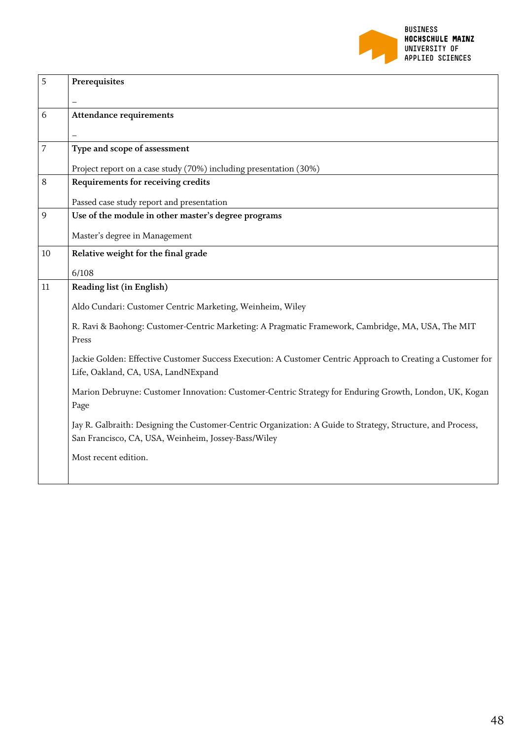

| 5  | Prerequisites                                                                                                                                                      |
|----|--------------------------------------------------------------------------------------------------------------------------------------------------------------------|
|    |                                                                                                                                                                    |
| 6  | <b>Attendance requirements</b>                                                                                                                                     |
|    |                                                                                                                                                                    |
| 7  | Type and scope of assessment                                                                                                                                       |
|    | Project report on a case study (70%) including presentation (30%)                                                                                                  |
| 8  | Requirements for receiving credits                                                                                                                                 |
|    | Passed case study report and presentation                                                                                                                          |
| 9  | Use of the module in other master's degree programs                                                                                                                |
|    | Master's degree in Management                                                                                                                                      |
| 10 | Relative weight for the final grade                                                                                                                                |
|    | 6/108                                                                                                                                                              |
| 11 | Reading list (in English)                                                                                                                                          |
|    | Aldo Cundari: Customer Centric Marketing, Weinheim, Wiley                                                                                                          |
|    | R. Ravi & Baohong: Customer-Centric Marketing: A Pragmatic Framework, Cambridge, MA, USA, The MIT<br>Press                                                         |
|    | Jackie Golden: Effective Customer Success Execution: A Customer Centric Approach to Creating a Customer for<br>Life, Oakland, CA, USA, LandNExpand                 |
|    | Marion Debruyne: Customer Innovation: Customer-Centric Strategy for Enduring Growth, London, UK, Kogan<br>Page                                                     |
|    | Jay R. Galbraith: Designing the Customer-Centric Organization: A Guide to Strategy, Structure, and Process,<br>San Francisco, CA, USA, Weinheim, Jossey-Bass/Wiley |
|    | Most recent edition.                                                                                                                                               |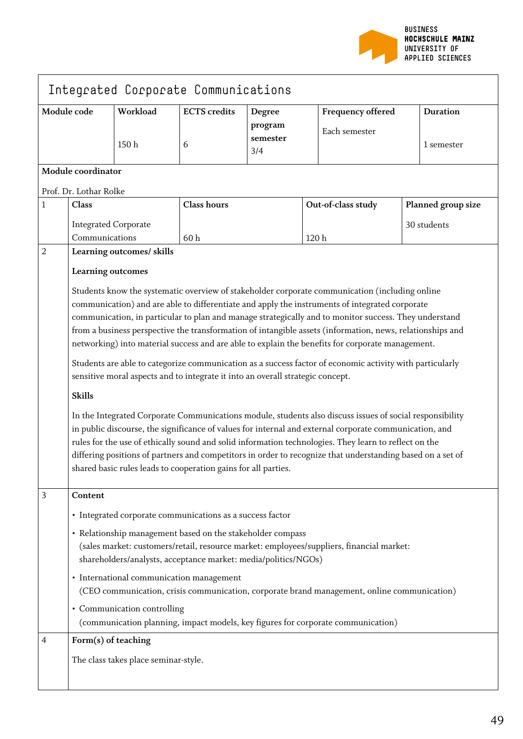

| Integrated Corporate Communications |                                                                                                                                                                                                                                                                                                                                                                                                                                                                                                             |                                      |                                                                                |                                      |                                                                                                                                                                                                                                                                                                           |                               |  |
|-------------------------------------|-------------------------------------------------------------------------------------------------------------------------------------------------------------------------------------------------------------------------------------------------------------------------------------------------------------------------------------------------------------------------------------------------------------------------------------------------------------------------------------------------------------|--------------------------------------|--------------------------------------------------------------------------------|--------------------------------------|-----------------------------------------------------------------------------------------------------------------------------------------------------------------------------------------------------------------------------------------------------------------------------------------------------------|-------------------------------|--|
| Module code                         |                                                                                                                                                                                                                                                                                                                                                                                                                                                                                                             | Workload<br>150h                     | <b>ECTS</b> credits<br>6                                                       | Degree<br>program<br>semester<br>3/4 | <b>Frequency offered</b><br>Each semester                                                                                                                                                                                                                                                                 | <b>Duration</b><br>1 semester |  |
|                                     | Module coordinator                                                                                                                                                                                                                                                                                                                                                                                                                                                                                          |                                      |                                                                                |                                      |                                                                                                                                                                                                                                                                                                           |                               |  |
|                                     | Prof. Dr. Lothar Rolke                                                                                                                                                                                                                                                                                                                                                                                                                                                                                      |                                      |                                                                                |                                      |                                                                                                                                                                                                                                                                                                           |                               |  |
| $\mathbf{1}$                        | Class                                                                                                                                                                                                                                                                                                                                                                                                                                                                                                       |                                      | <b>Class hours</b>                                                             |                                      | Out-of-class study                                                                                                                                                                                                                                                                                        | Planned group size            |  |
|                                     | <b>Integrated Corporate</b><br>Communications                                                                                                                                                                                                                                                                                                                                                                                                                                                               |                                      | 60h                                                                            |                                      | 120 <sub>h</sub>                                                                                                                                                                                                                                                                                          | 30 students                   |  |
| $\overline{2}$                      |                                                                                                                                                                                                                                                                                                                                                                                                                                                                                                             | Learning outcomes/ skills            |                                                                                |                                      |                                                                                                                                                                                                                                                                                                           |                               |  |
|                                     | Learning outcomes                                                                                                                                                                                                                                                                                                                                                                                                                                                                                           |                                      |                                                                                |                                      | Students know the systematic overview of stakeholder corporate communication (including online<br>communication) and are able to differentiate and apply the instruments of integrated corporate<br>communication, in particular to plan and manage strategically and to monitor success. They understand |                               |  |
|                                     |                                                                                                                                                                                                                                                                                                                                                                                                                                                                                                             |                                      |                                                                                |                                      | from a business perspective the transformation of intangible assets (information, news, relationships and<br>networking) into material success and are able to explain the benefits for corporate management.                                                                                             |                               |  |
|                                     |                                                                                                                                                                                                                                                                                                                                                                                                                                                                                                             |                                      | sensitive moral aspects and to integrate it into an overall strategic concept. |                                      | Students are able to categorize communication as a success factor of economic activity with particularly                                                                                                                                                                                                  |                               |  |
|                                     | <b>Skills</b>                                                                                                                                                                                                                                                                                                                                                                                                                                                                                               |                                      |                                                                                |                                      |                                                                                                                                                                                                                                                                                                           |                               |  |
|                                     | In the Integrated Corporate Communications module, students also discuss issues of social responsibility<br>in public discourse, the significance of values for internal and external corporate communication, and<br>rules for the use of ethically sound and solid information technologies. They learn to reflect on the<br>differing positions of partners and competitors in order to recognize that understanding based on a set of<br>shared basic rules leads to cooperation gains for all parties. |                                      |                                                                                |                                      |                                                                                                                                                                                                                                                                                                           |                               |  |
| 3                                   | Content                                                                                                                                                                                                                                                                                                                                                                                                                                                                                                     |                                      |                                                                                |                                      |                                                                                                                                                                                                                                                                                                           |                               |  |
|                                     |                                                                                                                                                                                                                                                                                                                                                                                                                                                                                                             |                                      | • Integrated corporate communications as a success factor                      |                                      |                                                                                                                                                                                                                                                                                                           |                               |  |
|                                     | • Relationship management based on the stakeholder compass<br>(sales market: customers/retail, resource market: employees/suppliers, financial market:<br>shareholders/analysts, acceptance market: media/politics/NGOs)                                                                                                                                                                                                                                                                                    |                                      |                                                                                |                                      |                                                                                                                                                                                                                                                                                                           |                               |  |
|                                     |                                                                                                                                                                                                                                                                                                                                                                                                                                                                                                             |                                      | • International communication management                                       |                                      | (CEO communication, crisis communication, corporate brand management, online communication)                                                                                                                                                                                                               |                               |  |
|                                     |                                                                                                                                                                                                                                                                                                                                                                                                                                                                                                             | • Communication controlling          |                                                                                |                                      | (communication planning, impact models, key figures for corporate communication)                                                                                                                                                                                                                          |                               |  |
| 4                                   | Form(s) of teaching                                                                                                                                                                                                                                                                                                                                                                                                                                                                                         |                                      |                                                                                |                                      |                                                                                                                                                                                                                                                                                                           |                               |  |
|                                     |                                                                                                                                                                                                                                                                                                                                                                                                                                                                                                             | The class takes place seminar-style. |                                                                                |                                      |                                                                                                                                                                                                                                                                                                           |                               |  |

 $\blacksquare$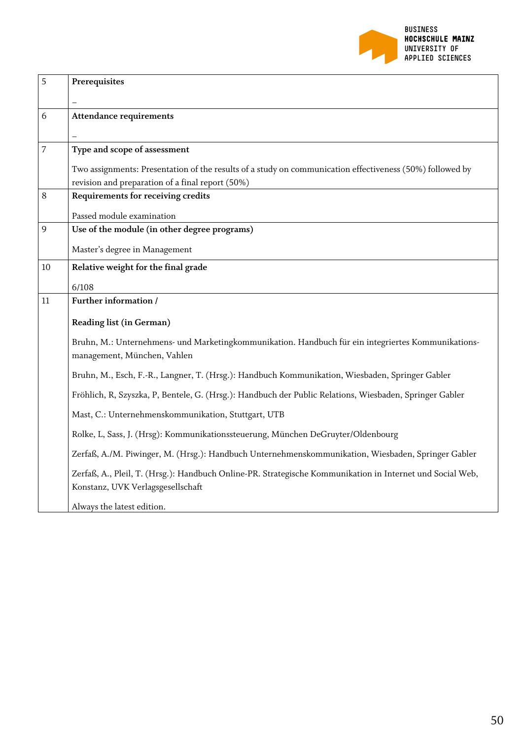

| 5              | Prerequisites                                                                                                                                  |
|----------------|------------------------------------------------------------------------------------------------------------------------------------------------|
|                |                                                                                                                                                |
| 6              | <b>Attendance requirements</b>                                                                                                                 |
|                |                                                                                                                                                |
| $\overline{7}$ | Type and scope of assessment                                                                                                                   |
|                | Two assignments: Presentation of the results of a study on communication effectiveness (50%) followed by                                       |
|                | revision and preparation of a final report (50%)                                                                                               |
| 8              | Requirements for receiving credits                                                                                                             |
|                | Passed module examination                                                                                                                      |
| 9              | Use of the module (in other degree programs)                                                                                                   |
|                | Master's degree in Management                                                                                                                  |
| 10             | Relative weight for the final grade                                                                                                            |
|                | 6/108                                                                                                                                          |
| 11             | Further information /                                                                                                                          |
|                | Reading list (in German)                                                                                                                       |
|                | Bruhn, M.: Unternehmens- und Marketingkommunikation. Handbuch für ein integriertes Kommunikations-<br>management, München, Vahlen              |
|                |                                                                                                                                                |
|                | Bruhn, M., Esch, F.-R., Langner, T. (Hrsg.): Handbuch Kommunikation, Wiesbaden, Springer Gabler                                                |
|                | Fröhlich, R, Szyszka, P, Bentele, G. (Hrsg.): Handbuch der Public Relations, Wiesbaden, Springer Gabler                                        |
|                | Mast, C.: Unternehmenskommunikation, Stuttgart, UTB                                                                                            |
|                | Rolke, L, Sass, J. (Hrsg): Kommunikationssteuerung, München DeGruyter/Oldenbourg                                                               |
|                | Zerfaß, A./M. Piwinger, M. (Hrsg.): Handbuch Unternehmenskommunikation, Wiesbaden, Springer Gabler                                             |
|                | Zerfaß, A., Pleil, T. (Hrsg.): Handbuch Online-PR. Strategische Kommunikation in Internet und Social Web,<br>Konstanz, UVK Verlagsgesellschaft |
|                | Always the latest edition.                                                                                                                     |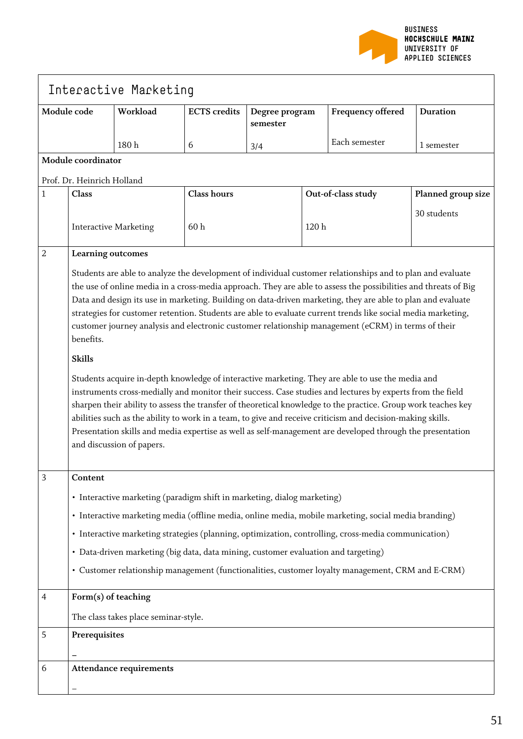

| Interactive Marketing |                                                                                                                                                                                                                                                                                                                                                                                                                                                                                                                                                                                        |          |                     |                            |                    |                   |                    |
|-----------------------|----------------------------------------------------------------------------------------------------------------------------------------------------------------------------------------------------------------------------------------------------------------------------------------------------------------------------------------------------------------------------------------------------------------------------------------------------------------------------------------------------------------------------------------------------------------------------------------|----------|---------------------|----------------------------|--------------------|-------------------|--------------------|
|                       | Module code                                                                                                                                                                                                                                                                                                                                                                                                                                                                                                                                                                            | Workload | <b>ECTS</b> credits | Degree program<br>semester |                    | Frequency offered | <b>Duration</b>    |
|                       |                                                                                                                                                                                                                                                                                                                                                                                                                                                                                                                                                                                        | 180h     | 6                   | 3/4                        |                    | Each semester     | 1 semester         |
| Module coordinator    |                                                                                                                                                                                                                                                                                                                                                                                                                                                                                                                                                                                        |          |                     |                            |                    |                   |                    |
|                       | Prof. Dr. Heinrich Holland                                                                                                                                                                                                                                                                                                                                                                                                                                                                                                                                                             |          |                     |                            |                    |                   |                    |
| 1                     | Class                                                                                                                                                                                                                                                                                                                                                                                                                                                                                                                                                                                  |          | <b>Class hours</b>  |                            | Out-of-class study |                   | Planned group size |
|                       | <b>Interactive Marketing</b>                                                                                                                                                                                                                                                                                                                                                                                                                                                                                                                                                           |          | 60h                 |                            | 120h               |                   | 30 students        |
| $\overline{2}$        | Learning outcomes                                                                                                                                                                                                                                                                                                                                                                                                                                                                                                                                                                      |          |                     |                            |                    |                   |                    |
|                       | Students are able to analyze the development of individual customer relationships and to plan and evaluate<br>the use of online media in a cross-media approach. They are able to assess the possibilities and threats of Big<br>Data and design its use in marketing. Building on data-driven marketing, they are able to plan and evaluate<br>strategies for customer retention. Students are able to evaluate current trends like social media marketing,<br>customer journey analysis and electronic customer relationship management (eCRM) in terms of their<br>benefits.        |          |                     |                            |                    |                   |                    |
|                       | <b>Skills</b>                                                                                                                                                                                                                                                                                                                                                                                                                                                                                                                                                                          |          |                     |                            |                    |                   |                    |
|                       | Students acquire in-depth knowledge of interactive marketing. They are able to use the media and<br>instruments cross-medially and monitor their success. Case studies and lectures by experts from the field<br>sharpen their ability to assess the transfer of theoretical knowledge to the practice. Group work teaches key<br>abilities such as the ability to work in a team, to give and receive criticism and decision-making skills.<br>Presentation skills and media expertise as well as self-management are developed through the presentation<br>and discussion of papers. |          |                     |                            |                    |                   |                    |
| 3                     | Content                                                                                                                                                                                                                                                                                                                                                                                                                                                                                                                                                                                |          |                     |                            |                    |                   |                    |
|                       | • Interactive marketing (paradigm shift in marketing, dialog marketing)                                                                                                                                                                                                                                                                                                                                                                                                                                                                                                                |          |                     |                            |                    |                   |                    |
|                       | · Interactive marketing media (offline media, online media, mobile marketing, social media branding)                                                                                                                                                                                                                                                                                                                                                                                                                                                                                   |          |                     |                            |                    |                   |                    |
|                       | · Interactive marketing strategies (planning, optimization, controlling, cross-media communication)                                                                                                                                                                                                                                                                                                                                                                                                                                                                                    |          |                     |                            |                    |                   |                    |
|                       | · Data-driven marketing (big data, data mining, customer evaluation and targeting)                                                                                                                                                                                                                                                                                                                                                                                                                                                                                                     |          |                     |                            |                    |                   |                    |
|                       | • Customer relationship management (functionalities, customer loyalty management, CRM and E-CRM)                                                                                                                                                                                                                                                                                                                                                                                                                                                                                       |          |                     |                            |                    |                   |                    |
| 4                     | Form(s) of teaching                                                                                                                                                                                                                                                                                                                                                                                                                                                                                                                                                                    |          |                     |                            |                    |                   |                    |
|                       | The class takes place seminar-style.                                                                                                                                                                                                                                                                                                                                                                                                                                                                                                                                                   |          |                     |                            |                    |                   |                    |
| 5                     | Prerequisites                                                                                                                                                                                                                                                                                                                                                                                                                                                                                                                                                                          |          |                     |                            |                    |                   |                    |
| 6                     | <b>Attendance requirements</b>                                                                                                                                                                                                                                                                                                                                                                                                                                                                                                                                                         |          |                     |                            |                    |                   |                    |
|                       |                                                                                                                                                                                                                                                                                                                                                                                                                                                                                                                                                                                        |          |                     |                            |                    |                   |                    |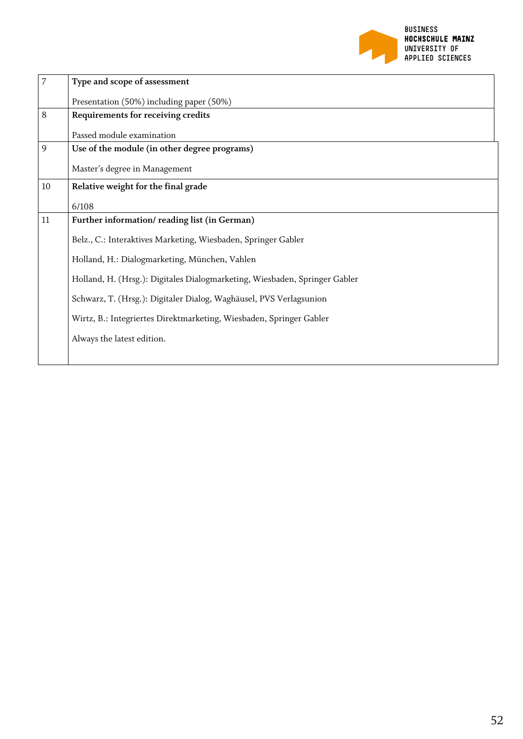

| $\overline{7}$ | Type and scope of assessment                                               |  |  |  |  |  |
|----------------|----------------------------------------------------------------------------|--|--|--|--|--|
|                | Presentation (50%) including paper (50%)                                   |  |  |  |  |  |
| 8              | Requirements for receiving credits                                         |  |  |  |  |  |
|                | Passed module examination                                                  |  |  |  |  |  |
| 9              | Use of the module (in other degree programs)                               |  |  |  |  |  |
|                | Master's degree in Management                                              |  |  |  |  |  |
| 10             | Relative weight for the final grade                                        |  |  |  |  |  |
|                | 6/108                                                                      |  |  |  |  |  |
| 11             | Further information/reading list (in German)                               |  |  |  |  |  |
|                | Belz., C.: Interaktives Marketing, Wiesbaden, Springer Gabler              |  |  |  |  |  |
|                | Holland, H.: Dialogmarketing, München, Vahlen                              |  |  |  |  |  |
|                | Holland, H. (Hrsg.): Digitales Dialogmarketing, Wiesbaden, Springer Gabler |  |  |  |  |  |
|                | Schwarz, T. (Hrsg.): Digitaler Dialog, Waghäusel, PVS Verlagsunion         |  |  |  |  |  |
|                | Wirtz, B.: Integriertes Direktmarketing, Wiesbaden, Springer Gabler        |  |  |  |  |  |
|                | Always the latest edition.                                                 |  |  |  |  |  |
|                |                                                                            |  |  |  |  |  |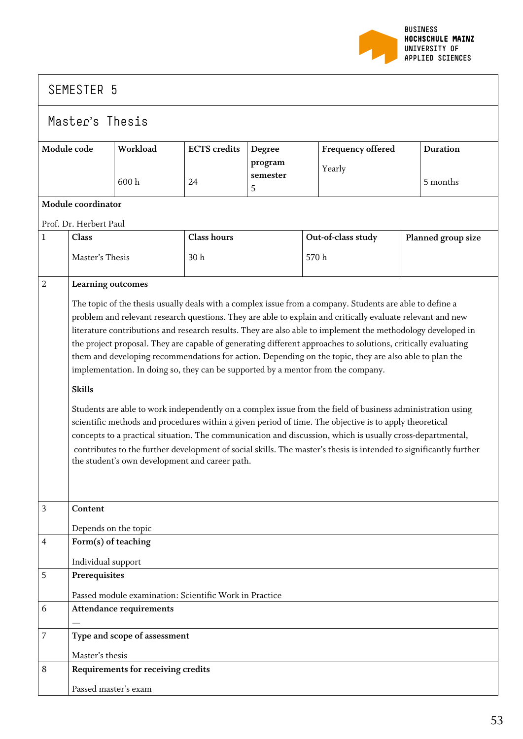

#### Master's Thesis **Module code Workload** 600 h **ECTS credits** 24 **Degree program semester** 5 **Frequency offered** Yearly **Duration** 5 months **Module coordinator** Prof. Dr. Herbert Paul 1 **Class** Master's Thesis **Class hours** 30 h **Out-of-class study** 570 h **Planned group size** 2 **Learning outcomes** The topic of the thesis usually deals with a complex issue from a company. Students are able to define a problem and relevant research questions. They are able to explain and critically evaluate relevant and new literature contributions and research results. They are also able to implement the methodology developed in the project proposal. They are capable of generating different approaches to solutions, critically evaluating them and developing recommendations for action. Depending on the topic, they are also able to plan the implementation. In doing so, they can be supported by a mentor from the company. **Skills** Students are able to work independently on a complex issue from the field of business administration using scientific methods and procedures within a given period of time. The objective is to apply theoretical concepts to a practical situation. The communication and discussion, which is usually cross-departmental, contributes to the further development of social skills. The master's thesis is intended to significantly further the student's own development and career path. 3 **Content** Depends on the topic 4 **Form(s) of teaching** Individual support 5 **Prerequisites** Passed module examination: Scientific Work in Practice 6 **Attendance requirements —** 7 **Type and scope of assessment** Master's thesis 8 **Requirements for receiving credits** Passed master's exam